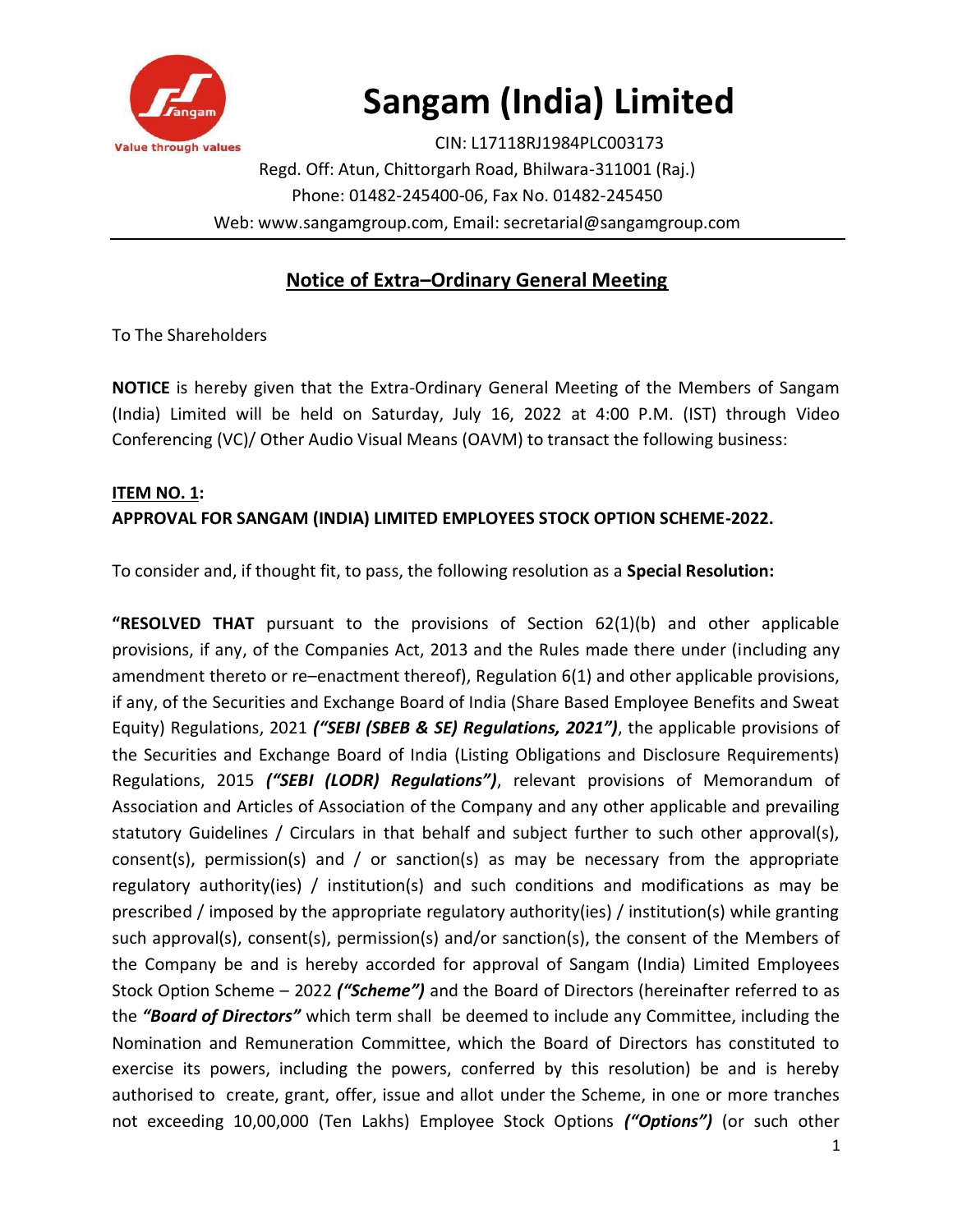

# **Sangam (India) Limited**

CIN: L17118RJ1984PLC003173 Regd. Off: Atun, Chittorgarh Road, Bhilwara-311001 (Raj.) Phone: 01482-245400-06, Fax No. 01482-245450 Web: www.sangamgroup.com, Email: secretarial@sangamgroup.com

# **Notice of Extra–Ordinary General Meeting**

To The Shareholders

**NOTICE** is hereby given that the Extra-Ordinary General Meeting of the Members of Sangam (India) Limited will be held on Saturday, July 16, 2022 at 4:00 P.M. (IST) through Video Conferencing (VC)/ Other Audio Visual Means (OAVM) to transact the following business:

# **ITEM NO. 1: APPROVAL FOR SANGAM (INDIA) LIMITED EMPLOYEES STOCK OPTION SCHEME-2022.**

To consider and, if thought fit, to pass, the following resolution as a **Special Resolution:**

**"RESOLVED THAT** pursuant to the provisions of Section 62(1)(b) and other applicable provisions, if any, of the Companies Act, 2013 and the Rules made there under (including any amendment thereto or re–enactment thereof), Regulation 6(1) and other applicable provisions, if any, of the Securities and Exchange Board of India (Share Based Employee Benefits and Sweat Equity) Regulations, 2021 *("SEBI (SBEB & SE) Regulations, 2021")*, the applicable provisions of the Securities and Exchange Board of India (Listing Obligations and Disclosure Requirements) Regulations, 2015 *("SEBI (LODR) Regulations")*, relevant provisions of Memorandum of Association and Articles of Association of the Company and any other applicable and prevailing statutory Guidelines / Circulars in that behalf and subject further to such other approval(s), consent(s), permission(s) and / or sanction(s) as may be necessary from the appropriate regulatory authority(ies) / institution(s) and such conditions and modifications as may be prescribed / imposed by the appropriate regulatory authority(ies) / institution(s) while granting such approval(s), consent(s), permission(s) and/or sanction(s), the consent of the Members of the Company be and is hereby accorded for approval of Sangam (India) Limited Employees Stock Option Scheme – 2022 *("Scheme")* and the Board of Directors (hereinafter referred to as the *"Board of Directors"* which term shall be deemed to include any Committee, including the Nomination and Remuneration Committee, which the Board of Directors has constituted to exercise its powers, including the powers, conferred by this resolution) be and is hereby authorised to create, grant, offer, issue and allot under the Scheme, in one or more tranches not exceeding 10,00,000 (Ten Lakhs) Employee Stock Options *("Options")* (or such other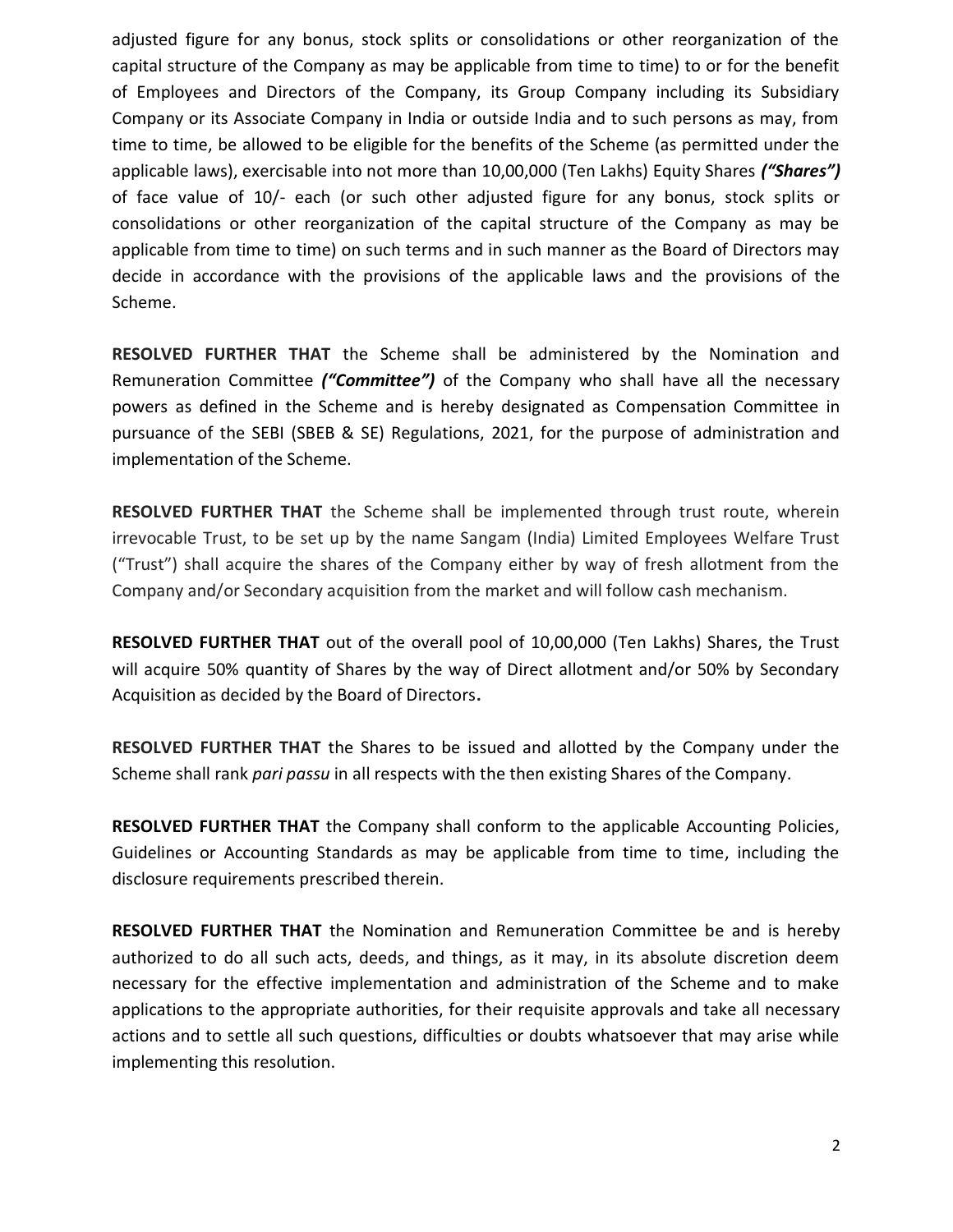adjusted figure for any bonus, stock splits or consolidations or other reorganization of the capital structure of the Company as may be applicable from time to time) to or for the benefit of Employees and Directors of the Company, its Group Company including its Subsidiary Company or its Associate Company in India or outside India and to such persons as may, from time to time, be allowed to be eligible for the benefits of the Scheme (as permitted under the applicable laws), exercisable into not more than 10,00,000 (Ten Lakhs) Equity Shares *("Shares")* of face value of 10/- each (or such other adjusted figure for any bonus, stock splits or consolidations or other reorganization of the capital structure of the Company as may be applicable from time to time) on such terms and in such manner as the Board of Directors may decide in accordance with the provisions of the applicable laws and the provisions of the Scheme.

**RESOLVED FURTHER THAT** the Scheme shall be administered by the Nomination and Remuneration Committee *("Committee")* of the Company who shall have all the necessary powers as defined in the Scheme and is hereby designated as Compensation Committee in pursuance of the SEBI (SBEB & SE) Regulations, 2021, for the purpose of administration and implementation of the Scheme.

**RESOLVED FURTHER THAT** the Scheme shall be implemented through trust route, wherein irrevocable Trust, to be set up by the name Sangam (India) Limited Employees Welfare Trust ("Trust") shall acquire the shares of the Company either by way of fresh allotment from the Company and/or Secondary acquisition from the market and will follow cash mechanism.

**RESOLVED FURTHER THAT** out of the overall pool of 10,00,000 (Ten Lakhs) Shares, the Trust will acquire 50% quantity of Shares by the way of Direct allotment and/or 50% by Secondary Acquisition as decided by the Board of Directors**.**

**RESOLVED FURTHER THAT** the Shares to be issued and allotted by the Company under the Scheme shall rank *pari passu* in all respects with the then existing Shares of the Company.

**RESOLVED FURTHER THAT** the Company shall conform to the applicable Accounting Policies, Guidelines or Accounting Standards as may be applicable from time to time, including the disclosure requirements prescribed therein.

**RESOLVED FURTHER THAT** the Nomination and Remuneration Committee be and is hereby authorized to do all such acts, deeds, and things, as it may, in its absolute discretion deem necessary for the effective implementation and administration of the Scheme and to make applications to the appropriate authorities, for their requisite approvals and take all necessary actions and to settle all such questions, difficulties or doubts whatsoever that may arise while implementing this resolution.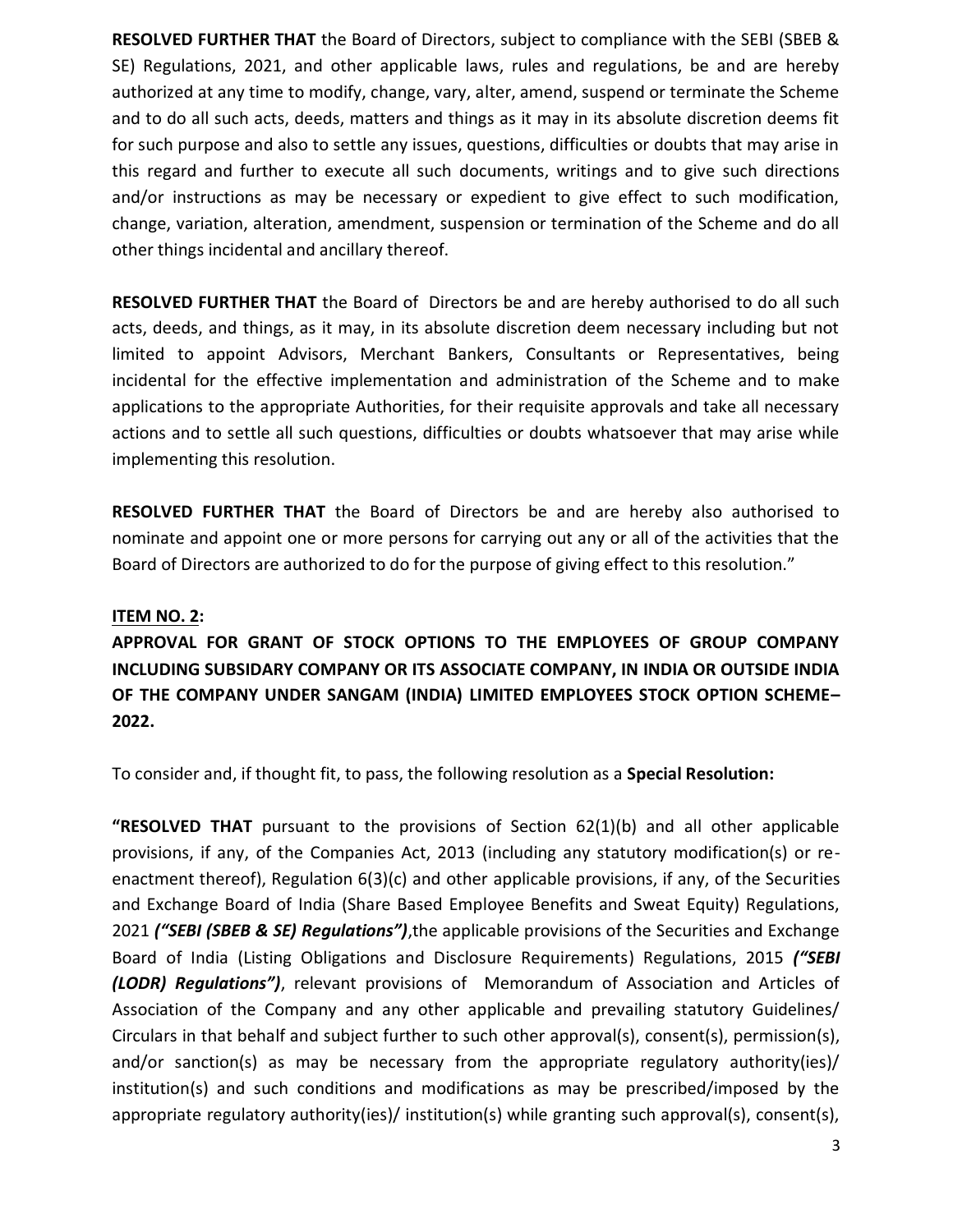**RESOLVED FURTHER THAT** the Board of Directors, subject to compliance with the SEBI (SBEB & SE) Regulations, 2021, and other applicable laws, rules and regulations, be and are hereby authorized at any time to modify, change, vary, alter, amend, suspend or terminate the Scheme and to do all such acts, deeds, matters and things as it may in its absolute discretion deems fit for such purpose and also to settle any issues, questions, difficulties or doubts that may arise in this regard and further to execute all such documents, writings and to give such directions and/or instructions as may be necessary or expedient to give effect to such modification, change, variation, alteration, amendment, suspension or termination of the Scheme and do all other things incidental and ancillary thereof.

**RESOLVED FURTHER THAT** the Board of Directors be and are hereby authorised to do all such acts, deeds, and things, as it may, in its absolute discretion deem necessary including but not limited to appoint Advisors, Merchant Bankers, Consultants or Representatives, being incidental for the effective implementation and administration of the Scheme and to make applications to the appropriate Authorities, for their requisite approvals and take all necessary actions and to settle all such questions, difficulties or doubts whatsoever that may arise while implementing this resolution.

**RESOLVED FURTHER THAT** the Board of Directors be and are hereby also authorised to nominate and appoint one or more persons for carrying out any or all of the activities that the Board of Directors are authorized to do for the purpose of giving effect to this resolution."

#### **ITEM NO. 2:**

**APPROVAL FOR GRANT OF STOCK OPTIONS TO THE EMPLOYEES OF GROUP COMPANY INCLUDING SUBSIDARY COMPANY OR ITS ASSOCIATE COMPANY, IN INDIA OR OUTSIDE INDIA OF THE COMPANY UNDER SANGAM (INDIA) LIMITED EMPLOYEES STOCK OPTION SCHEME– 2022.**

To consider and, if thought fit, to pass, the following resolution as a **Special Resolution:**

**"RESOLVED THAT** pursuant to the provisions of Section 62(1)(b) and all other applicable provisions, if any, of the Companies Act, 2013 (including any statutory modification(s) or reenactment thereof), Regulation 6(3)(c) and other applicable provisions, if any, of the Securities and Exchange Board of India (Share Based Employee Benefits and Sweat Equity) Regulations, 2021 *("SEBI (SBEB & SE) Regulations")*,the applicable provisions of the Securities and Exchange Board of India (Listing Obligations and Disclosure Requirements) Regulations, 2015 *("SEBI (LODR) Regulations")*, relevant provisions of Memorandum of Association and Articles of Association of the Company and any other applicable and prevailing statutory Guidelines/ Circulars in that behalf and subject further to such other approval(s), consent(s), permission(s), and/or sanction(s) as may be necessary from the appropriate regulatory authority(ies)/ institution(s) and such conditions and modifications as may be prescribed/imposed by the appropriate regulatory authority(ies)/ institution(s) while granting such approval(s), consent(s),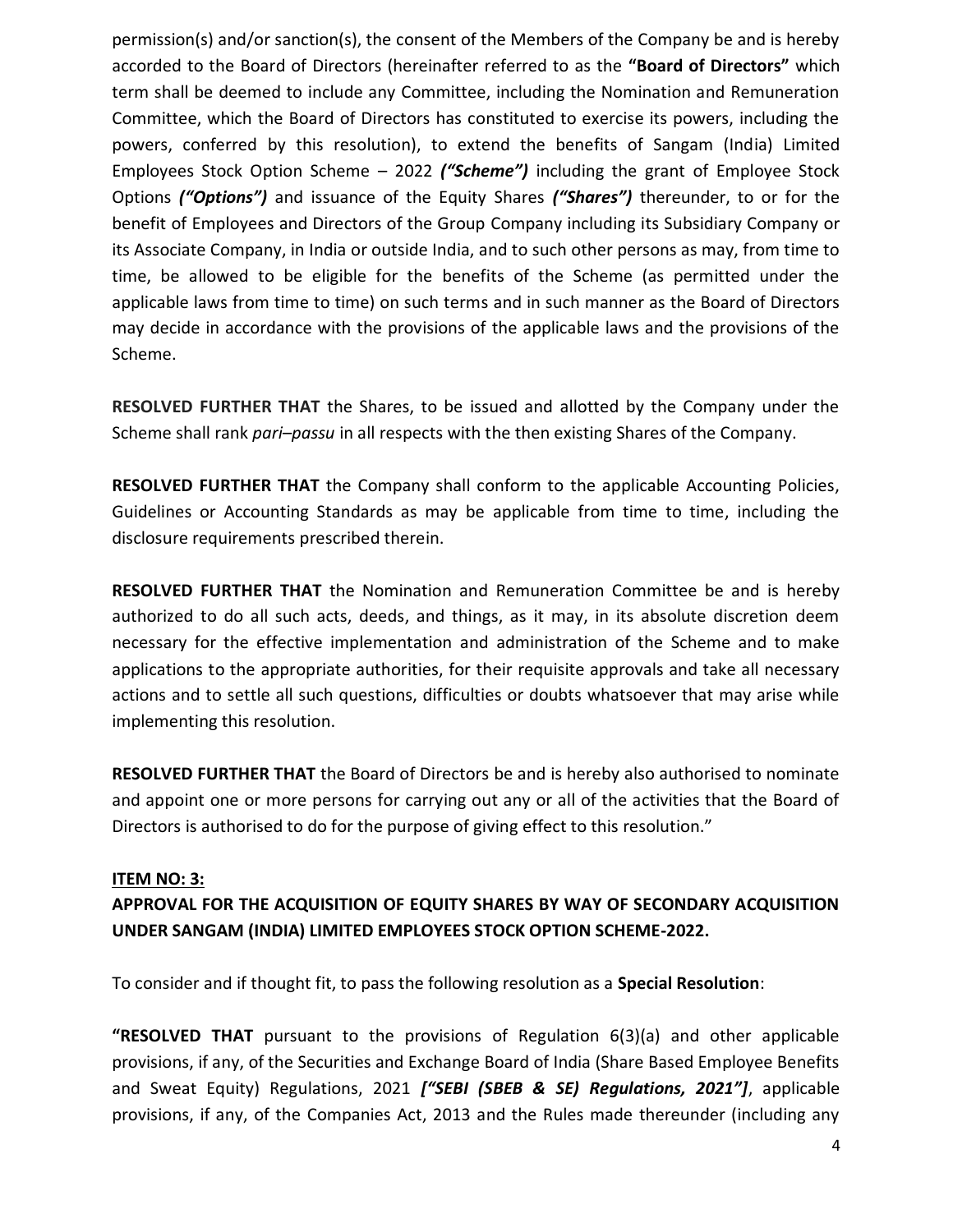permission(s) and/or sanction(s), the consent of the Members of the Company be and is hereby accorded to the Board of Directors (hereinafter referred to as the **"Board of Directors"** which term shall be deemed to include any Committee, including the Nomination and Remuneration Committee, which the Board of Directors has constituted to exercise its powers, including the powers, conferred by this resolution), to extend the benefits of Sangam (India) Limited Employees Stock Option Scheme – 2022 *("Scheme")* including the grant of Employee Stock Options *("Options")* and issuance of the Equity Shares *("Shares")* thereunder, to or for the benefit of Employees and Directors of the Group Company including its Subsidiary Company or its Associate Company, in India or outside India, and to such other persons as may, from time to time, be allowed to be eligible for the benefits of the Scheme (as permitted under the applicable laws from time to time) on such terms and in such manner as the Board of Directors may decide in accordance with the provisions of the applicable laws and the provisions of the Scheme.

**RESOLVED FURTHER THAT** the Shares, to be issued and allotted by the Company under the Scheme shall rank *pari–passu* in all respects with the then existing Shares of the Company.

**RESOLVED FURTHER THAT** the Company shall conform to the applicable Accounting Policies, Guidelines or Accounting Standards as may be applicable from time to time, including the disclosure requirements prescribed therein.

**RESOLVED FURTHER THAT** the Nomination and Remuneration Committee be and is hereby authorized to do all such acts, deeds, and things, as it may, in its absolute discretion deem necessary for the effective implementation and administration of the Scheme and to make applications to the appropriate authorities, for their requisite approvals and take all necessary actions and to settle all such questions, difficulties or doubts whatsoever that may arise while implementing this resolution.

**RESOLVED FURTHER THAT** the Board of Directors be and is hereby also authorised to nominate and appoint one or more persons for carrying out any or all of the activities that the Board of Directors is authorised to do for the purpose of giving effect to this resolution."

## **ITEM NO: 3:**

# **APPROVAL FOR THE ACQUISITION OF EQUITY SHARES BY WAY OF SECONDARY ACQUISITION UNDER SANGAM (INDIA) LIMITED EMPLOYEES STOCK OPTION SCHEME-2022.**

To consider and if thought fit, to pass the following resolution as a **Special Resolution**:

**"RESOLVED THAT** pursuant to the provisions of Regulation 6(3)(a) and other applicable provisions, if any, of the Securities and Exchange Board of India (Share Based Employee Benefits and Sweat Equity) Regulations, 2021 *["SEBI (SBEB & SE) Regulations, 2021"]*, applicable provisions, if any, of the Companies Act, 2013 and the Rules made thereunder (including any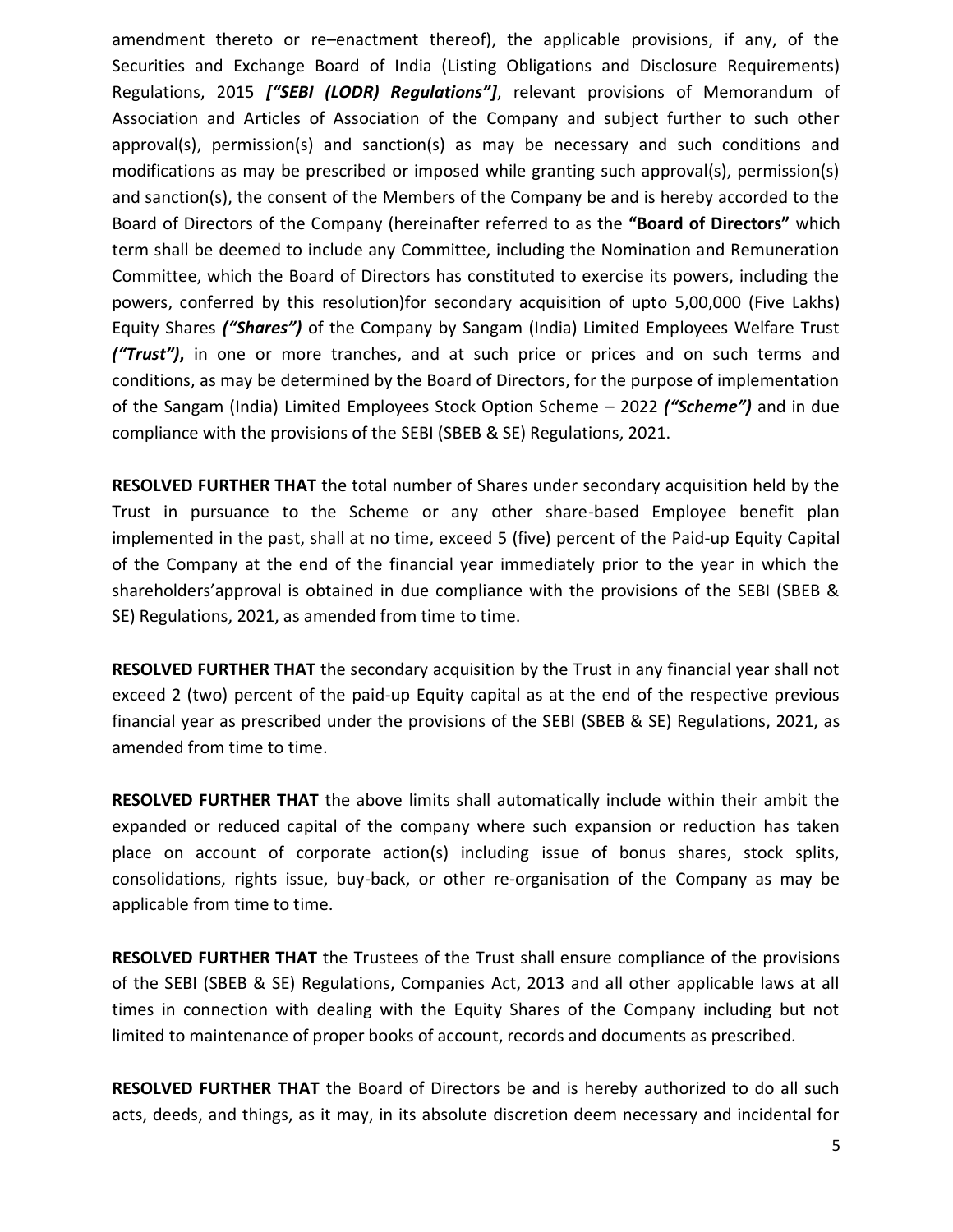amendment thereto or re–enactment thereof), the applicable provisions, if any, of the Securities and Exchange Board of India (Listing Obligations and Disclosure Requirements) Regulations, 2015 *["SEBI (LODR) Regulations"]*, relevant provisions of Memorandum of Association and Articles of Association of the Company and subject further to such other approval(s), permission(s) and sanction(s) as may be necessary and such conditions and modifications as may be prescribed or imposed while granting such approval(s), permission(s) and sanction(s), the consent of the Members of the Company be and is hereby accorded to the Board of Directors of the Company (hereinafter referred to as the **"Board of Directors"** which term shall be deemed to include any Committee, including the Nomination and Remuneration Committee, which the Board of Directors has constituted to exercise its powers, including the powers, conferred by this resolution)for secondary acquisition of upto 5,00,000 (Five Lakhs) Equity Shares *("Shares")* of the Company by Sangam (India) Limited Employees Welfare Trust *("Trust")***,** in one or more tranches, and at such price or prices and on such terms and conditions, as may be determined by the Board of Directors, for the purpose of implementation of the Sangam (India) Limited Employees Stock Option Scheme – 2022 *("Scheme")* and in due compliance with the provisions of the SEBI (SBEB & SE) Regulations, 2021.

**RESOLVED FURTHER THAT** the total number of Shares under secondary acquisition held by the Trust in pursuance to the Scheme or any other share-based Employee benefit plan implemented in the past, shall at no time, exceed 5 (five) percent of the Paid-up Equity Capital of the Company at the end of the financial year immediately prior to the year in which the shareholders'approval is obtained in due compliance with the provisions of the SEBI (SBEB & SE) Regulations, 2021, as amended from time to time.

**RESOLVED FURTHER THAT** the secondary acquisition by the Trust in any financial year shall not exceed 2 (two) percent of the paid-up Equity capital as at the end of the respective previous financial year as prescribed under the provisions of the SEBI (SBEB & SE) Regulations, 2021, as amended from time to time.

**RESOLVED FURTHER THAT** the above limits shall automatically include within their ambit the expanded or reduced capital of the company where such expansion or reduction has taken place on account of corporate action(s) including issue of bonus shares, stock splits, consolidations, rights issue, buy-back, or other re-organisation of the Company as may be applicable from time to time.

**RESOLVED FURTHER THAT** the Trustees of the Trust shall ensure compliance of the provisions of the SEBI (SBEB & SE) Regulations, Companies Act, 2013 and all other applicable laws at all times in connection with dealing with the Equity Shares of the Company including but not limited to maintenance of proper books of account, records and documents as prescribed.

**RESOLVED FURTHER THAT** the Board of Directors be and is hereby authorized to do all such acts, deeds, and things, as it may, in its absolute discretion deem necessary and incidental for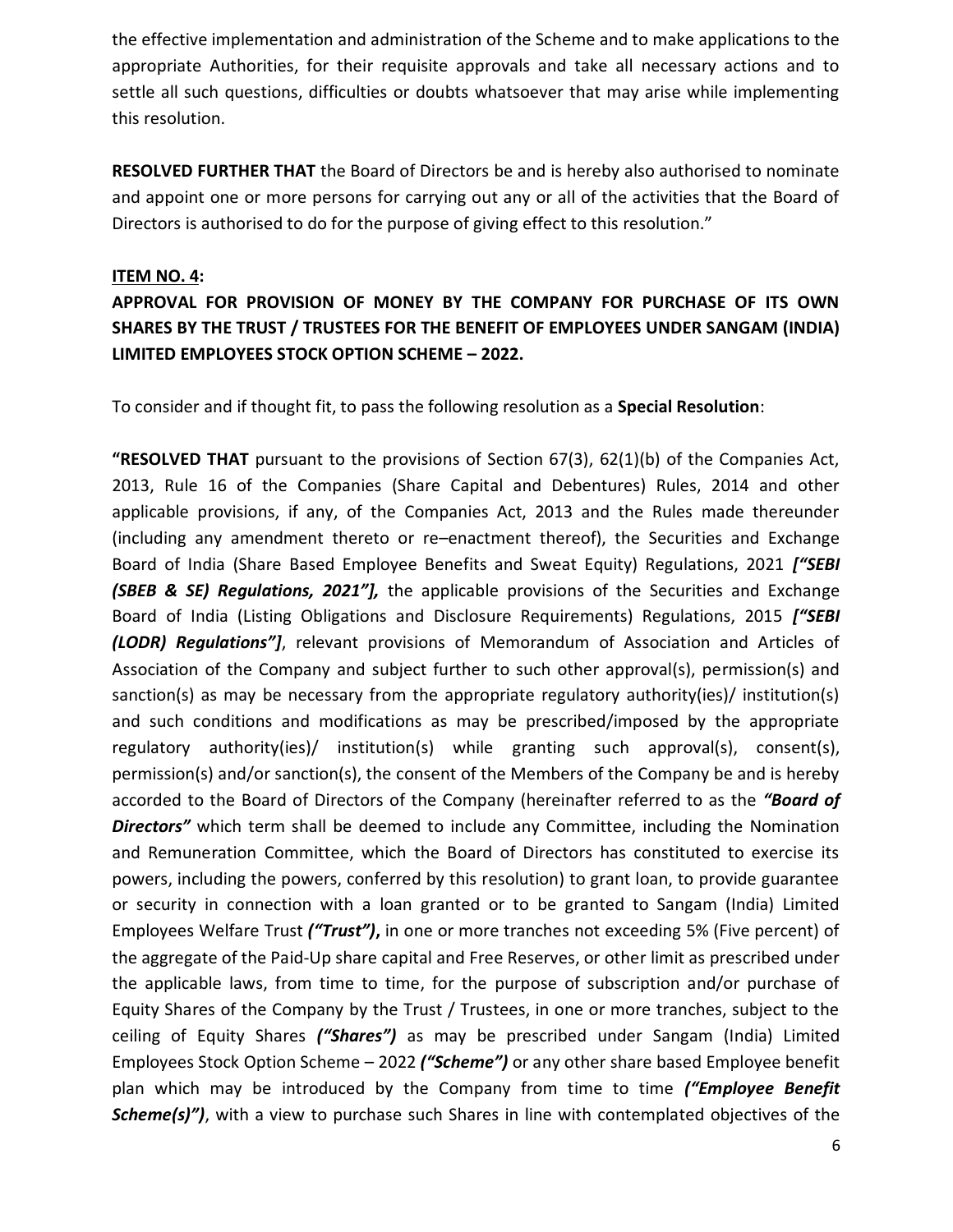the effective implementation and administration of the Scheme and to make applications to the appropriate Authorities, for their requisite approvals and take all necessary actions and to settle all such questions, difficulties or doubts whatsoever that may arise while implementing this resolution.

**RESOLVED FURTHER THAT** the Board of Directors be and is hereby also authorised to nominate and appoint one or more persons for carrying out any or all of the activities that the Board of Directors is authorised to do for the purpose of giving effect to this resolution."

#### **ITEM NO. 4:**

# **APPROVAL FOR PROVISION OF MONEY BY THE COMPANY FOR PURCHASE OF ITS OWN SHARES BY THE TRUST / TRUSTEES FOR THE BENEFIT OF EMPLOYEES UNDER SANGAM (INDIA) LIMITED EMPLOYEES STOCK OPTION SCHEME – 2022.**

To consider and if thought fit, to pass the following resolution as a **Special Resolution**:

**"RESOLVED THAT** pursuant to the provisions of Section 67(3), 62(1)(b) of the Companies Act, 2013, Rule 16 of the Companies (Share Capital and Debentures) Rules, 2014 and other applicable provisions, if any, of the Companies Act, 2013 and the Rules made thereunder (including any amendment thereto or re–enactment thereof), the Securities and Exchange Board of India (Share Based Employee Benefits and Sweat Equity) Regulations, 2021 *["SEBI (SBEB & SE) Regulations, 2021"],* the applicable provisions of the Securities and Exchange Board of India (Listing Obligations and Disclosure Requirements) Regulations, 2015 *["SEBI (LODR) Regulations"]*, relevant provisions of Memorandum of Association and Articles of Association of the Company and subject further to such other approval(s), permission(s) and sanction(s) as may be necessary from the appropriate regulatory authority(ies)/ institution(s) and such conditions and modifications as may be prescribed/imposed by the appropriate regulatory authority(ies)/ institution(s) while granting such approval(s), consent(s), permission(s) and/or sanction(s), the consent of the Members of the Company be and is hereby accorded to the Board of Directors of the Company (hereinafter referred to as the *"Board of*  **Directors"** which term shall be deemed to include any Committee, including the Nomination and Remuneration Committee, which the Board of Directors has constituted to exercise its powers, including the powers, conferred by this resolution) to grant loan, to provide guarantee or security in connection with a loan granted or to be granted to Sangam (India) Limited Employees Welfare Trust *("Trust")***,** in one or more tranches not exceeding 5% (Five percent) of the aggregate of the Paid-Up share capital and Free Reserves, or other limit as prescribed under the applicable laws, from time to time, for the purpose of subscription and/or purchase of Equity Shares of the Company by the Trust / Trustees, in one or more tranches, subject to the ceiling of Equity Shares *("Shares")* as may be prescribed under Sangam (India) Limited Employees Stock Option Scheme – 2022 *("Scheme")* or any other share based Employee benefit plan which may be introduced by the Company from time to time *("Employee Benefit*  **Scheme(s)")**, with a view to purchase such Shares in line with contemplated objectives of the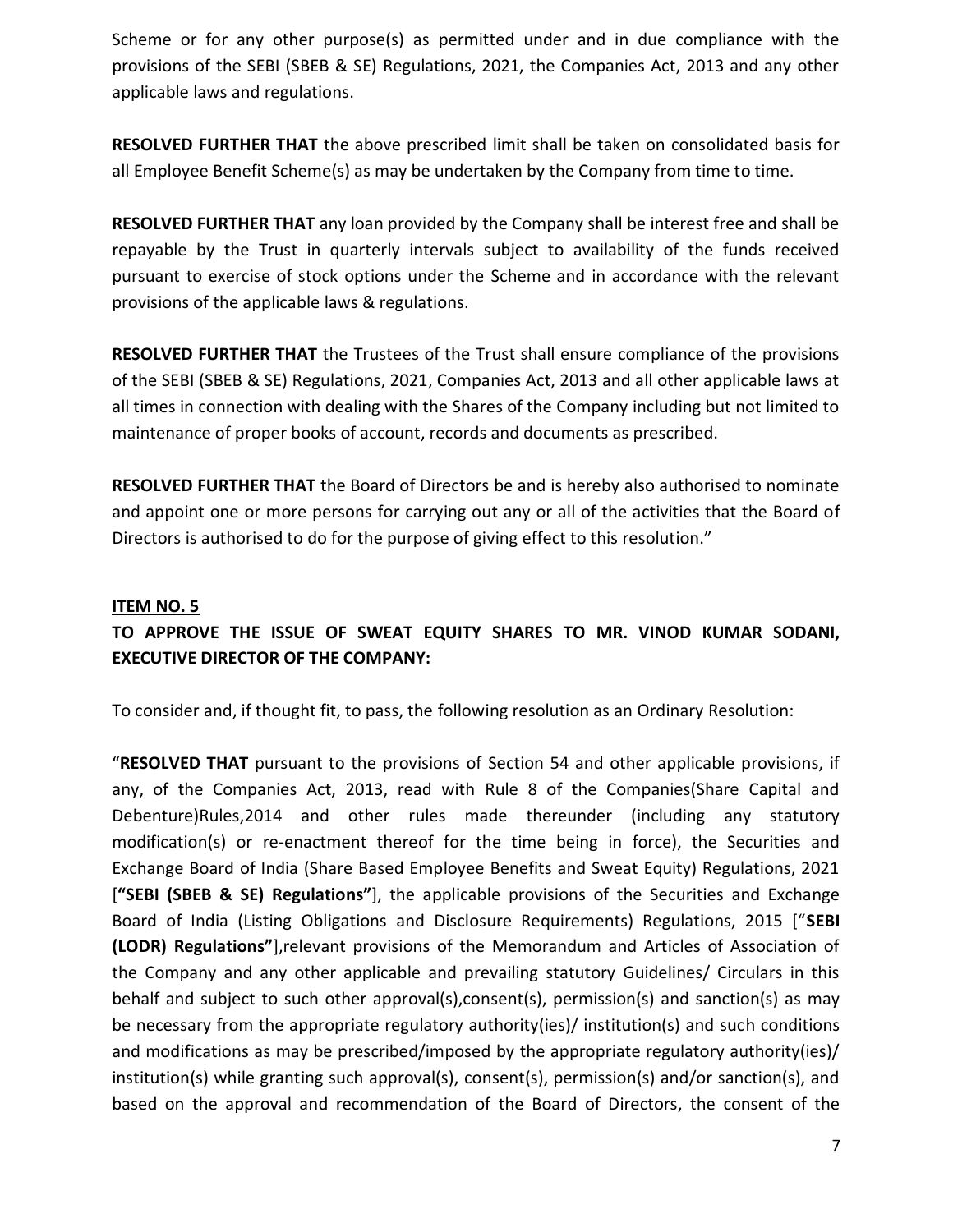Scheme or for any other purpose(s) as permitted under and in due compliance with the provisions of the SEBI (SBEB & SE) Regulations, 2021, the Companies Act, 2013 and any other applicable laws and regulations.

**RESOLVED FURTHER THAT** the above prescribed limit shall be taken on consolidated basis for all Employee Benefit Scheme(s) as may be undertaken by the Company from time to time.

**RESOLVED FURTHER THAT** any loan provided by the Company shall be interest free and shall be repayable by the Trust in quarterly intervals subject to availability of the funds received pursuant to exercise of stock options under the Scheme and in accordance with the relevant provisions of the applicable laws & regulations.

**RESOLVED FURTHER THAT** the Trustees of the Trust shall ensure compliance of the provisions of the SEBI (SBEB & SE) Regulations, 2021, Companies Act, 2013 and all other applicable laws at all times in connection with dealing with the Shares of the Company including but not limited to maintenance of proper books of account, records and documents as prescribed.

**RESOLVED FURTHER THAT** the Board of Directors be and is hereby also authorised to nominate and appoint one or more persons for carrying out any or all of the activities that the Board of Directors is authorised to do for the purpose of giving effect to this resolution."

#### **ITEM NO. 5**

# **TO APPROVE THE ISSUE OF SWEAT EQUITY SHARES TO MR. VINOD KUMAR SODANI, EXECUTIVE DIRECTOR OF THE COMPANY:**

To consider and, if thought fit, to pass, the following resolution as an Ordinary Resolution:

"**RESOLVED THAT** pursuant to the provisions of Section 54 and other applicable provisions, if any, of the Companies Act, 2013, read with Rule 8 of the Companies(Share Capital and Debenture)Rules,2014 and other rules made thereunder (including any statutory modification(s) or re-enactment thereof for the time being in force), the Securities and Exchange Board of India (Share Based Employee Benefits and Sweat Equity) Regulations, 2021 [**"SEBI (SBEB & SE) Regulations"**], the applicable provisions of the Securities and Exchange Board of India (Listing Obligations and Disclosure Requirements) Regulations, 2015 ["**SEBI (LODR) Regulations"**],relevant provisions of the Memorandum and Articles of Association of the Company and any other applicable and prevailing statutory Guidelines/ Circulars in this behalf and subject to such other approval(s),consent(s), permission(s) and sanction(s) as may be necessary from the appropriate regulatory authority(ies)/ institution(s) and such conditions and modifications as may be prescribed/imposed by the appropriate regulatory authority(ies)/ institution(s) while granting such approval(s), consent(s), permission(s) and/or sanction(s), and based on the approval and recommendation of the Board of Directors, the consent of the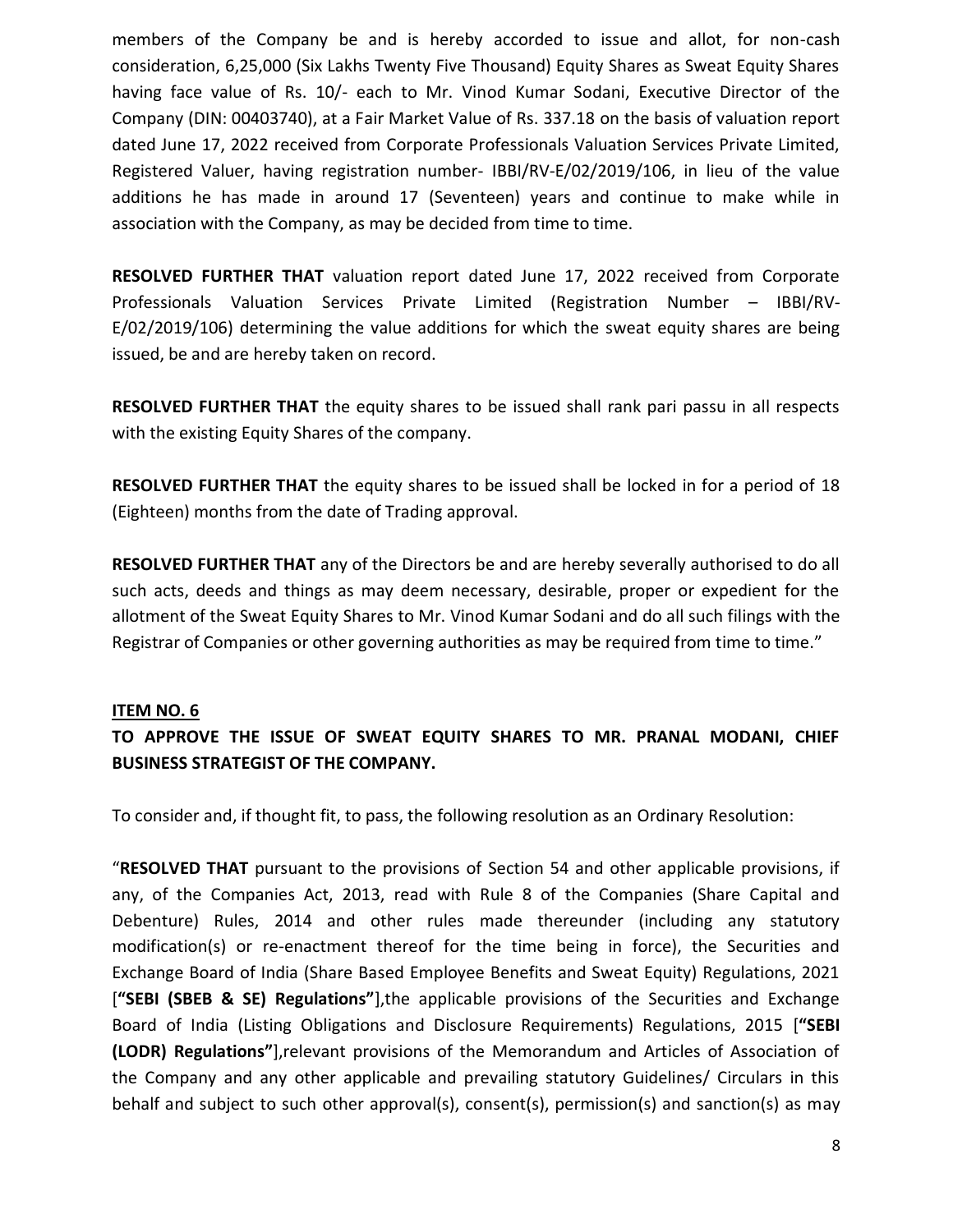members of the Company be and is hereby accorded to issue and allot, for non-cash consideration, 6,25,000 (Six Lakhs Twenty Five Thousand) Equity Shares as Sweat Equity Shares having face value of Rs. 10/- each to Mr. Vinod Kumar Sodani, Executive Director of the Company (DIN: 00403740), at a Fair Market Value of Rs. 337.18 on the basis of valuation report dated June 17, 2022 received from Corporate Professionals Valuation Services Private Limited, Registered Valuer, having registration number- IBBI/RV-E/02/2019/106, in lieu of the value additions he has made in around 17 (Seventeen) years and continue to make while in association with the Company, as may be decided from time to time.

**RESOLVED FURTHER THAT** valuation report dated June 17, 2022 received from Corporate Professionals Valuation Services Private Limited (Registration Number – IBBI/RV-E/02/2019/106) determining the value additions for which the sweat equity shares are being issued, be and are hereby taken on record.

**RESOLVED FURTHER THAT** the equity shares to be issued shall rank pari passu in all respects with the existing Equity Shares of the company.

**RESOLVED FURTHER THAT** the equity shares to be issued shall be locked in for a period of 18 (Eighteen) months from the date of Trading approval.

**RESOLVED FURTHER THAT** any of the Directors be and are hereby severally authorised to do all such acts, deeds and things as may deem necessary, desirable, proper or expedient for the allotment of the Sweat Equity Shares to Mr. Vinod Kumar Sodani and do all such filings with the Registrar of Companies or other governing authorities as may be required from time to time."

#### **ITEM NO. 6**

# **TO APPROVE THE ISSUE OF SWEAT EQUITY SHARES TO MR. PRANAL MODANI, CHIEF BUSINESS STRATEGIST OF THE COMPANY.**

To consider and, if thought fit, to pass, the following resolution as an Ordinary Resolution:

"**RESOLVED THAT** pursuant to the provisions of Section 54 and other applicable provisions, if any, of the Companies Act, 2013, read with Rule 8 of the Companies (Share Capital and Debenture) Rules, 2014 and other rules made thereunder (including any statutory modification(s) or re-enactment thereof for the time being in force), the Securities and Exchange Board of India (Share Based Employee Benefits and Sweat Equity) Regulations, 2021 [**"SEBI (SBEB & SE) Regulations"**],the applicable provisions of the Securities and Exchange Board of India (Listing Obligations and Disclosure Requirements) Regulations, 2015 [**"SEBI (LODR) Regulations"**],relevant provisions of the Memorandum and Articles of Association of the Company and any other applicable and prevailing statutory Guidelines/ Circulars in this behalf and subject to such other approval(s), consent(s), permission(s) and sanction(s) as may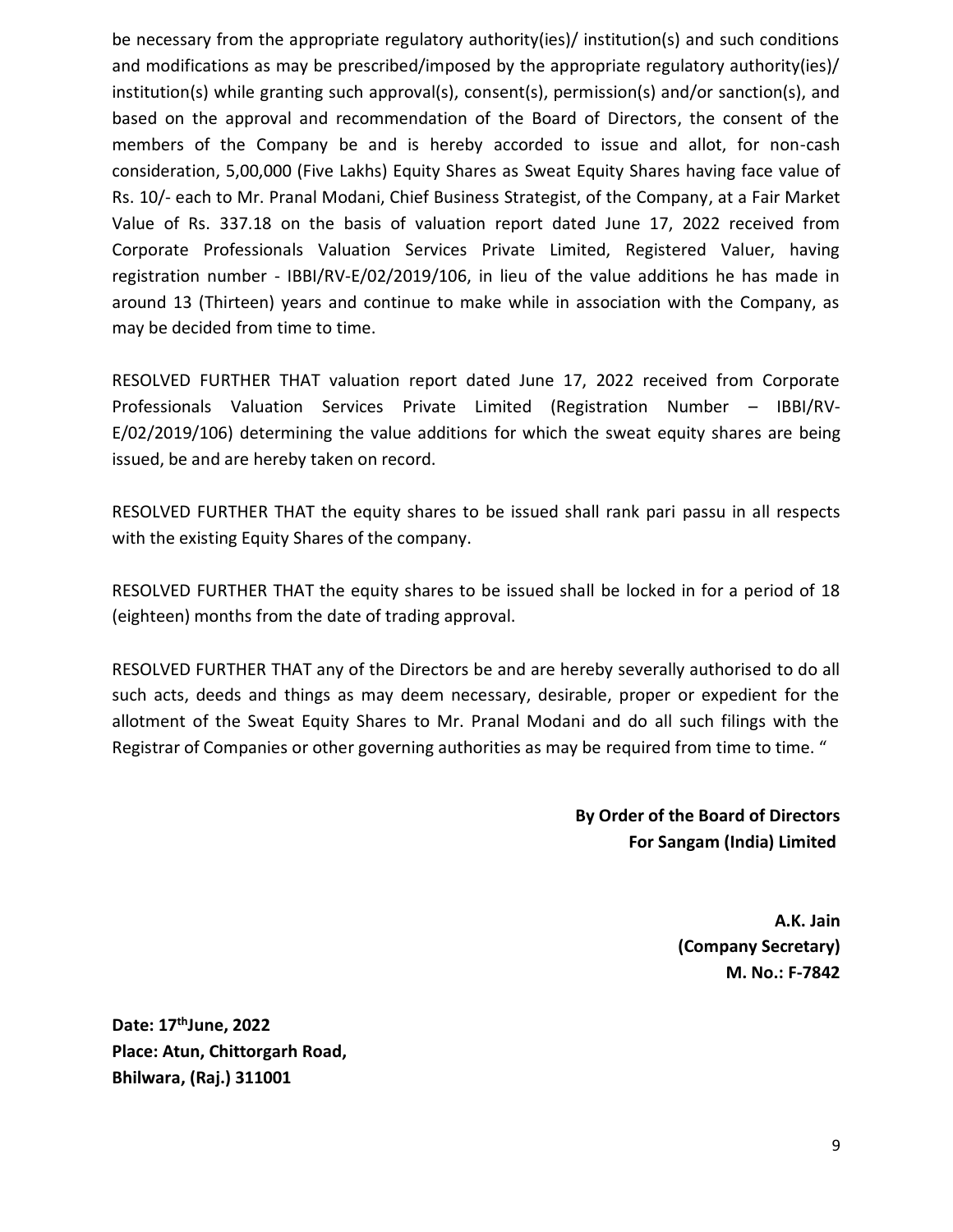be necessary from the appropriate regulatory authority(ies)/ institution(s) and such conditions and modifications as may be prescribed/imposed by the appropriate regulatory authority(ies)/ institution(s) while granting such approval(s), consent(s), permission(s) and/or sanction(s), and based on the approval and recommendation of the Board of Directors, the consent of the members of the Company be and is hereby accorded to issue and allot, for non-cash consideration, 5,00,000 (Five Lakhs) Equity Shares as Sweat Equity Shares having face value of Rs. 10/- each to Mr. Pranal Modani, Chief Business Strategist, of the Company, at a Fair Market Value of Rs. 337.18 on the basis of valuation report dated June 17, 2022 received from Corporate Professionals Valuation Services Private Limited, Registered Valuer, having registration number - IBBI/RV-E/02/2019/106, in lieu of the value additions he has made in around 13 (Thirteen) years and continue to make while in association with the Company, as may be decided from time to time.

RESOLVED FURTHER THAT valuation report dated June 17, 2022 received from Corporate Professionals Valuation Services Private Limited (Registration Number – IBBI/RV-E/02/2019/106) determining the value additions for which the sweat equity shares are being issued, be and are hereby taken on record.

RESOLVED FURTHER THAT the equity shares to be issued shall rank pari passu in all respects with the existing Equity Shares of the company.

RESOLVED FURTHER THAT the equity shares to be issued shall be locked in for a period of 18 (eighteen) months from the date of trading approval.

RESOLVED FURTHER THAT any of the Directors be and are hereby severally authorised to do all such acts, deeds and things as may deem necessary, desirable, proper or expedient for the allotment of the Sweat Equity Shares to Mr. Pranal Modani and do all such filings with the Registrar of Companies or other governing authorities as may be required from time to time. "

## **By Order of the Board of Directors For Sangam (India) Limited**

**A.K. Jain (Company Secretary) M. No.: F-7842**

**Date: 17 thJune, 2022 Place: Atun, Chittorgarh Road, Bhilwara, (Raj.) 311001**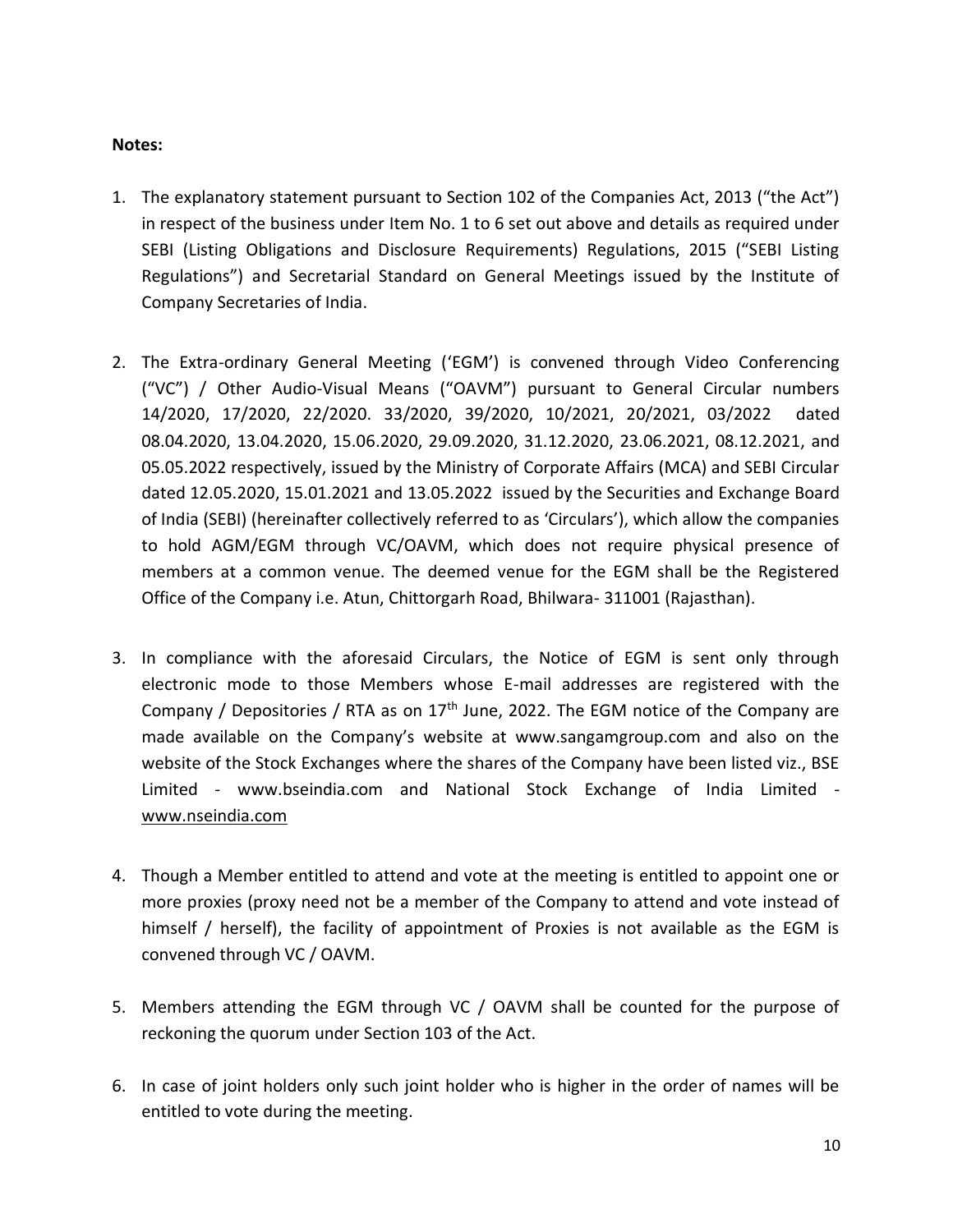#### **Notes:**

- 1. The explanatory statement pursuant to Section 102 of the Companies Act, 2013 ("the Act") in respect of the business under Item No. 1 to 6 set out above and details as required under SEBI (Listing Obligations and Disclosure Requirements) Regulations, 2015 ("SEBI Listing Regulations") and Secretarial Standard on General Meetings issued by the Institute of Company Secretaries of India.
- 2. The Extra-ordinary General Meeting ('EGM') is convened through Video Conferencing ("VC") / Other Audio-Visual Means ("OAVM") pursuant to General Circular numbers 14/2020, 17/2020, 22/2020. 33/2020, 39/2020, 10/2021, 20/2021, 03/2022 dated 08.04.2020, 13.04.2020, 15.06.2020, 29.09.2020, 31.12.2020, 23.06.2021, 08.12.2021, and 05.05.2022 respectively, issued by the Ministry of Corporate Affairs (MCA) and SEBI Circular dated 12.05.2020, 15.01.2021 and 13.05.2022 issued by the Securities and Exchange Board of India (SEBI) (hereinafter collectively referred to as 'Circulars'), which allow the companies to hold AGM/EGM through VC/OAVM, which does not require physical presence of members at a common venue. The deemed venue for the EGM shall be the Registered Office of the Company i.e. Atun, Chittorgarh Road, Bhilwara- 311001 (Rajasthan).
- 3. In compliance with the aforesaid Circulars, the Notice of EGM is sent only through electronic mode to those Members whose E-mail addresses are registered with the Company / Depositories / RTA as on  $17<sup>th</sup>$  June, 2022. The EGM notice of the Company are made available on the Company's website at www.sangamgroup.com and also on the website of the Stock Exchanges where the shares of the Company have been listed viz., BSE Limited - www.bseindia.com and National Stock Exchange of India Limited [www.nseindia.com](http://www.nseindia.com/)
- 4. Though a Member entitled to attend and vote at the meeting is entitled to appoint one or more proxies (proxy need not be a member of the Company to attend and vote instead of himself / herself), the facility of appointment of Proxies is not available as the EGM is convened through VC / OAVM.
- 5. Members attending the EGM through VC / OAVM shall be counted for the purpose of reckoning the quorum under Section 103 of the Act.
- 6. In case of joint holders only such joint holder who is higher in the order of names will be entitled to vote during the meeting.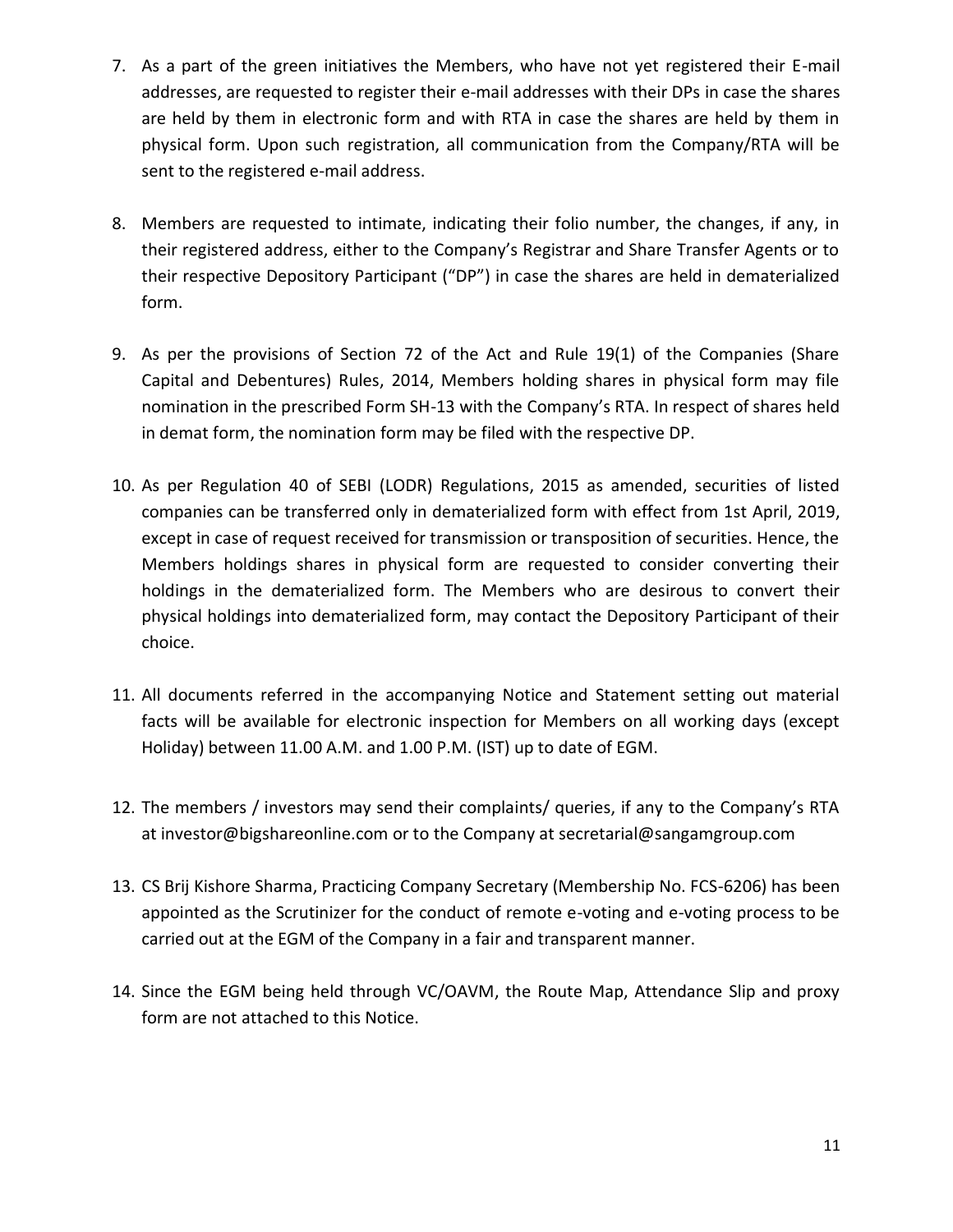- 7. As a part of the green initiatives the Members, who have not yet registered their E-mail addresses, are requested to register their e-mail addresses with their DPs in case the shares are held by them in electronic form and with RTA in case the shares are held by them in physical form. Upon such registration, all communication from the Company/RTA will be sent to the registered e-mail address.
- 8. Members are requested to intimate, indicating their folio number, the changes, if any, in their registered address, either to the Company's Registrar and Share Transfer Agents or to their respective Depository Participant ("DP") in case the shares are held in dematerialized form.
- 9. As per the provisions of Section 72 of the Act and Rule 19(1) of the Companies (Share Capital and Debentures) Rules, 2014, Members holding shares in physical form may file nomination in the prescribed Form SH-13 with the Company's RTA. In respect of shares held in demat form, the nomination form may be filed with the respective DP.
- 10. As per Regulation 40 of SEBI (LODR) Regulations, 2015 as amended, securities of listed companies can be transferred only in dematerialized form with effect from 1st April, 2019, except in case of request received for transmission or transposition of securities. Hence, the Members holdings shares in physical form are requested to consider converting their holdings in the dematerialized form. The Members who are desirous to convert their physical holdings into dematerialized form, may contact the Depository Participant of their choice.
- 11. All documents referred in the accompanying Notice and Statement setting out material facts will be available for electronic inspection for Members on all working days (except Holiday) between 11.00 A.M. and 1.00 P.M. (IST) up to date of EGM.
- 12. The members / investors may send their complaints/ queries, if any to the Company's RTA at investor@bigshareonline.com or to the Company at secretarial@sangamgroup.com
- 13. CS Brij Kishore Sharma, Practicing Company Secretary (Membership No. FCS-6206) has been appointed as the Scrutinizer for the conduct of remote e-voting and e-voting process to be carried out at the EGM of the Company in a fair and transparent manner.
- 14. Since the EGM being held through VC/OAVM, the Route Map, Attendance Slip and proxy form are not attached to this Notice.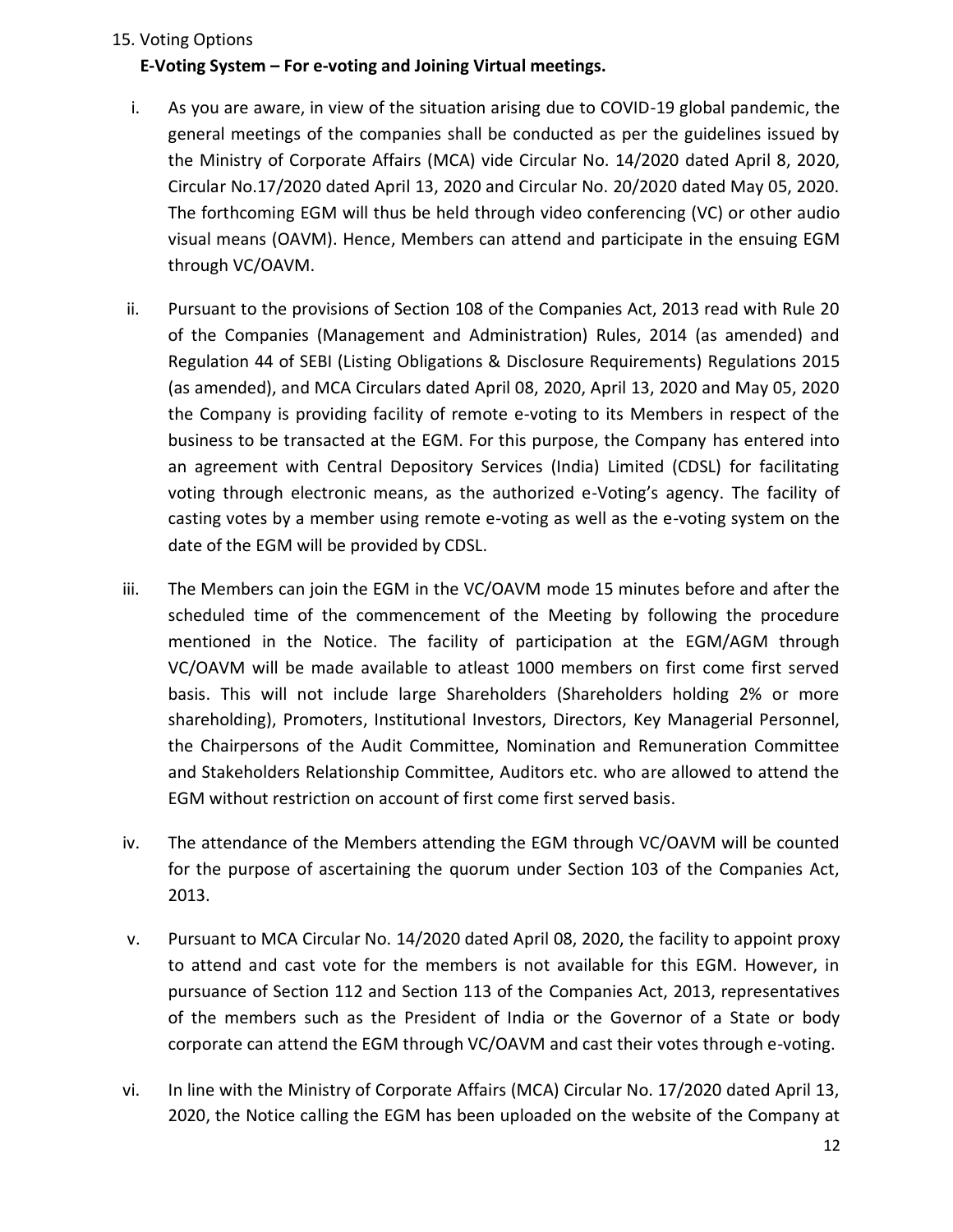#### 15. Voting Options

#### **E-Voting System – For e-voting and Joining Virtual meetings.**

- i. As you are aware, in view of the situation arising due to COVID-19 global pandemic, the general meetings of the companies shall be conducted as per the guidelines issued by the Ministry of Corporate Affairs (MCA) vide Circular No. 14/2020 dated April 8, 2020, Circular No.17/2020 dated April 13, 2020 and Circular No. 20/2020 dated May 05, 2020. The forthcoming EGM will thus be held through video conferencing (VC) or other audio visual means (OAVM). Hence, Members can attend and participate in the ensuing EGM through VC/OAVM.
- ii. Pursuant to the provisions of Section 108 of the Companies Act, 2013 read with Rule 20 of the Companies (Management and Administration) Rules, 2014 (as amended) and Regulation 44 of SEBI (Listing Obligations & Disclosure Requirements) Regulations 2015 (as amended), and MCA Circulars dated April 08, 2020, April 13, 2020 and May 05, 2020 the Company is providing facility of remote e-voting to its Members in respect of the business to be transacted at the EGM. For this purpose, the Company has entered into an agreement with Central Depository Services (India) Limited (CDSL) for facilitating voting through electronic means, as the authorized e-Voting's agency. The facility of casting votes by a member using remote e-voting as well as the e-voting system on the date of the EGM will be provided by CDSL.
- iii. The Members can join the EGM in the VC/OAVM mode 15 minutes before and after the scheduled time of the commencement of the Meeting by following the procedure mentioned in the Notice. The facility of participation at the EGM/AGM through VC/OAVM will be made available to atleast 1000 members on first come first served basis. This will not include large Shareholders (Shareholders holding 2% or more shareholding), Promoters, Institutional Investors, Directors, Key Managerial Personnel, the Chairpersons of the Audit Committee, Nomination and Remuneration Committee and Stakeholders Relationship Committee, Auditors etc. who are allowed to attend the EGM without restriction on account of first come first served basis.
- iv. The attendance of the Members attending the EGM through VC/OAVM will be counted for the purpose of ascertaining the quorum under Section 103 of the Companies Act, 2013.
- v. Pursuant to MCA Circular No. 14/2020 dated April 08, 2020, the facility to appoint proxy to attend and cast vote for the members is not available for this EGM. However, in pursuance of Section 112 and Section 113 of the Companies Act, 2013, representatives of the members such as the President of India or the Governor of a State or body corporate can attend the EGM through VC/OAVM and cast their votes through e-voting.
- vi. In line with the Ministry of Corporate Affairs (MCA) Circular No. 17/2020 dated April 13, 2020, the Notice calling the EGM has been uploaded on the website of the Company at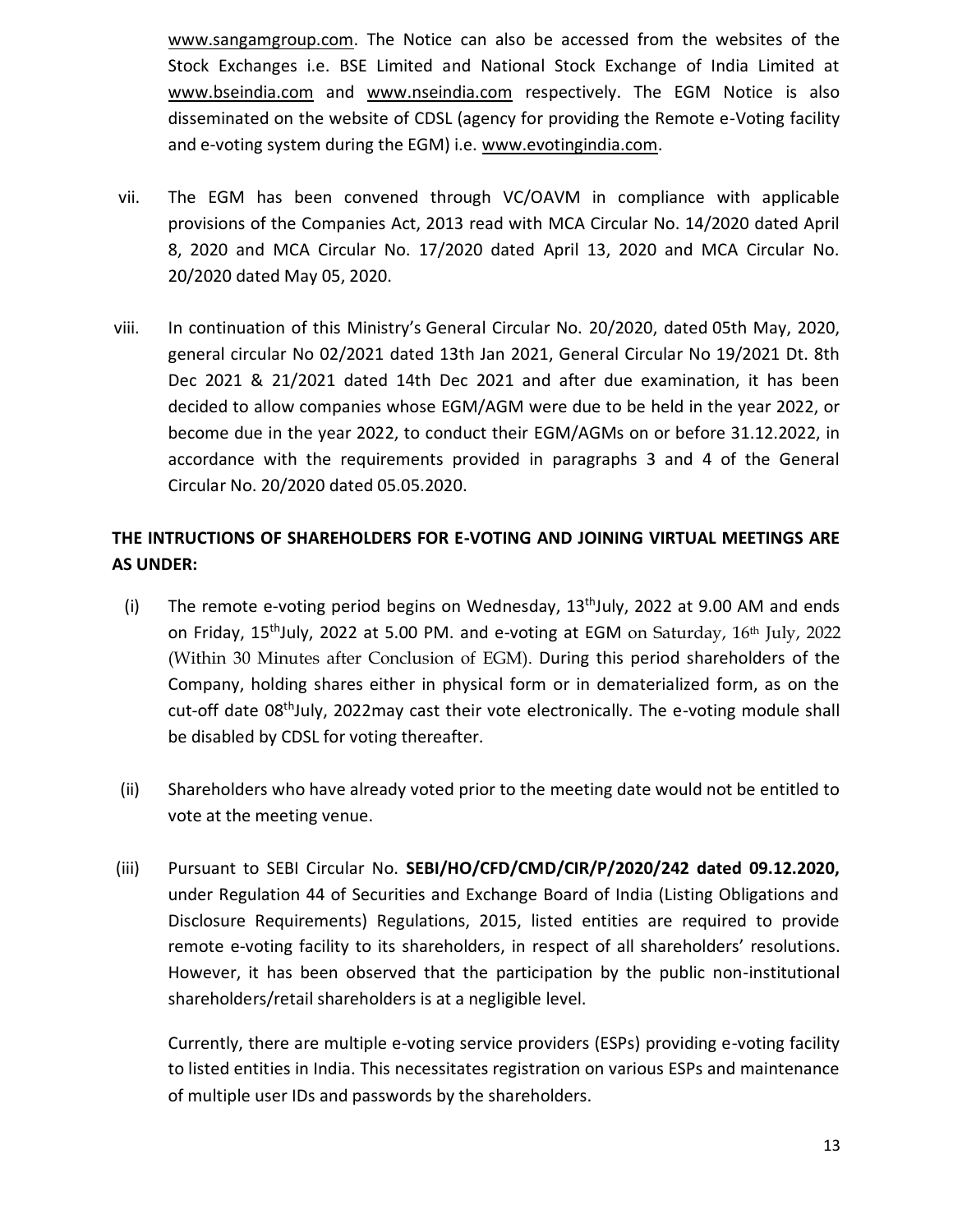[www.sangamgroup.com.](http://www.sangamgroup.com/) The Notice can also be accessed from the websites of the Stock Exchanges i.e. BSE Limited and National Stock Exchange of India Limited at www.bseindia.com and www.nseindia.com respectively. The EGM Notice is also disseminated on the website of CDSL (agency for providing the Remote e-Voting facility and e-voting system during the EGM) i.e. [www.evotingindia.com.](http://www.evotingindia.com/)

- vii. The EGM has been convened through VC/OAVM in compliance with applicable provisions of the Companies Act, 2013 read with MCA Circular No. 14/2020 dated April 8, 2020 and MCA Circular No. 17/2020 dated April 13, 2020 and MCA Circular No. 20/2020 dated May 05, 2020.
- viii. In continuation of this Ministry's [General Circular No. 20/2020,](https://abcaus.in/companies-act/cos-allowed-conduct-agm-video-conferencing-audio-visual-means-during-calendar-year-2020.html) dated 05th May, 2020, general circular No 02/2021 dated 13th Jan 2021, General Circular No 19/2021 Dt. 8th Dec 2021 & 21/2021 dated 14th Dec 2021 and after due examination, it has been decided to allow companies whose EGM/AGM were due to be held in the year 2022, or become due in the year 2022, to conduct their EGM/AGMs on or before 31.12.2022, in accordance with the requirements provided in paragraphs 3 and 4 of the General Circular No. 20/2020 dated 05.05.2020.

# **THE INTRUCTIONS OF SHAREHOLDERS FOR E-VOTING AND JOINING VIRTUAL MEETINGS ARE AS UNDER:**

- (i) The remote e-voting period begins on Wednesday,  $13<sup>th</sup>$ July, 2022 at 9.00 AM and ends on Friday, 15<sup>th</sup>July, 2022 at 5.00 PM. and e-voting at EGM on Saturday,  $16^{th}$  July, 2022 (Within 30 Minutes after Conclusion of EGM). During this period shareholders of the Company, holding shares either in physical form or in dematerialized form, as on the cut-off date 08<sup>th</sup>July, 2022may cast their vote electronically. The e-voting module shall be disabled by CDSL for voting thereafter.
- (ii) Shareholders who have already voted prior to the meeting date would not be entitled to vote at the meeting venue.
- (iii) Pursuant to SEBI Circular No. **SEBI/HO/CFD/CMD/CIR/P/2020/242 dated 09.12.2020,**  under Regulation 44 of Securities and Exchange Board of India (Listing Obligations and Disclosure Requirements) Regulations, 2015, listed entities are required to provide remote e-voting facility to its shareholders, in respect of all shareholders' resolutions. However, it has been observed that the participation by the public non-institutional shareholders/retail shareholders is at a negligible level.

Currently, there are multiple e-voting service providers (ESPs) providing e-voting facility to listed entities in India. This necessitates registration on various ESPs and maintenance of multiple user IDs and passwords by the shareholders.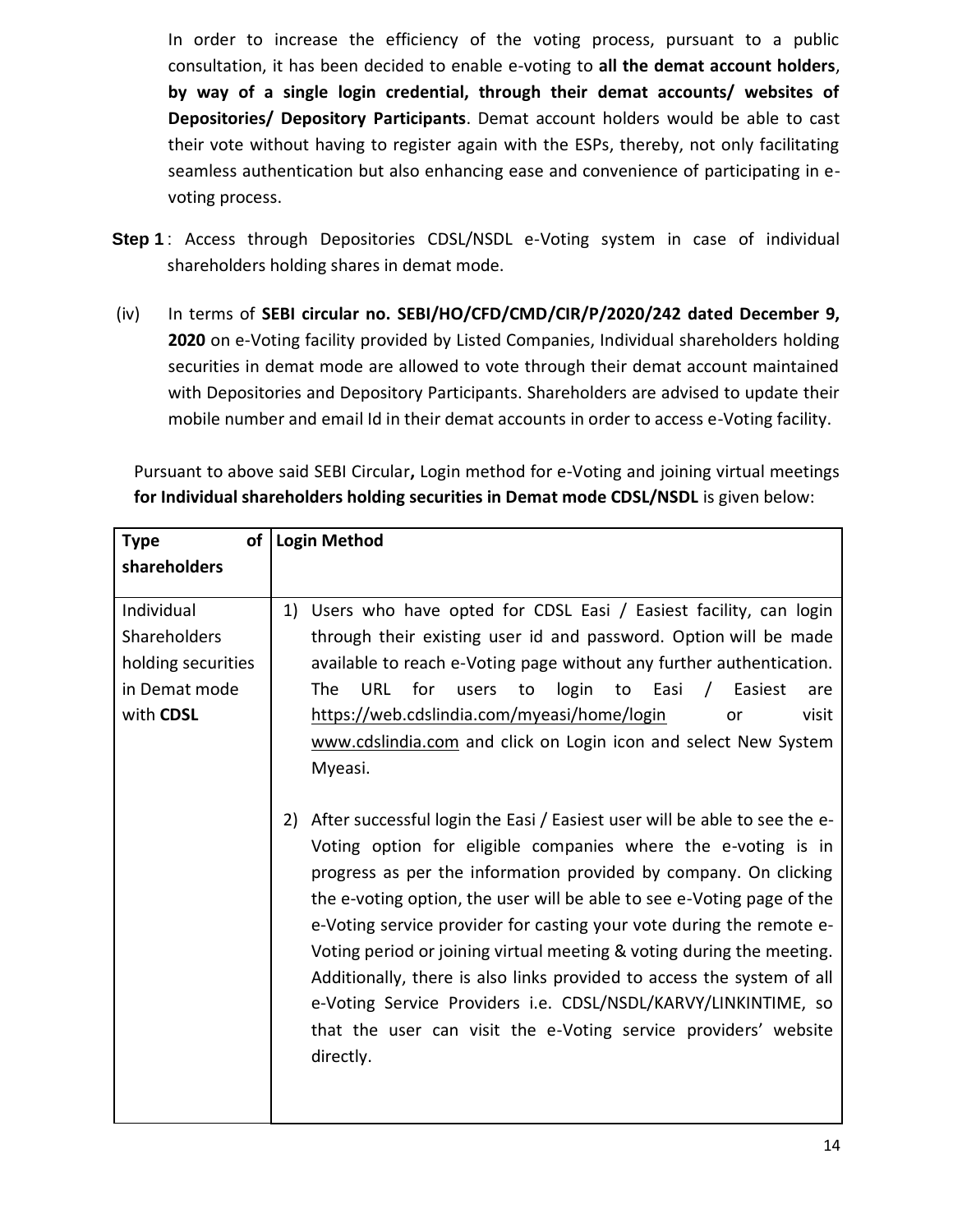In order to increase the efficiency of the voting process, pursuant to a public consultation, it has been decided to enable e-voting to **all the demat account holders**, **by way of a single login credential, through their demat accounts/ websites of Depositories/ Depository Participants**. Demat account holders would be able to cast their vote without having to register again with the ESPs, thereby, not only facilitating seamless authentication but also enhancing ease and convenience of participating in evoting process.

- **Step 1** : Access through Depositories CDSL/NSDL e-Voting system in case of individual shareholders holding shares in demat mode.
- (iv) In terms of **SEBI circular no. SEBI/HO/CFD/CMD/CIR/P/2020/242 dated December 9, 2020** on e-Voting facility provided by Listed Companies, Individual shareholders holding securities in demat mode are allowed to vote through their demat account maintained with Depositories and Depository Participants. Shareholders are advised to update their mobile number and email Id in their demat accounts in order to access e-Voting facility.

Pursuant to above said SEBI Circular**,** Login method for e-Voting and joining virtual meetings **for Individual shareholders holding securities in Demat mode CDSL/NSDL** is given below:

| of<br><b>Type</b>                                                              | <b>Login Method</b>                                                                                                                                                                                                                                                                                                                                                                                                                                                                                                                                                                                                                                                                                                                                                                                                                                                                                                                                                                                                                                                                                                                   |  |
|--------------------------------------------------------------------------------|---------------------------------------------------------------------------------------------------------------------------------------------------------------------------------------------------------------------------------------------------------------------------------------------------------------------------------------------------------------------------------------------------------------------------------------------------------------------------------------------------------------------------------------------------------------------------------------------------------------------------------------------------------------------------------------------------------------------------------------------------------------------------------------------------------------------------------------------------------------------------------------------------------------------------------------------------------------------------------------------------------------------------------------------------------------------------------------------------------------------------------------|--|
| shareholders                                                                   |                                                                                                                                                                                                                                                                                                                                                                                                                                                                                                                                                                                                                                                                                                                                                                                                                                                                                                                                                                                                                                                                                                                                       |  |
| Individual<br>Shareholders<br>holding securities<br>in Demat mode<br>with CDSL | Users who have opted for CDSL Easi / Easiest facility, can login<br>1)<br>through their existing user id and password. Option will be made<br>available to reach e-Voting page without any further authentication.<br>The<br>URL<br>for<br>login to Easi<br>users<br>to<br>Easiest<br>$\frac{1}{2}$<br>are<br>https://web.cdslindia.com/myeasi/home/login<br>visit<br>or<br>www.cdslindia.com and click on Login icon and select New System<br>Myeasi.<br>After successful login the Easi / Easiest user will be able to see the e-<br>2)<br>Voting option for eligible companies where the e-voting is in<br>progress as per the information provided by company. On clicking<br>the e-voting option, the user will be able to see e-Voting page of the<br>e-Voting service provider for casting your vote during the remote e-<br>Voting period or joining virtual meeting & voting during the meeting.<br>Additionally, there is also links provided to access the system of all<br>e-Voting Service Providers i.e. CDSL/NSDL/KARVY/LINKINTIME, so<br>that the user can visit the e-Voting service providers' website<br>directly. |  |
|                                                                                |                                                                                                                                                                                                                                                                                                                                                                                                                                                                                                                                                                                                                                                                                                                                                                                                                                                                                                                                                                                                                                                                                                                                       |  |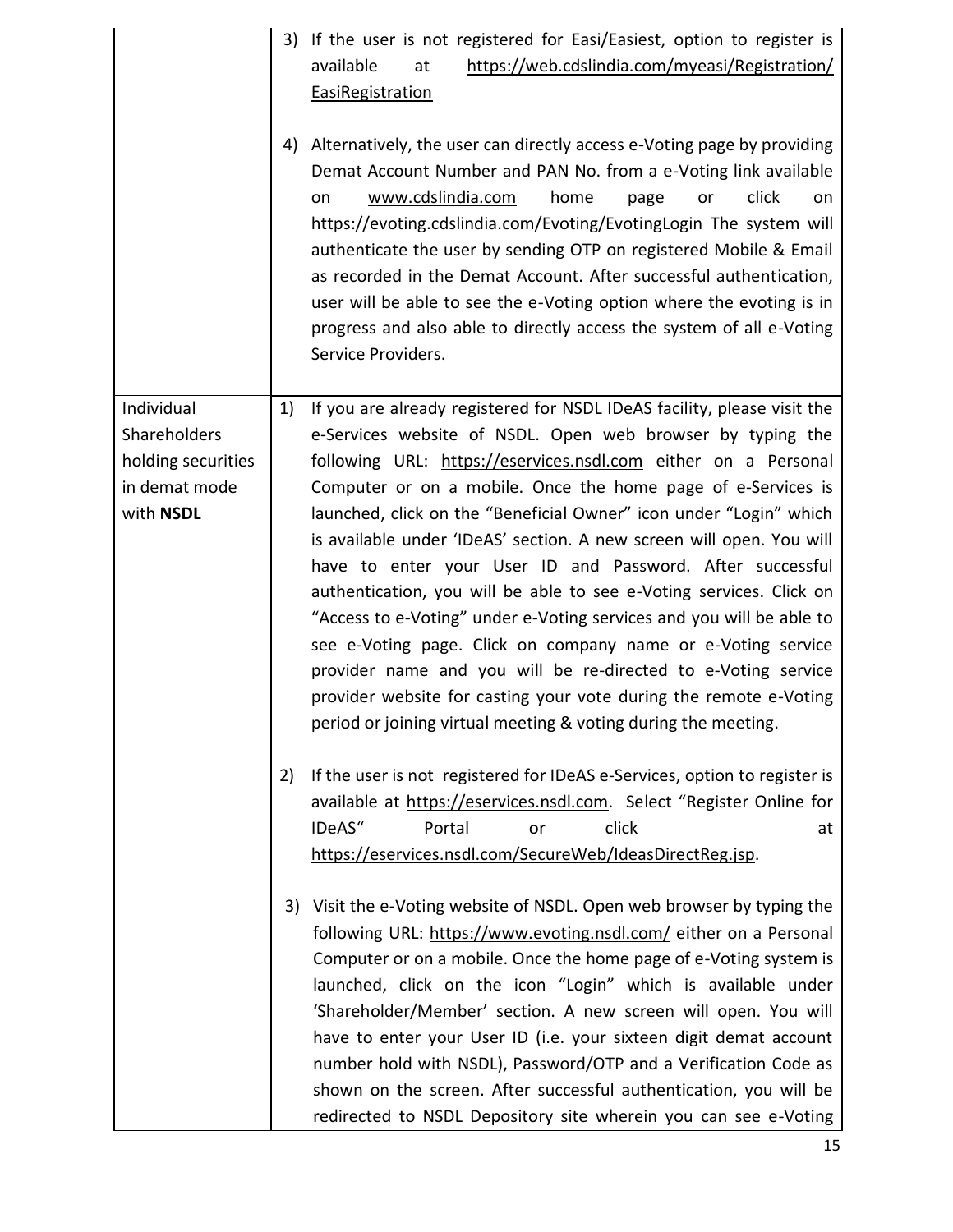|                                                                                | 3) | If the user is not registered for Easi/Easiest, option to register is<br>available<br>https://web.cdslindia.com/myeasi/Registration/<br>at<br><b>EasiRegistration</b>                                                                                                                                                                                                                                                                                                                                                                                                                                                                                                                                                                                                                                                                                                                                     |
|--------------------------------------------------------------------------------|----|-----------------------------------------------------------------------------------------------------------------------------------------------------------------------------------------------------------------------------------------------------------------------------------------------------------------------------------------------------------------------------------------------------------------------------------------------------------------------------------------------------------------------------------------------------------------------------------------------------------------------------------------------------------------------------------------------------------------------------------------------------------------------------------------------------------------------------------------------------------------------------------------------------------|
|                                                                                | 4) | Alternatively, the user can directly access e-Voting page by providing<br>Demat Account Number and PAN No. from a e-Voting link available<br>www.cdslindia.com<br>home<br>click<br>page<br>or<br>on<br>on<br>https://evoting.cdslindia.com/Evoting/EvotingLogin The system will<br>authenticate the user by sending OTP on registered Mobile & Email<br>as recorded in the Demat Account. After successful authentication,<br>user will be able to see the e-Voting option where the evoting is in<br>progress and also able to directly access the system of all e-Voting<br>Service Providers.                                                                                                                                                                                                                                                                                                          |
| Individual<br>Shareholders<br>holding securities<br>in demat mode<br>with NSDL | 1) | If you are already registered for NSDL IDeAS facility, please visit the<br>e-Services website of NSDL. Open web browser by typing the<br>following URL: https://eservices.nsdl.com either on a Personal<br>Computer or on a mobile. Once the home page of e-Services is<br>launched, click on the "Beneficial Owner" icon under "Login" which<br>is available under 'IDeAS' section. A new screen will open. You will<br>have to enter your User ID and Password. After successful<br>authentication, you will be able to see e-Voting services. Click on<br>"Access to e-Voting" under e-Voting services and you will be able to<br>see e-Voting page. Click on company name or e-Voting service<br>provider name and you will be re-directed to e-Voting service<br>provider website for casting your vote during the remote e-Voting<br>period or joining virtual meeting & voting during the meeting. |
|                                                                                | 2) | If the user is not registered for IDeAS e-Services, option to register is<br>available at https://eservices.nsdl.com. Select "Register Online for<br>IDeAS"<br>click<br>Portal<br>or<br>at<br>https://eservices.nsdl.com/SecureWeb/IdeasDirectReg.jsp.                                                                                                                                                                                                                                                                                                                                                                                                                                                                                                                                                                                                                                                    |
|                                                                                | 3) | Visit the e-Voting website of NSDL. Open web browser by typing the<br>following URL: https://www.evoting.nsdl.com/ either on a Personal<br>Computer or on a mobile. Once the home page of e-Voting system is<br>launched, click on the icon "Login" which is available under<br>'Shareholder/Member' section. A new screen will open. You will<br>have to enter your User ID (i.e. your sixteen digit demat account<br>number hold with NSDL), Password/OTP and a Verification Code as<br>shown on the screen. After successful authentication, you will be<br>redirected to NSDL Depository site wherein you can see e-Voting                                                                                                                                                                                                                                                                            |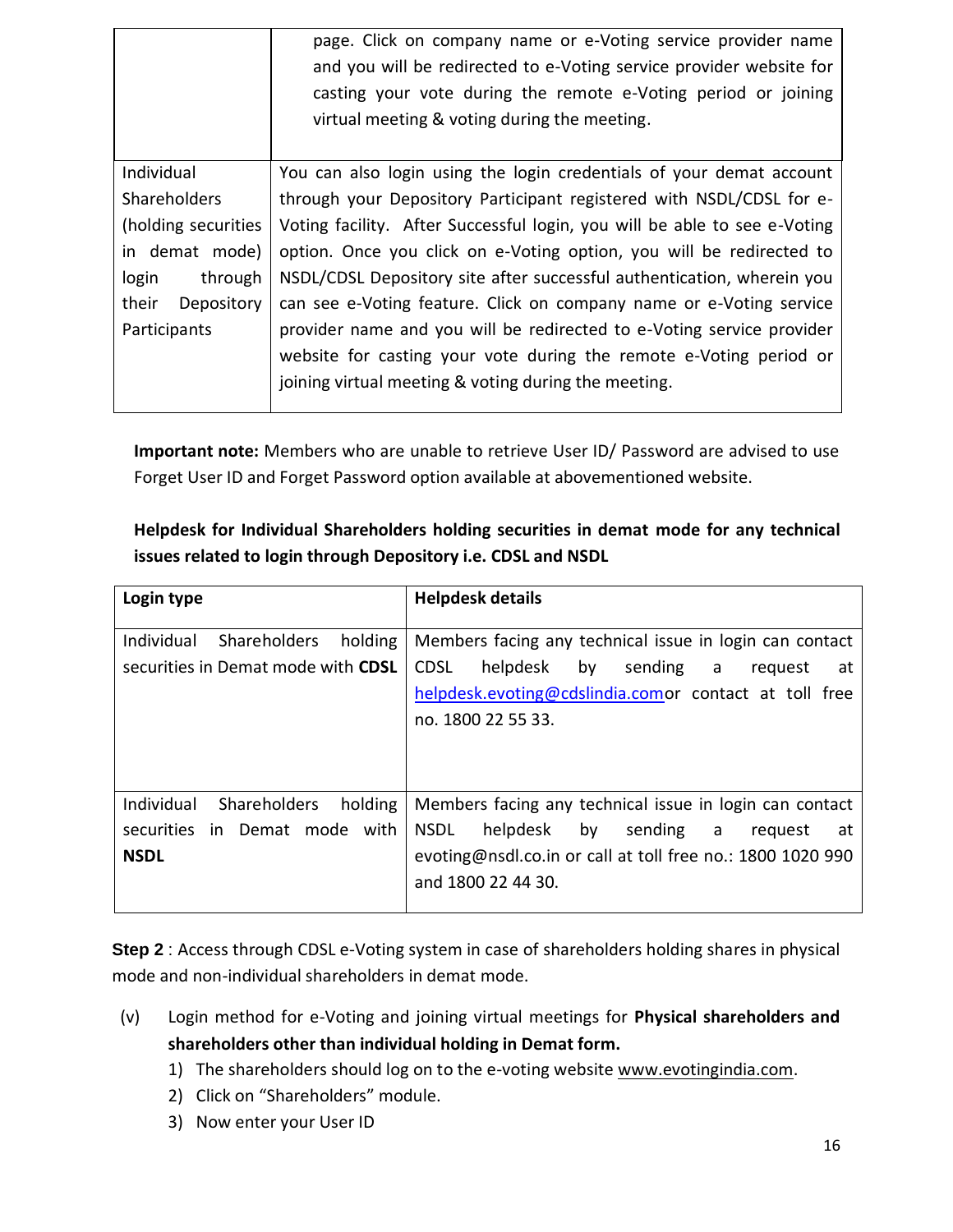|                                                      | page. Click on company name or e-Voting service provider name<br>and you will be redirected to e-Voting service provider website for<br>casting your vote during the remote e-Voting period or joining<br>virtual meeting & voting during the meeting. |  |
|------------------------------------------------------|--------------------------------------------------------------------------------------------------------------------------------------------------------------------------------------------------------------------------------------------------------|--|
| Individual                                           | You can also login using the login credentials of your demat account                                                                                                                                                                                   |  |
| <b>Shareholders</b>                                  | through your Depository Participant registered with NSDL/CDSL for e-                                                                                                                                                                                   |  |
| (holding securities                                  | Voting facility. After Successful login, you will be able to see e-Voting                                                                                                                                                                              |  |
| in demat mode)                                       | option. Once you click on e-Voting option, you will be redirected to                                                                                                                                                                                   |  |
| through<br>login                                     | NSDL/CDSL Depository site after successful authentication, wherein you                                                                                                                                                                                 |  |
| their<br>Depository                                  | can see e-Voting feature. Click on company name or e-Voting service                                                                                                                                                                                    |  |
| Participants                                         | provider name and you will be redirected to e-Voting service provider                                                                                                                                                                                  |  |
|                                                      | website for casting your vote during the remote e-Voting period or                                                                                                                                                                                     |  |
| joining virtual meeting & voting during the meeting. |                                                                                                                                                                                                                                                        |  |
|                                                      |                                                                                                                                                                                                                                                        |  |

**Important note:** Members who are unable to retrieve User ID/ Password are advised to use Forget User ID and Forget Password option available at abovementioned website.

# **Helpdesk for Individual Shareholders holding securities in demat mode for any technical issues related to login through Depository i.e. CDSL and NSDL**

| Login type                                                                                   | <b>Helpdesk details</b>                                                                                                                                                                                 |
|----------------------------------------------------------------------------------------------|---------------------------------------------------------------------------------------------------------------------------------------------------------------------------------------------------------|
| Individual<br><b>Shareholders</b><br>holding<br>securities in Demat mode with CDSL           | Members facing any technical issue in login can contact<br>helpdesk<br>by<br><b>CDSL</b><br>sending a<br>reguest<br>at<br>helpdesk.evoting@cdslindia.comor contact at toll free<br>no. 1800 22 55 33.   |
| Individual<br><b>Shareholders</b><br>holding<br>securities in Demat mode with<br><b>NSDL</b> | Members facing any technical issue in login can contact<br>helpdesk by<br><b>NSDL</b><br>sending a<br>request<br>at<br>evoting@nsdl.co.in or call at toll free no.: 1800 1020 990<br>and 1800 22 44 30. |

**Step 2** : Access through CDSL e-Voting system in case of shareholders holding shares in physical mode and non-individual shareholders in demat mode.

- (v) Login method for e-Voting and joining virtual meetings for **Physical shareholders and shareholders other than individual holding in Demat form.**
	- 1) The shareholders should log on to the e-voting website [www.evotingindia.com.](http://www.evotingindia.com/)
	- 2) Click on "Shareholders" module.
	- 3) Now enter your User ID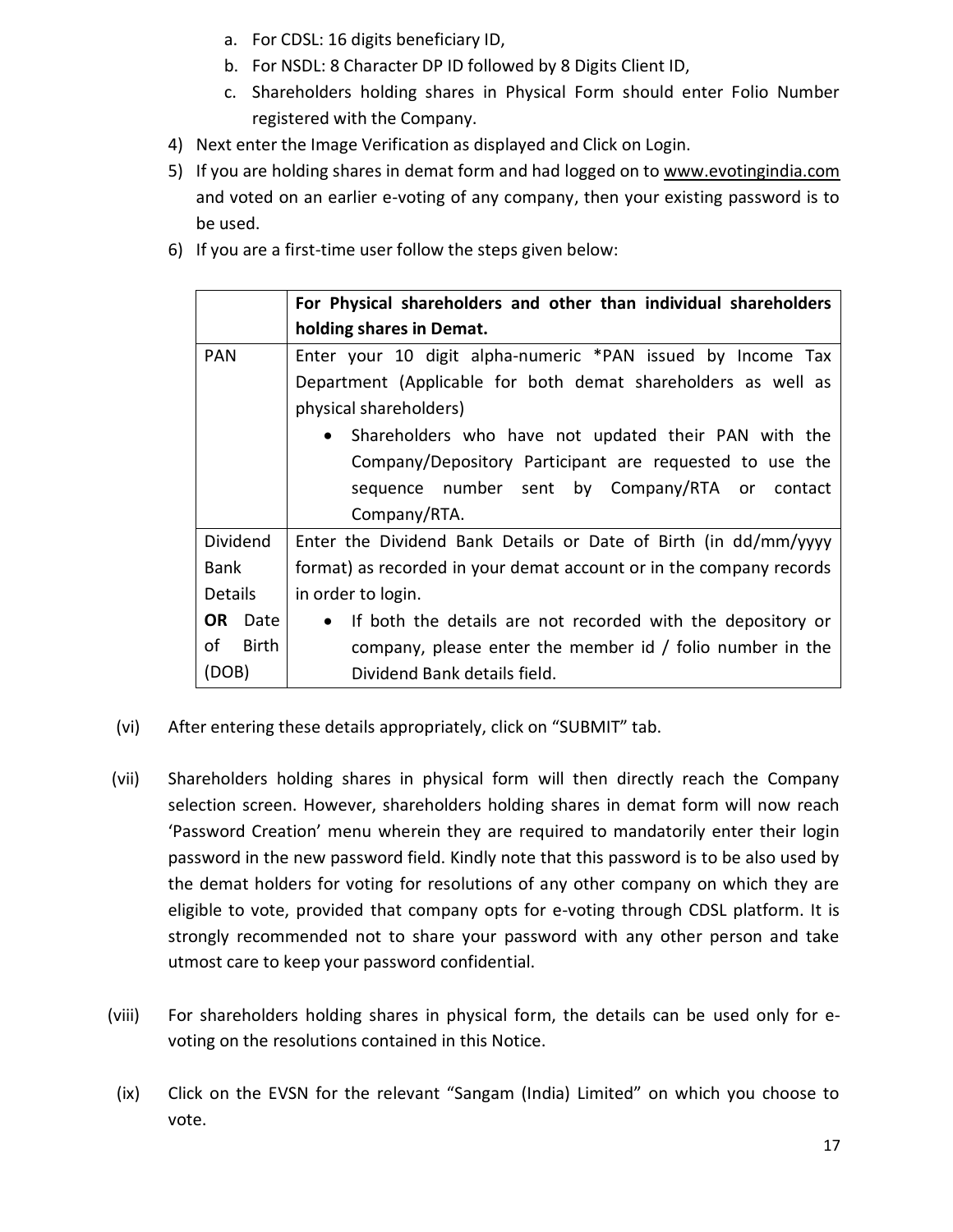- a. For CDSL: 16 digits beneficiary ID,
- b. For NSDL: 8 Character DP ID followed by 8 Digits Client ID,
- c. Shareholders holding shares in Physical Form should enter Folio Number registered with the Company.
- 4) Next enter the Image Verification as displayed and Click on Login.
- 5) If you are holding shares in demat form and had logged on to [www.evotingindia.com](http://www.evotingindia.com/) and voted on an earlier e-voting of any company, then your existing password is to be used.
- 6) If you are a first-time user follow the steps given below:

|                | For Physical shareholders and other than individual shareholders    |  |  |
|----------------|---------------------------------------------------------------------|--|--|
|                | holding shares in Demat.                                            |  |  |
| <b>PAN</b>     | Enter your 10 digit alpha-numeric *PAN issued by Income Tax         |  |  |
|                | Department (Applicable for both demat shareholders as well as       |  |  |
|                | physical shareholders)                                              |  |  |
|                | • Shareholders who have not updated their PAN with the              |  |  |
|                | Company/Depository Participant are requested to use the             |  |  |
|                | sequence number sent by Company/RTA or contact                      |  |  |
|                | Company/RTA.                                                        |  |  |
| Dividend       | Enter the Dividend Bank Details or Date of Birth (in dd/mm/yyyy     |  |  |
| Bank           | format) as recorded in your demat account or in the company records |  |  |
| <b>Details</b> | in order to login.                                                  |  |  |
| OR.<br>Date    | • If both the details are not recorded with the depository or       |  |  |
| οf<br>Birth    | company, please enter the member id / folio number in the           |  |  |
| (DOB)          | Dividend Bank details field.                                        |  |  |

- (vi) After entering these details appropriately, click on "SUBMIT" tab.
- (vii) Shareholders holding shares in physical form will then directly reach the Company selection screen. However, shareholders holding shares in demat form will now reach 'Password Creation' menu wherein they are required to mandatorily enter their login password in the new password field. Kindly note that this password is to be also used by the demat holders for voting for resolutions of any other company on which they are eligible to vote, provided that company opts for e-voting through CDSL platform. It is strongly recommended not to share your password with any other person and take utmost care to keep your password confidential.
- (viii) For shareholders holding shares in physical form, the details can be used only for evoting on the resolutions contained in this Notice.
- (ix) Click on the EVSN for the relevant "Sangam (India) Limited" on which you choose to vote.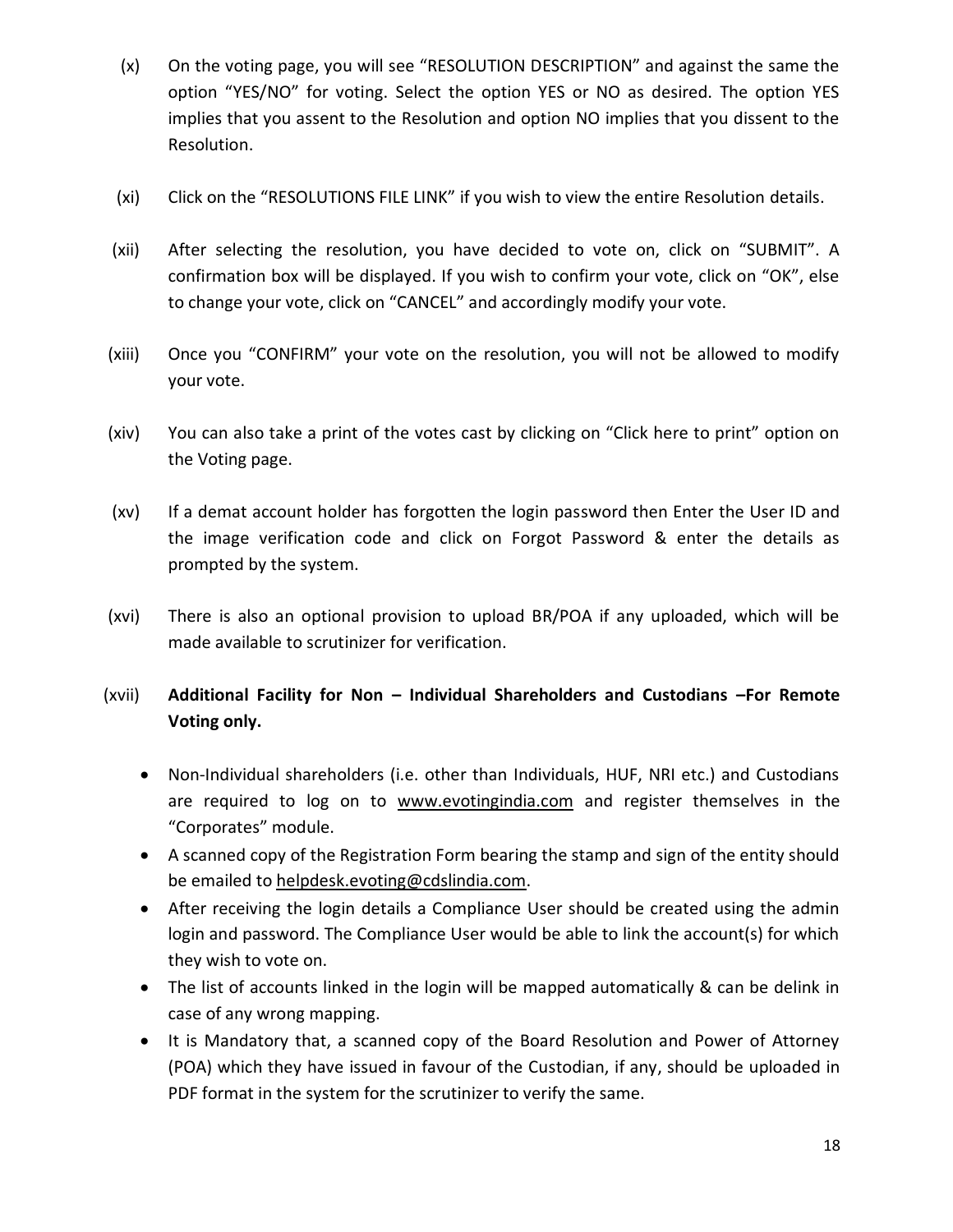- (x) On the voting page, you will see "RESOLUTION DESCRIPTION" and against the same the option "YES/NO" for voting. Select the option YES or NO as desired. The option YES implies that you assent to the Resolution and option NO implies that you dissent to the Resolution.
- (xi) Click on the "RESOLUTIONS FILE LINK" if you wish to view the entire Resolution details.
- (xii) After selecting the resolution, you have decided to vote on, click on "SUBMIT". A confirmation box will be displayed. If you wish to confirm your vote, click on "OK", else to change your vote, click on "CANCEL" and accordingly modify your vote.
- (xiii) Once you "CONFIRM" your vote on the resolution, you will not be allowed to modify your vote.
- (xiv) You can also take a print of the votes cast by clicking on "Click here to print" option on the Voting page.
- (xv) If a demat account holder has forgotten the login password then Enter the User ID and the image verification code and click on Forgot Password & enter the details as prompted by the system.
- (xvi) There is also an optional provision to upload BR/POA if any uploaded, which will be made available to scrutinizer for verification.
- (xvii) **Additional Facility for Non – Individual Shareholders and Custodians –For Remote Voting only.**
	- Non-Individual shareholders (i.e. other than Individuals, HUF, NRI etc.) and Custodians are required to log on to [www.evotingindia.com](http://www.evotingindia.com/) and register themselves in the "Corporates" module.
	- A scanned copy of the Registration Form bearing the stamp and sign of the entity should be emailed to [helpdesk.evoting@cdslindia.com.](mailto:helpdesk.evoting@cdslindia.com)
	- After receiving the login details a Compliance User should be created using the admin login and password. The Compliance User would be able to link the account(s) for which they wish to vote on.
	- The list of accounts linked in the login will be mapped automatically & can be delink in case of any wrong mapping.
	- It is Mandatory that, a scanned copy of the Board Resolution and Power of Attorney (POA) which they have issued in favour of the Custodian, if any, should be uploaded in PDF format in the system for the scrutinizer to verify the same.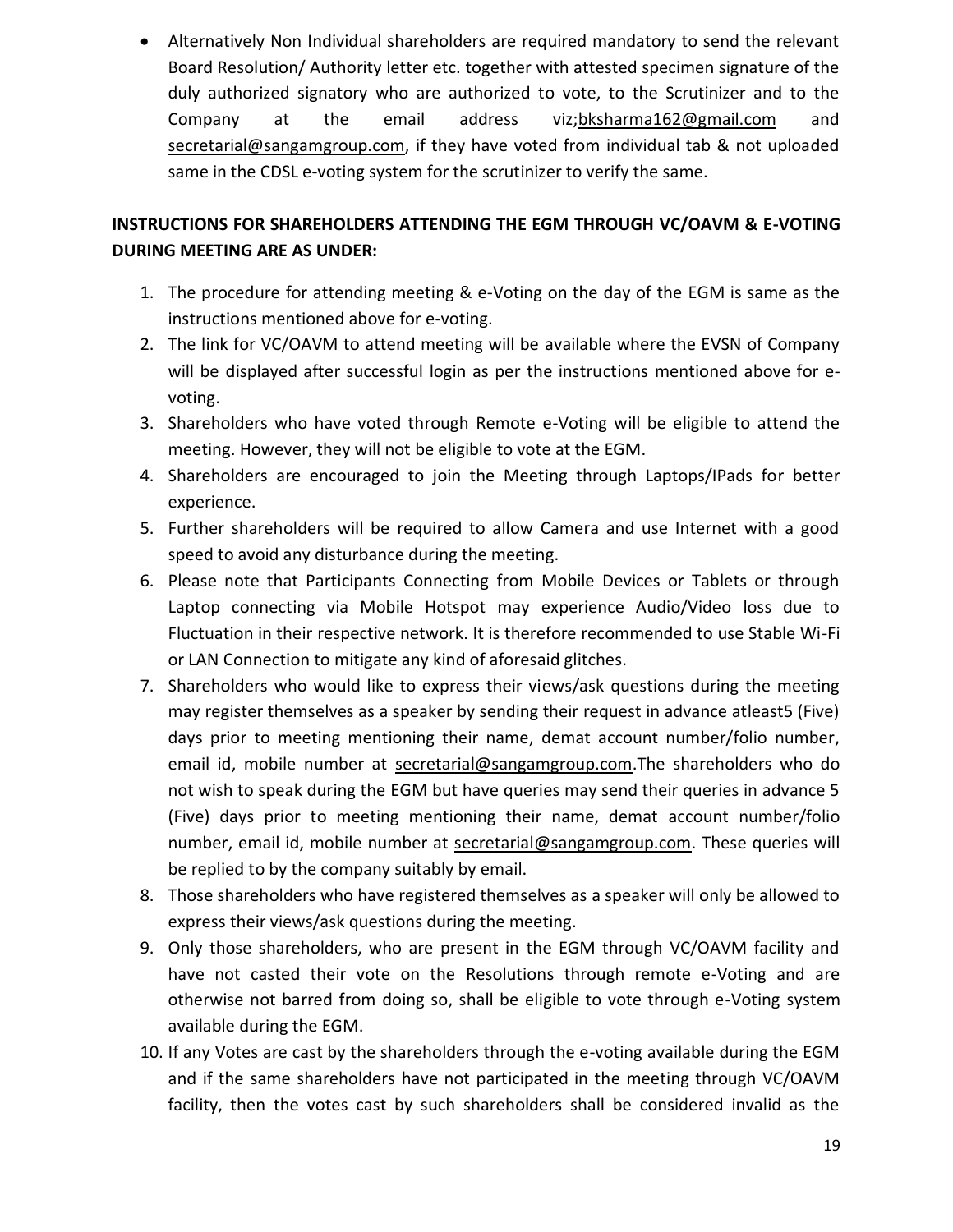Alternatively Non Individual shareholders are required mandatory to send the relevant Board Resolution/ Authority letter etc. together with attested specimen signature of the duly authorized signatory who are authorized to vote, to the Scrutinizer and to the Company at the email address viz[;bksharma162@gmail.com](mailto:bksharma162@gmail.com) and [secretarial@sangamgroup.com,](mailto:secretarial@sangamgroup.com) if they have voted from individual tab & not uploaded same in the CDSL e-voting system for the scrutinizer to verify the same.

# **INSTRUCTIONS FOR SHAREHOLDERS ATTENDING THE EGM THROUGH VC/OAVM & E-VOTING DURING MEETING ARE AS UNDER:**

- 1. The procedure for attending meeting & e-Voting on the day of the EGM is same as the instructions mentioned above for e-voting.
- 2. The link for VC/OAVM to attend meeting will be available where the EVSN of Company will be displayed after successful login as per the instructions mentioned above for evoting.
- 3. Shareholders who have voted through Remote e-Voting will be eligible to attend the meeting. However, they will not be eligible to vote at the EGM.
- 4. Shareholders are encouraged to join the Meeting through Laptops/IPads for better experience.
- 5. Further shareholders will be required to allow Camera and use Internet with a good speed to avoid any disturbance during the meeting.
- 6. Please note that Participants Connecting from Mobile Devices or Tablets or through Laptop connecting via Mobile Hotspot may experience Audio/Video loss due to Fluctuation in their respective network. It is therefore recommended to use Stable Wi-Fi or LAN Connection to mitigate any kind of aforesaid glitches.
- 7. Shareholders who would like to express their views/ask questions during the meeting may register themselves as a speaker by sending their request in advance atleast5 (Five) days prior to meeting mentioning their name, demat account number/folio number, email id, mobile number at [secretarial@sangamgroup.com.](mailto:secretarial@sangamgroup.com)The shareholders who do not wish to speak during the EGM but have queries may send their queries in advance 5 (Five) days prior to meeting mentioning their name, demat account number/folio number, email id, mobile number at [secretarial@sangamgroup.com.](mailto:secretarial@sangamgroup.com) These queries will be replied to by the company suitably by email.
- 8. Those shareholders who have registered themselves as a speaker will only be allowed to express their views/ask questions during the meeting.
- 9. Only those shareholders, who are present in the EGM through VC/OAVM facility and have not casted their vote on the Resolutions through remote e-Voting and are otherwise not barred from doing so, shall be eligible to vote through e-Voting system available during the EGM.
- 10. If any Votes are cast by the shareholders through the e-voting available during the EGM and if the same shareholders have not participated in the meeting through VC/OAVM facility, then the votes cast by such shareholders shall be considered invalid as the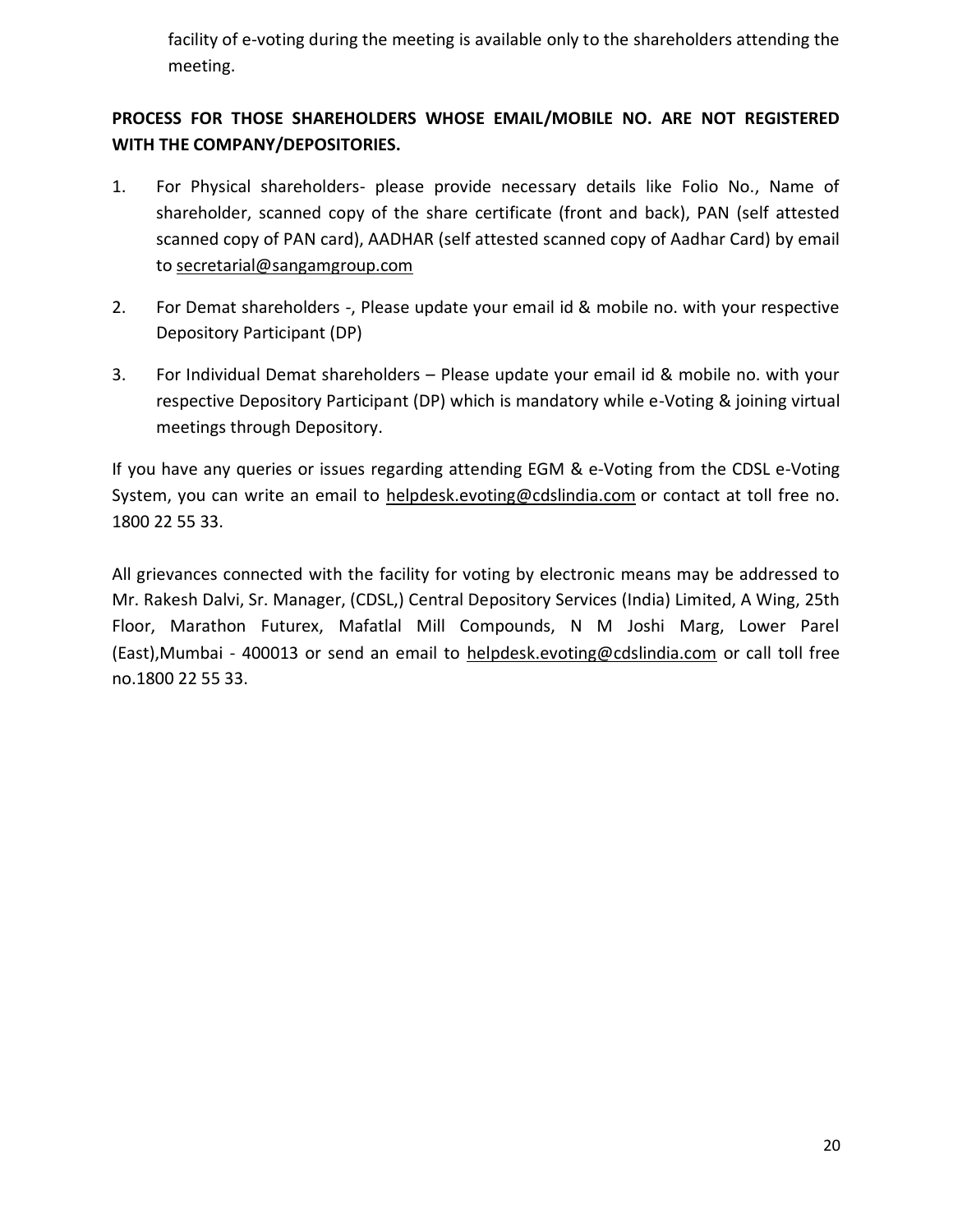facility of e-voting during the meeting is available only to the shareholders attending the meeting.

# **PROCESS FOR THOSE SHAREHOLDERS WHOSE EMAIL/MOBILE NO. ARE NOT REGISTERED WITH THE COMPANY/DEPOSITORIES.**

- 1. For Physical shareholders- please provide necessary details like Folio No., Name of shareholder, scanned copy of the share certificate (front and back), PAN (self attested scanned copy of PAN card), AADHAR (self attested scanned copy of Aadhar Card) by email to [secretarial@sangamgroup.com](mailto:secretarial@sangamgroup.com)
- 2. For Demat shareholders -, Please update your email id & mobile no. with your respective Depository Participant (DP)
- 3. For Individual Demat shareholders Please update your email id & mobile no. with your respective Depository Participant (DP) which is mandatory while e-Voting & joining virtual meetings through Depository.

If you have any queries or issues regarding attending EGM & e-Voting from the CDSL e-Voting System, you can write an email to [helpdesk.evoting@cdslindia.com](mailto:helpdesk.evoting@cdslindia.com) or contact at toll free no. 1800 22 55 33.

All grievances connected with the facility for voting by electronic means may be addressed to Mr. Rakesh Dalvi, Sr. Manager, (CDSL,) Central Depository Services (India) Limited, A Wing, 25th Floor, Marathon Futurex, Mafatlal Mill Compounds, N M Joshi Marg, Lower Parel (East),Mumbai - 400013 or send an email to [helpdesk.evoting@cdslindia.com](mailto:helpdesk.evoting@cdslindia.com) or call toll free no.1800 22 55 33.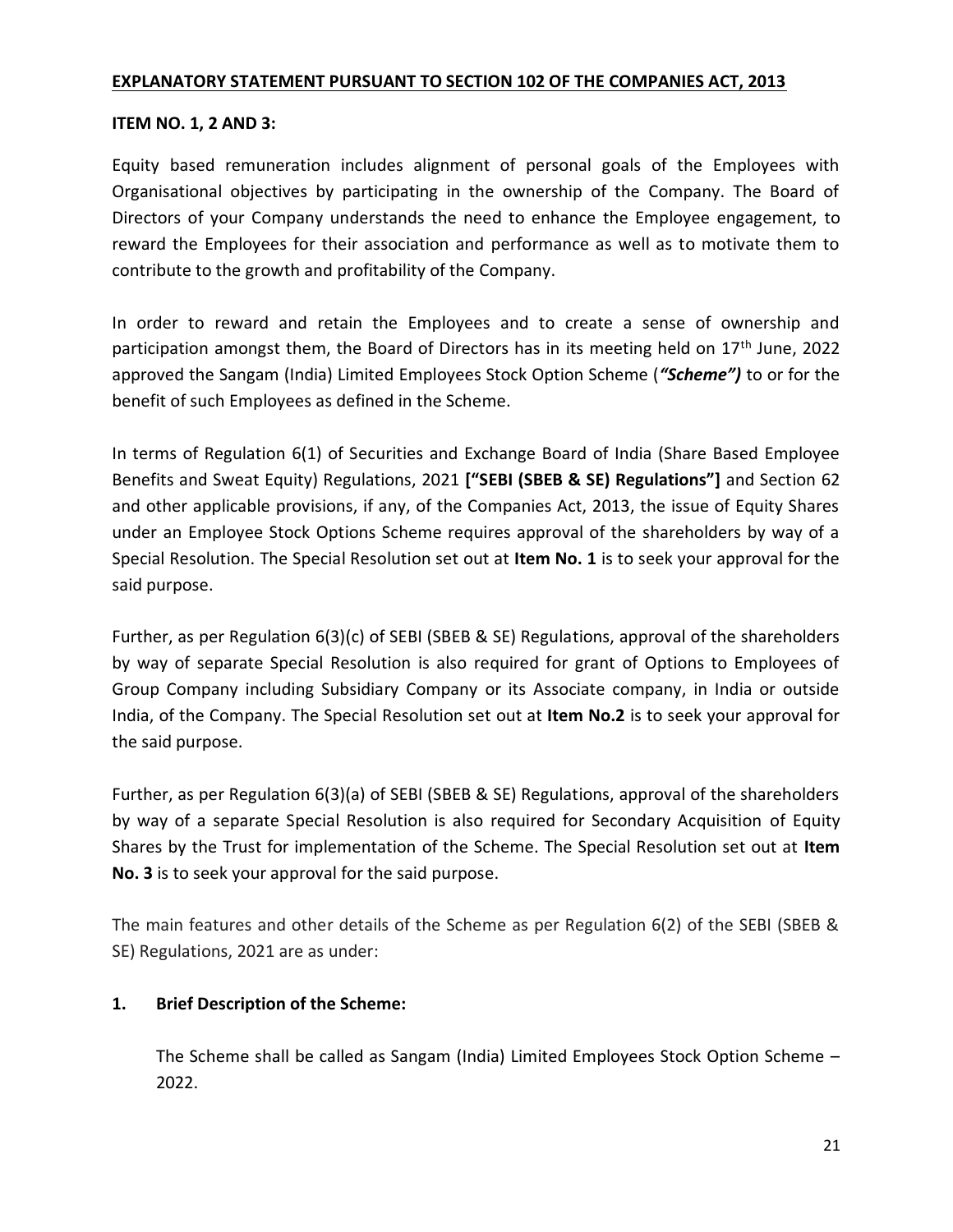#### **EXPLANATORY STATEMENT PURSUANT TO SECTION 102 OF THE COMPANIES ACT, 2013**

#### **ITEM NO. 1, 2 AND 3:**

Equity based remuneration includes alignment of personal goals of the Employees with Organisational objectives by participating in the ownership of the Company. The Board of Directors of your Company understands the need to enhance the Employee engagement, to reward the Employees for their association and performance as well as to motivate them to contribute to the growth and profitability of the Company.

In order to reward and retain the Employees and to create a sense of ownership and participation amongst them, the Board of Directors has in its meeting held on  $17<sup>th</sup>$  June, 2022 approved the Sangam (India) Limited Employees Stock Option Scheme (*"Scheme")* to or for the benefit of such Employees as defined in the Scheme.

In terms of Regulation 6(1) of Securities and Exchange Board of India (Share Based Employee Benefits and Sweat Equity) Regulations, 2021 **["SEBI (SBEB & SE) Regulations"]** and Section 62 and other applicable provisions, if any, of the Companies Act, 2013, the issue of Equity Shares under an Employee Stock Options Scheme requires approval of the shareholders by way of a Special Resolution. The Special Resolution set out at **Item No. 1** is to seek your approval for the said purpose.

Further, as per Regulation 6(3)(c) of SEBI (SBEB & SE) Regulations, approval of the shareholders by way of separate Special Resolution is also required for grant of Options to Employees of Group Company including Subsidiary Company or its Associate company, in India or outside India, of the Company. The Special Resolution set out at **Item No.2** is to seek your approval for the said purpose.

Further, as per Regulation 6(3)(a) of SEBI (SBEB & SE) Regulations, approval of the shareholders by way of a separate Special Resolution is also required for Secondary Acquisition of Equity Shares by the Trust for implementation of the Scheme. The Special Resolution set out at **Item No. 3** is to seek your approval for the said purpose.

The main features and other details of the Scheme as per Regulation 6(2) of the SEBI (SBEB & SE) Regulations, 2021 are as under:

#### **1. Brief Description of the Scheme:**

The Scheme shall be called as Sangam (India) Limited Employees Stock Option Scheme – 2022.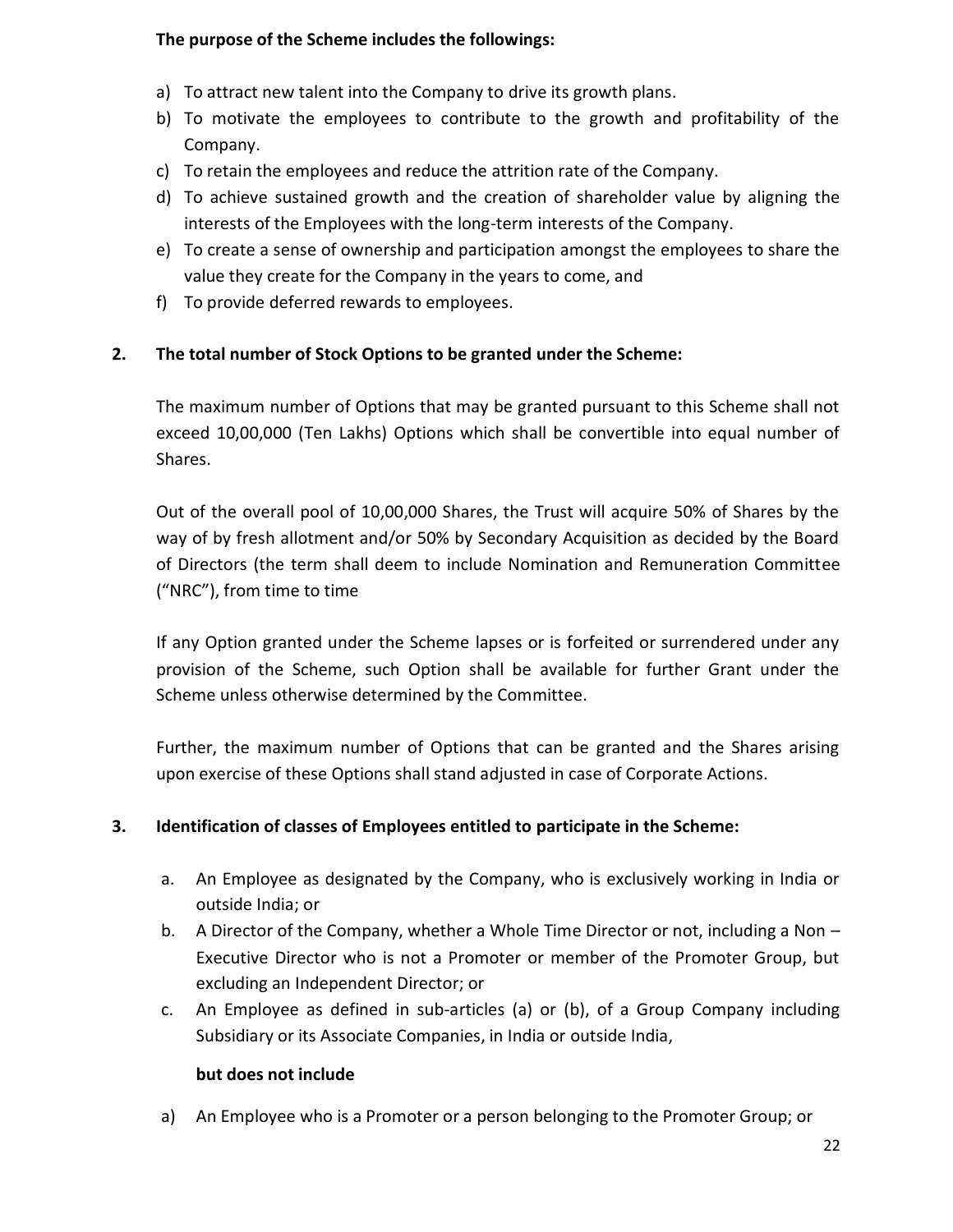## **The purpose of the Scheme includes the followings:**

- a) To attract new talent into the Company to drive its growth plans.
- b) To motivate the employees to contribute to the growth and profitability of the Company.
- c) To retain the employees and reduce the attrition rate of the Company.
- d) To achieve sustained growth and the creation of shareholder value by aligning the interests of the Employees with the long-term interests of the Company.
- e) To create a sense of ownership and participation amongst the employees to share the value they create for the Company in the years to come, and
- f) To provide deferred rewards to employees.

#### **2. The total number of Stock Options to be granted under the Scheme:**

The maximum number of Options that may be granted pursuant to this Scheme shall not exceed 10,00,000 (Ten Lakhs) Options which shall be convertible into equal number of Shares.

Out of the overall pool of 10,00,000 Shares, the Trust will acquire 50% of Shares by the way of by fresh allotment and/or 50% by Secondary Acquisition as decided by the Board of Directors (the term shall deem to include Nomination and Remuneration Committee ("NRC"), from time to time

If any Option granted under the Scheme lapses or is forfeited or surrendered under any provision of the Scheme, such Option shall be available for further Grant under the Scheme unless otherwise determined by the Committee.

Further, the maximum number of Options that can be granted and the Shares arising upon exercise of these Options shall stand adjusted in case of Corporate Actions.

#### **3. Identification of classes of Employees entitled to participate in the Scheme:**

- a. An Employee as designated by the Company, who is exclusively working in India or outside India; or
- b. A Director of the Company, whether a Whole Time Director or not, including a Non Executive Director who is not a Promoter or member of the Promoter Group, but excluding an Independent Director; or
- c. An Employee as defined in sub-articles (a) or (b), of a Group Company including Subsidiary or its Associate Companies, in India or outside India,

#### **but does not include**

a) An Employee who is a Promoter or a person belonging to the Promoter Group; or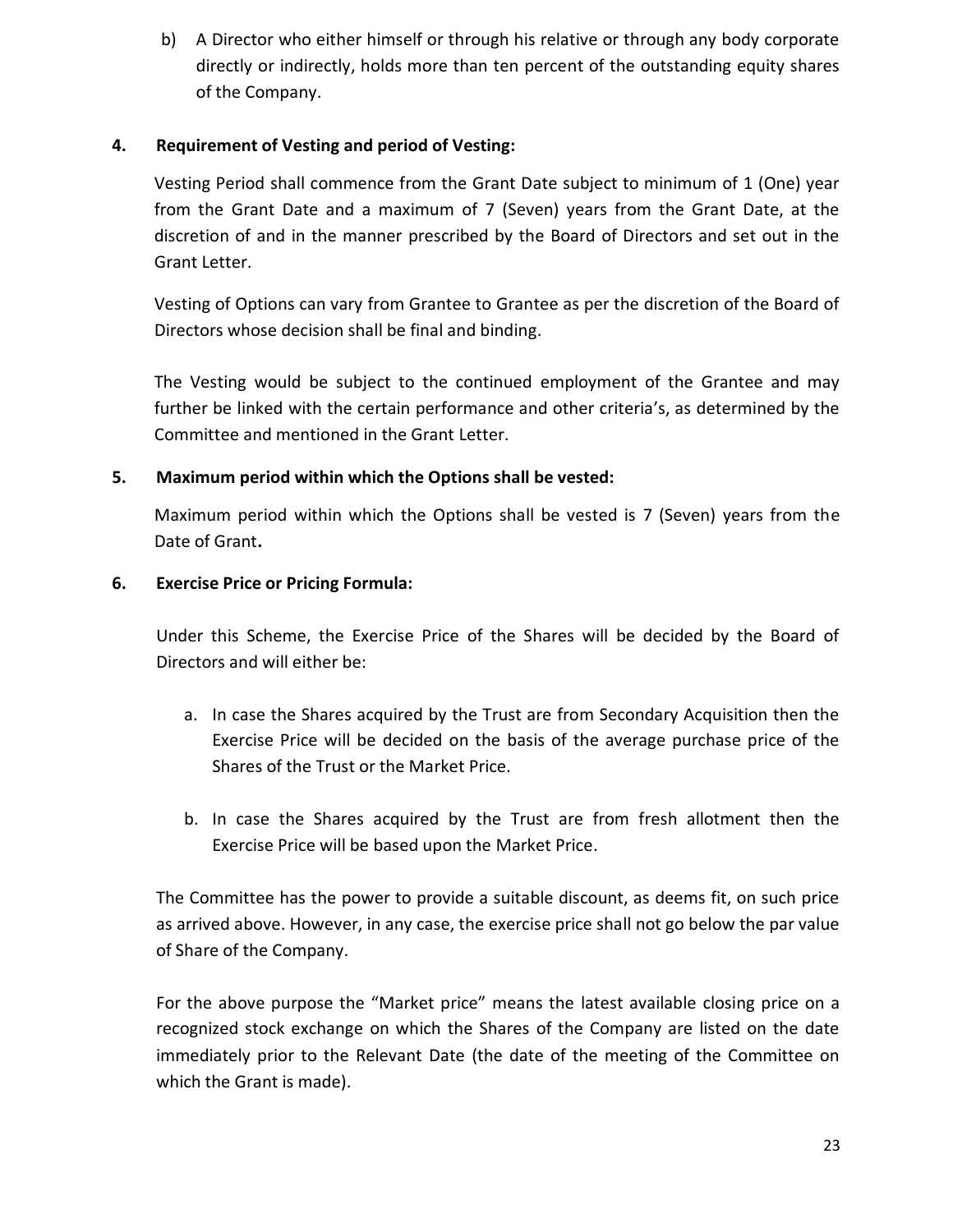b) A Director who either himself or through his relative or through any body corporate directly or indirectly, holds more than ten percent of the outstanding equity shares of the Company.

## **4. Requirement of Vesting and period of Vesting:**

Vesting Period shall commence from the Grant Date subject to minimum of 1 (One) year from the Grant Date and a maximum of 7 (Seven) years from the Grant Date, at the discretion of and in the manner prescribed by the Board of Directors and set out in the Grant Letter.

Vesting of Options can vary from Grantee to Grantee as per the discretion of the Board of Directors whose decision shall be final and binding.

The Vesting would be subject to the continued employment of the Grantee and may further be linked with the certain performance and other criteria's, as determined by the Committee and mentioned in the Grant Letter.

## **5. Maximum period within which the Options shall be vested:**

Maximum period within which the Options shall be vested is 7 (Seven) years from the Date of Grant**.**

## **6. Exercise Price or Pricing Formula:**

Under this Scheme, the Exercise Price of the Shares will be decided by the Board of Directors and will either be:

- a. In case the Shares acquired by the Trust are from Secondary Acquisition then the Exercise Price will be decided on the basis of the average purchase price of the Shares of the Trust or the Market Price.
- b. In case the Shares acquired by the Trust are from fresh allotment then the Exercise Price will be based upon the Market Price.

The Committee has the power to provide a suitable discount, as deems fit, on such price as arrived above. However, in any case, the exercise price shall not go below the par value of Share of the Company.

For the above purpose the "Market price" means the latest available closing price on a recognized stock exchange on which the Shares of the Company are listed on the date immediately prior to the Relevant Date (the date of the meeting of the Committee on which the Grant is made).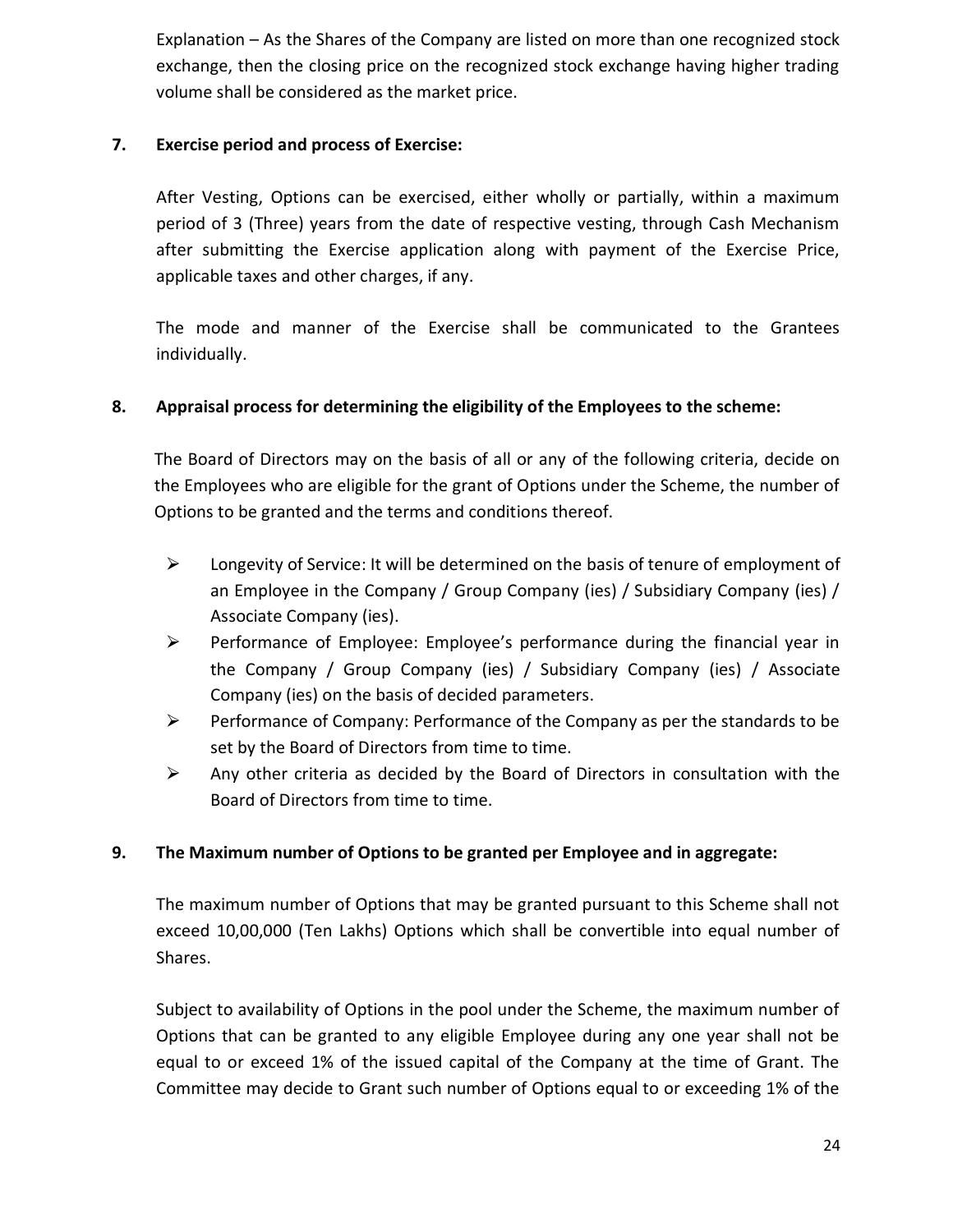Explanation – As the Shares of the Company are listed on more than one recognized stock exchange, then the closing price on the recognized stock exchange having higher trading volume shall be considered as the market price.

## **7. Exercise period and process of Exercise:**

After Vesting, Options can be exercised, either wholly or partially, within a maximum period of 3 (Three) years from the date of respective vesting, through Cash Mechanism after submitting the Exercise application along with payment of the Exercise Price, applicable taxes and other charges, if any.

The mode and manner of the Exercise shall be communicated to the Grantees individually.

## **8. Appraisal process for determining the eligibility of the Employees to the scheme:**

The Board of Directors may on the basis of all or any of the following criteria, decide on the Employees who are eligible for the grant of Options under the Scheme, the number of Options to be granted and the terms and conditions thereof.

- $\triangleright$  Longevity of Service: It will be determined on the basis of tenure of employment of an Employee in the Company / Group Company (ies) / Subsidiary Company (ies) / Associate Company (ies).
- $\triangleright$  Performance of Employee: Employee's performance during the financial year in the Company / Group Company (ies) / Subsidiary Company (ies) / Associate Company (ies) on the basis of decided parameters.
- $\triangleright$  Performance of Company: Performance of the Company as per the standards to be set by the Board of Directors from time to time.
- $\triangleright$  Any other criteria as decided by the Board of Directors in consultation with the Board of Directors from time to time.

## **9. The Maximum number of Options to be granted per Employee and in aggregate:**

The maximum number of Options that may be granted pursuant to this Scheme shall not exceed 10,00,000 (Ten Lakhs) Options which shall be convertible into equal number of Shares.

Subject to availability of Options in the pool under the Scheme, the maximum number of Options that can be granted to any eligible Employee during any one year shall not be equal to or exceed 1% of the issued capital of the Company at the time of Grant. The Committee may decide to Grant such number of Options equal to or exceeding 1% of the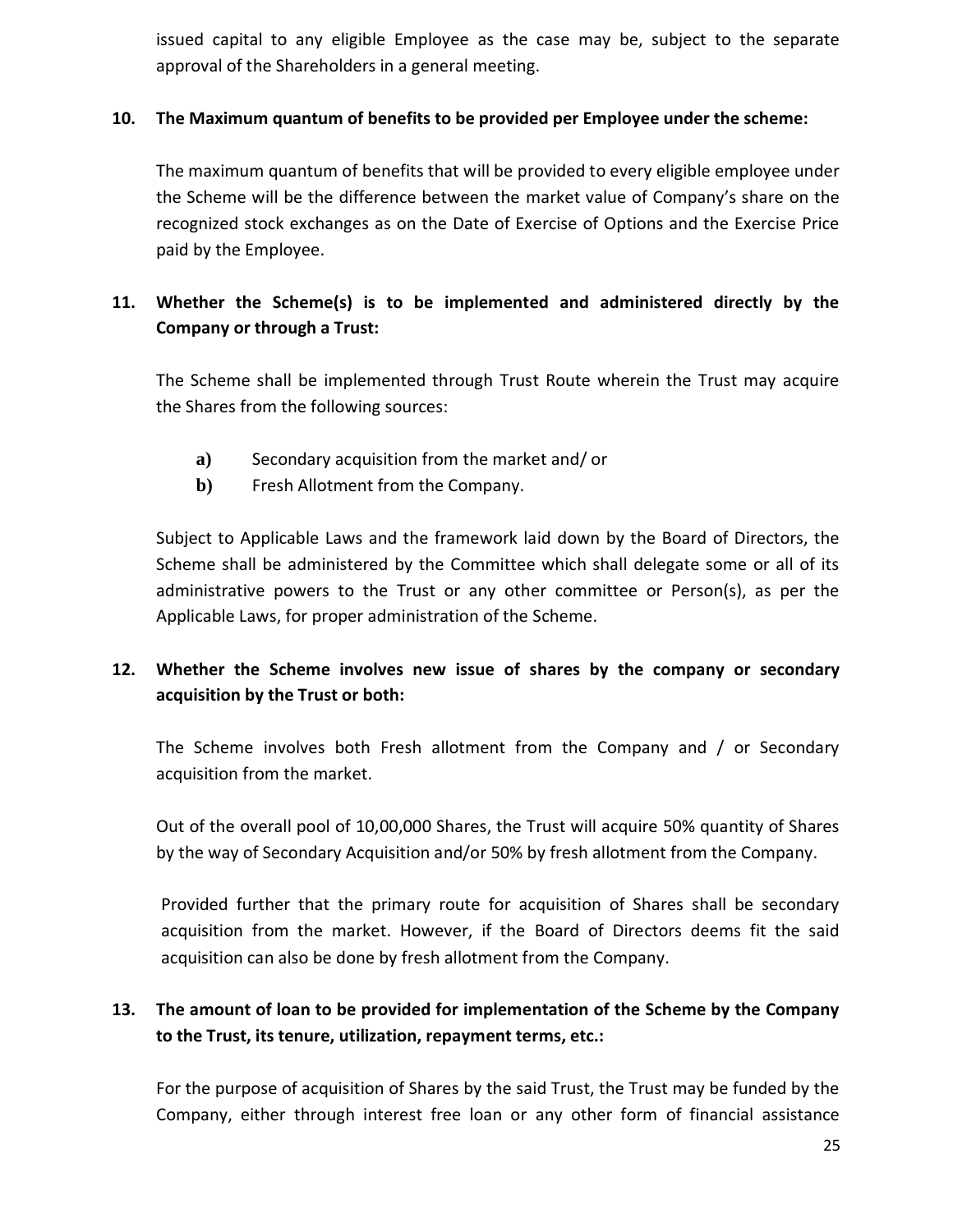issued capital to any eligible Employee as the case may be, subject to the separate approval of the Shareholders in a general meeting.

#### **10. The Maximum quantum of benefits to be provided per Employee under the scheme:**

The maximum quantum of benefits that will be provided to every eligible employee under the Scheme will be the difference between the market value of Company's share on the recognized stock exchanges as on the Date of Exercise of Options and the Exercise Price paid by the Employee.

# **11. Whether the Scheme(s) is to be implemented and administered directly by the Company or through a Trust:**

The Scheme shall be implemented through Trust Route wherein the Trust may acquire the Shares from the following sources:

- **a)** Secondary acquisition from the market and/ or
- **b)** Fresh Allotment from the Company.

Subject to Applicable Laws and the framework laid down by the Board of Directors, the Scheme shall be administered by the Committee which shall delegate some or all of its administrative powers to the Trust or any other committee or Person(s), as per the Applicable Laws, for proper administration of the Scheme.

# **12. Whether the Scheme involves new issue of shares by the company or secondary acquisition by the Trust or both:**

The Scheme involves both Fresh allotment from the Company and / or Secondary acquisition from the market.

Out of the overall pool of 10,00,000 Shares, the Trust will acquire 50% quantity of Shares by the way of Secondary Acquisition and/or 50% by fresh allotment from the Company.

Provided further that the primary route for acquisition of Shares shall be secondary acquisition from the market. However, if the Board of Directors deems fit the said acquisition can also be done by fresh allotment from the Company.

# **13. The amount of loan to be provided for implementation of the Scheme by the Company to the Trust, its tenure, utilization, repayment terms, etc.:**

For the purpose of acquisition of Shares by the said Trust, the Trust may be funded by the Company, either through interest free loan or any other form of financial assistance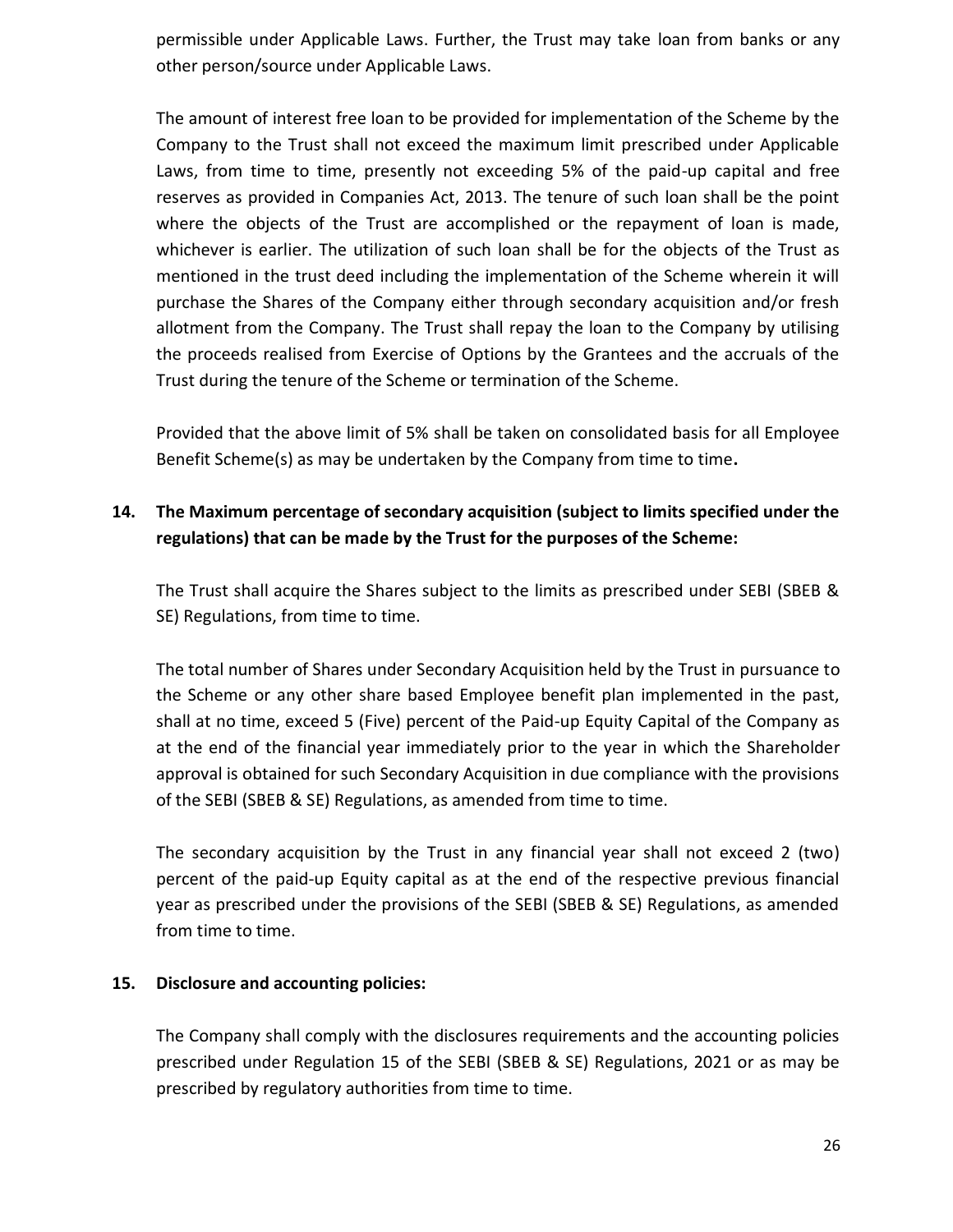permissible under Applicable Laws. Further, the Trust may take loan from banks or any other person/source under Applicable Laws.

The amount of interest free loan to be provided for implementation of the Scheme by the Company to the Trust shall not exceed the maximum limit prescribed under Applicable Laws, from time to time, presently not exceeding 5% of the paid-up capital and free reserves as provided in Companies Act, 2013. The tenure of such loan shall be the point where the objects of the Trust are accomplished or the repayment of loan is made, whichever is earlier. The utilization of such loan shall be for the objects of the Trust as mentioned in the trust deed including the implementation of the Scheme wherein it will purchase the Shares of the Company either through secondary acquisition and/or fresh allotment from the Company. The Trust shall repay the loan to the Company by utilising the proceeds realised from Exercise of Options by the Grantees and the accruals of the Trust during the tenure of the Scheme or termination of the Scheme.

Provided that the above limit of 5% shall be taken on consolidated basis for all Employee Benefit Scheme(s) as may be undertaken by the Company from time to time**.**

## **14. The Maximum percentage of secondary acquisition (subject to limits specified under the regulations) that can be made by the Trust for the purposes of the Scheme:**

The Trust shall acquire the Shares subject to the limits as prescribed under SEBI (SBEB & SE) Regulations, from time to time.

The total number of Shares under Secondary Acquisition held by the Trust in pursuance to the Scheme or any other share based Employee benefit plan implemented in the past, shall at no time, exceed 5 (Five) percent of the Paid-up Equity Capital of the Company as at the end of the financial year immediately prior to the year in which the Shareholder approval is obtained for such Secondary Acquisition in due compliance with the provisions of the SEBI (SBEB & SE) Regulations, as amended from time to time.

The secondary acquisition by the Trust in any financial year shall not exceed 2 (two) percent of the paid-up Equity capital as at the end of the respective previous financial year as prescribed under the provisions of the SEBI (SBEB & SE) Regulations, as amended from time to time.

## **15. Disclosure and accounting policies:**

The Company shall comply with the disclosures requirements and the accounting policies prescribed under Regulation 15 of the SEBI (SBEB & SE) Regulations, 2021 or as may be prescribed by regulatory authorities from time to time.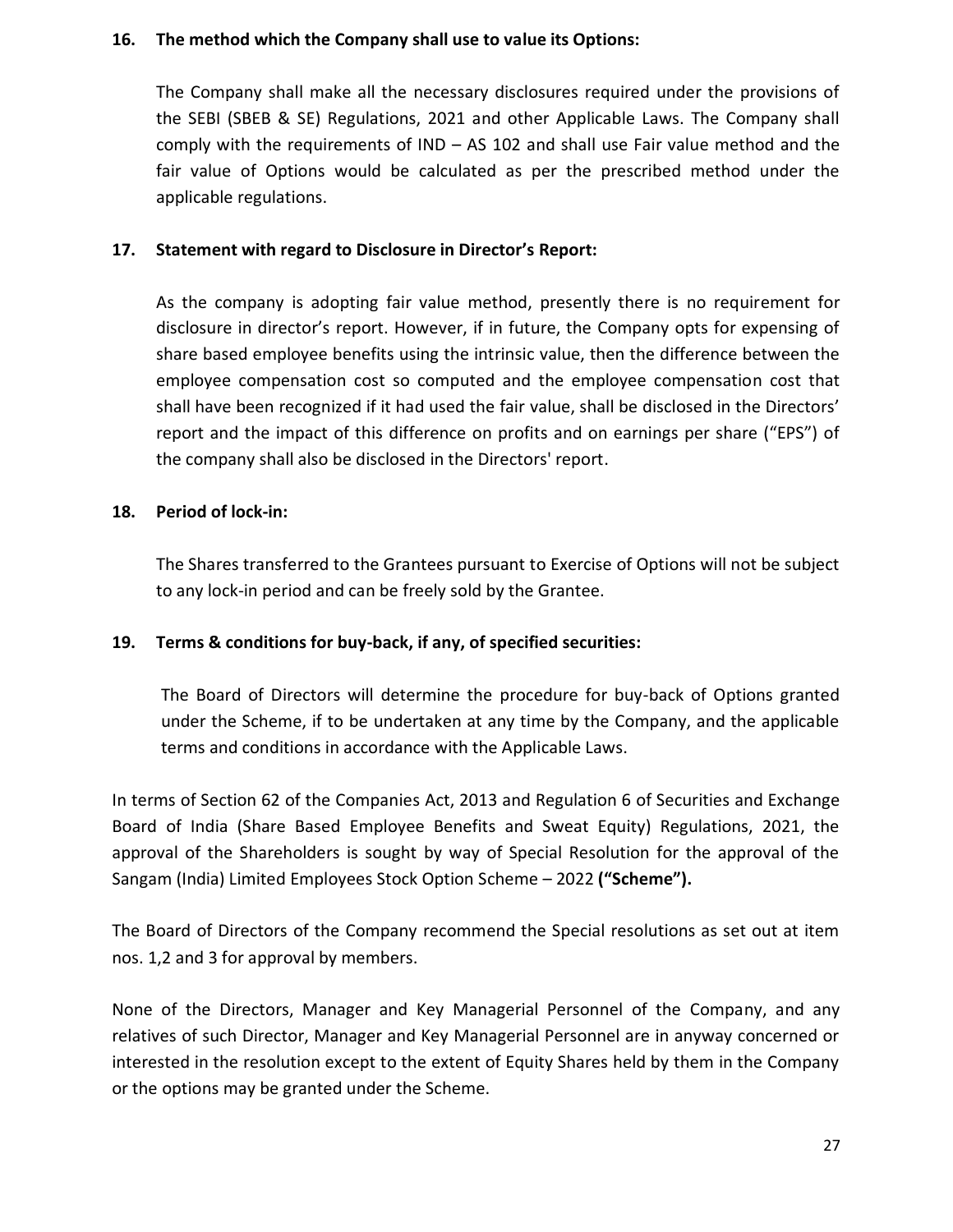#### **16. The method which the Company shall use to value its Options:**

The Company shall make all the necessary disclosures required under the provisions of the SEBI (SBEB & SE) Regulations, 2021 and other Applicable Laws. The Company shall comply with the requirements of IND – AS 102 and shall use Fair value method and the fair value of Options would be calculated as per the prescribed method under the applicable regulations.

#### **17. Statement with regard to Disclosure in Director's Report:**

As the company is adopting fair value method, presently there is no requirement for disclosure in director's report. However, if in future, the Company opts for expensing of share based employee benefits using the intrinsic value, then the difference between the employee compensation cost so computed and the employee compensation cost that shall have been recognized if it had used the fair value, shall be disclosed in the Directors' report and the impact of this difference on profits and on earnings per share ("EPS") of the company shall also be disclosed in the Directors' report.

#### **18. Period of lock-in:**

The Shares transferred to the Grantees pursuant to Exercise of Options will not be subject to any lock-in period and can be freely sold by the Grantee.

## **19. Terms & conditions for buy-back, if any, of specified securities:**

The Board of Directors will determine the procedure for buy-back of Options granted under the Scheme, if to be undertaken at any time by the Company, and the applicable terms and conditions in accordance with the Applicable Laws.

In terms of Section 62 of the Companies Act, 2013 and Regulation 6 of Securities and Exchange Board of India (Share Based Employee Benefits and Sweat Equity) Regulations, 2021, the approval of the Shareholders is sought by way of Special Resolution for the approval of the Sangam (India) Limited Employees Stock Option Scheme – 2022 **("Scheme").**

The Board of Directors of the Company recommend the Special resolutions as set out at item nos. 1,2 and 3 for approval by members.

None of the Directors, Manager and Key Managerial Personnel of the Company, and any relatives of such Director, Manager and Key Managerial Personnel are in anyway concerned or interested in the resolution except to the extent of Equity Shares held by them in the Company or the options may be granted under the Scheme.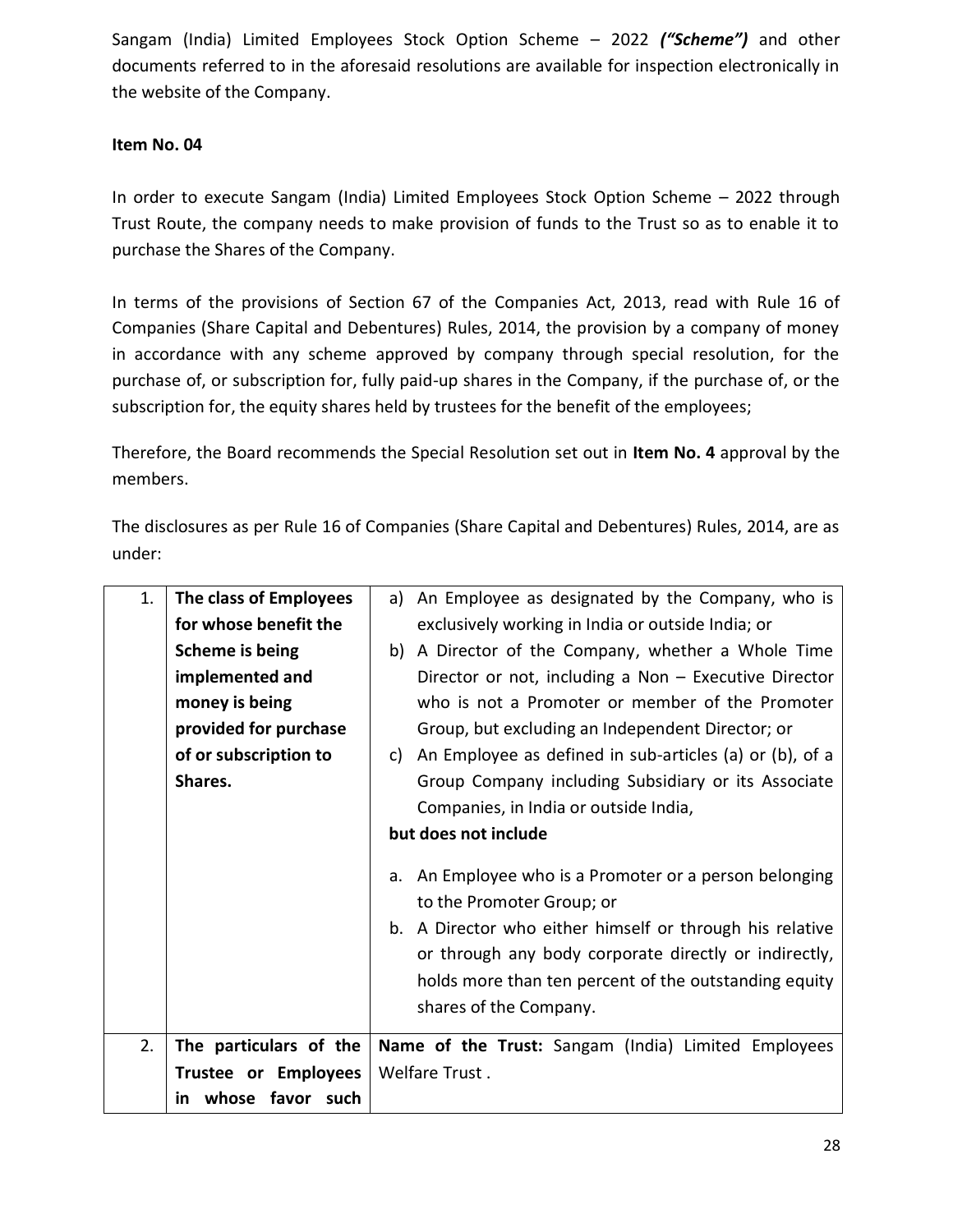Sangam (India) Limited Employees Stock Option Scheme – 2022 *("Scheme")* and other documents referred to in the aforesaid resolutions are available for inspection electronically in the website of the Company.

## **Item No. 04**

In order to execute Sangam (India) Limited Employees Stock Option Scheme – 2022 through Trust Route, the company needs to make provision of funds to the Trust so as to enable it to purchase the Shares of the Company.

In terms of the provisions of Section 67 of the Companies Act, 2013, read with Rule 16 of Companies (Share Capital and Debentures) Rules, 2014, the provision by a company of money in accordance with any scheme approved by company through special resolution, for the purchase of, or subscription for, fully paid-up shares in the Company, if the purchase of, or the subscription for, the equity shares held by trustees for the benefit of the employees;

Therefore, the Board recommends the Special Resolution set out in **Item No. 4** approval by the members.

The disclosures as per Rule 16 of Companies (Share Capital and Debentures) Rules, 2014, are as under:

| 1. | The class of Employees      | a) An Employee as designated by the Company, who is                                                                                                                                                                                                                                         |  |
|----|-----------------------------|---------------------------------------------------------------------------------------------------------------------------------------------------------------------------------------------------------------------------------------------------------------------------------------------|--|
|    | for whose benefit the       | exclusively working in India or outside India; or                                                                                                                                                                                                                                           |  |
|    | Scheme is being             | b) A Director of the Company, whether a Whole Time                                                                                                                                                                                                                                          |  |
|    | implemented and             | Director or not, including a Non $-$ Executive Director                                                                                                                                                                                                                                     |  |
|    | money is being              | who is not a Promoter or member of the Promoter                                                                                                                                                                                                                                             |  |
|    | provided for purchase       | Group, but excluding an Independent Director; or                                                                                                                                                                                                                                            |  |
|    | of or subscription to       | c) An Employee as defined in sub-articles (a) or (b), of a                                                                                                                                                                                                                                  |  |
|    | Shares.                     | Group Company including Subsidiary or its Associate                                                                                                                                                                                                                                         |  |
|    |                             | Companies, in India or outside India,                                                                                                                                                                                                                                                       |  |
|    |                             | but does not include                                                                                                                                                                                                                                                                        |  |
|    |                             | a. An Employee who is a Promoter or a person belonging<br>to the Promoter Group; or<br>b. A Director who either himself or through his relative<br>or through any body corporate directly or indirectly,<br>holds more than ten percent of the outstanding equity<br>shares of the Company. |  |
| 2. | The particulars of the      | Name of the Trust: Sangam (India) Limited Employees                                                                                                                                                                                                                                         |  |
|    | <b>Trustee or Employees</b> | Welfare Trust.                                                                                                                                                                                                                                                                              |  |
|    | in whose favor such         |                                                                                                                                                                                                                                                                                             |  |
|    |                             |                                                                                                                                                                                                                                                                                             |  |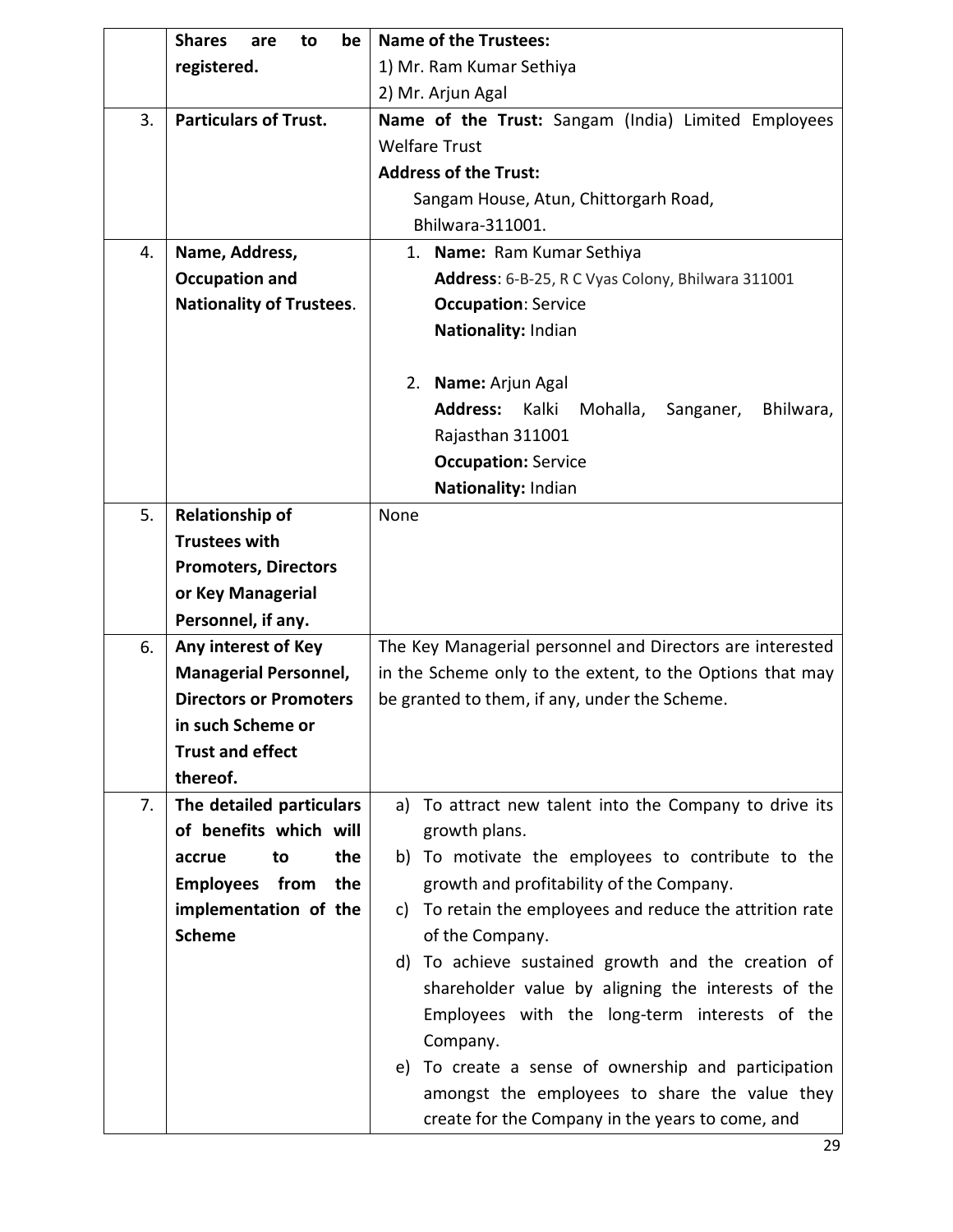|    | <b>Shares</b><br>be<br>to<br>are                                                          | <b>Name of the Trustees:</b>                                             |  |  |
|----|-------------------------------------------------------------------------------------------|--------------------------------------------------------------------------|--|--|
|    | registered.                                                                               | 1) Mr. Ram Kumar Sethiya                                                 |  |  |
|    |                                                                                           | 2) Mr. Arjun Agal                                                        |  |  |
| 3. | <b>Particulars of Trust.</b>                                                              | Name of the Trust: Sangam (India) Limited Employees                      |  |  |
|    |                                                                                           | <b>Welfare Trust</b>                                                     |  |  |
|    |                                                                                           | <b>Address of the Trust:</b>                                             |  |  |
|    |                                                                                           | Sangam House, Atun, Chittorgarh Road,                                    |  |  |
|    |                                                                                           | Bhilwara-311001.                                                         |  |  |
| 4. | Name, Address,                                                                            | 1. Name: Ram Kumar Sethiya                                               |  |  |
|    | <b>Occupation and</b>                                                                     | Address: 6-B-25, R C Vyas Colony, Bhilwara 311001                        |  |  |
|    | <b>Nationality of Trustees.</b>                                                           | <b>Occupation: Service</b>                                               |  |  |
|    |                                                                                           | Nationality: Indian                                                      |  |  |
|    |                                                                                           |                                                                          |  |  |
|    |                                                                                           | 2. Name: Arjun Agal                                                      |  |  |
|    |                                                                                           | <b>Address:</b><br>Kalki<br>Mohalla,<br>Bhilwara,<br>Sanganer,           |  |  |
|    |                                                                                           | Rajasthan 311001                                                         |  |  |
|    |                                                                                           | <b>Occupation: Service</b>                                               |  |  |
|    |                                                                                           | Nationality: Indian                                                      |  |  |
| 5. | <b>Relationship of</b>                                                                    | None                                                                     |  |  |
|    | <b>Trustees with</b>                                                                      |                                                                          |  |  |
|    | <b>Promoters, Directors</b>                                                               |                                                                          |  |  |
|    | or Key Managerial                                                                         |                                                                          |  |  |
|    | Personnel, if any.                                                                        |                                                                          |  |  |
| 6. | Any interest of Key                                                                       | The Key Managerial personnel and Directors are interested                |  |  |
|    | <b>Managerial Personnel,</b><br>in the Scheme only to the extent, to the Options that may |                                                                          |  |  |
|    | <b>Directors or Promoters</b>                                                             | be granted to them, if any, under the Scheme.                            |  |  |
|    | in such Scheme or                                                                         |                                                                          |  |  |
|    | <b>Trust and effect</b>                                                                   |                                                                          |  |  |
|    | thereof.                                                                                  |                                                                          |  |  |
| 7. | The detailed particulars                                                                  | To attract new talent into the Company to drive its<br>a)                |  |  |
|    | of benefits which will                                                                    | growth plans.                                                            |  |  |
|    | the<br>accrue<br>to                                                                       | b) To motivate the employees to contribute to the                        |  |  |
|    | <b>Employees</b> from<br>the                                                              | growth and profitability of the Company.                                 |  |  |
|    | implementation of the<br><b>Scheme</b>                                                    | To retain the employees and reduce the attrition rate<br>C)              |  |  |
|    |                                                                                           | of the Company.<br>To achieve sustained growth and the creation of<br>d) |  |  |
|    |                                                                                           | shareholder value by aligning the interests of the                       |  |  |
|    |                                                                                           |                                                                          |  |  |
|    |                                                                                           | Employees with the long-term interests of the<br>Company.                |  |  |
|    |                                                                                           | To create a sense of ownership and participation<br>e)                   |  |  |
|    |                                                                                           | amongst the employees to share the value they                            |  |  |
|    |                                                                                           | create for the Company in the years to come, and                         |  |  |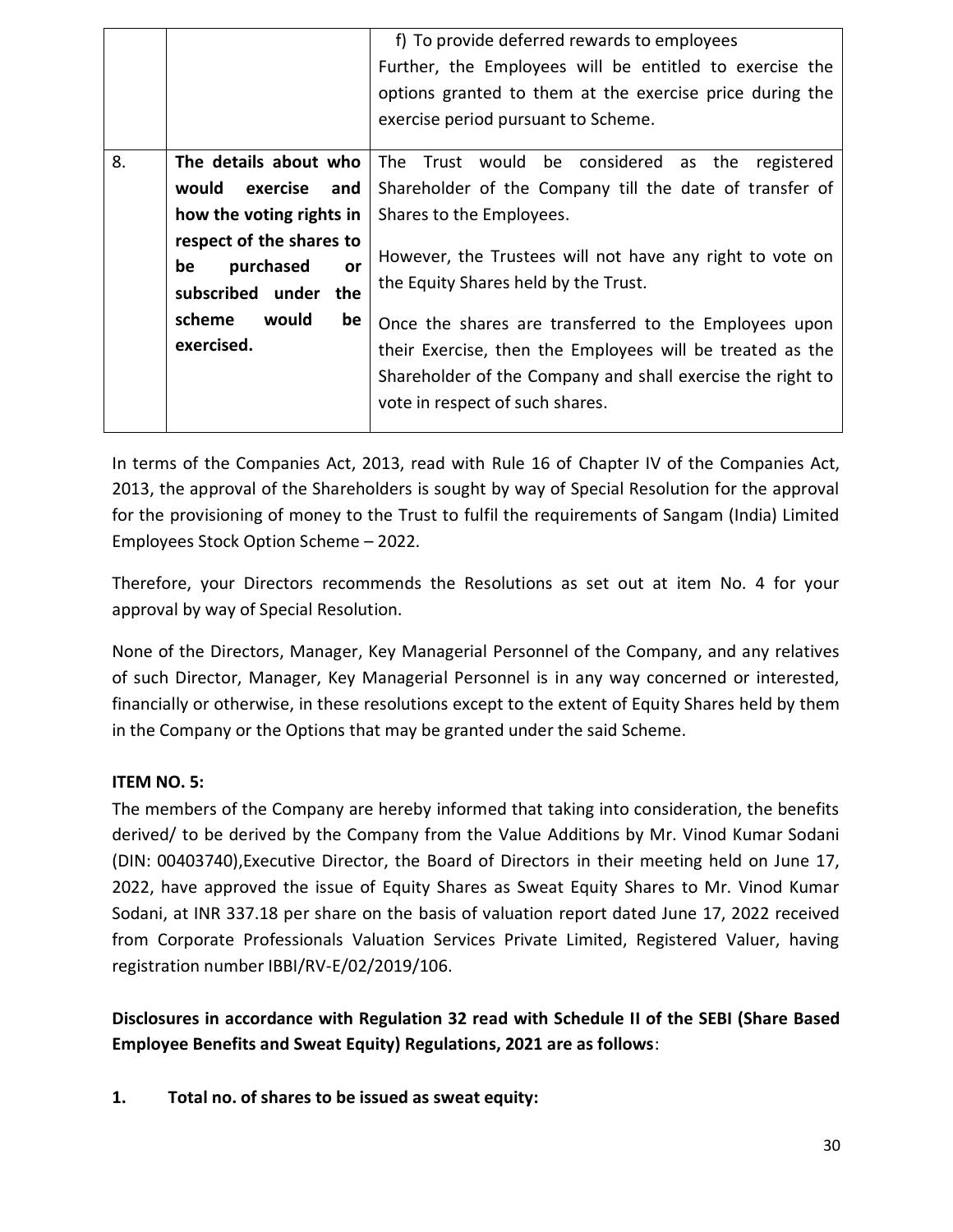|                                                  |                                                                              | f) To provide deferred rewards to employees<br>Further, the Employees will be entitled to exercise the<br>options granted to them at the exercise price during the<br>exercise period pursuant to Scheme.           |
|--------------------------------------------------|------------------------------------------------------------------------------|---------------------------------------------------------------------------------------------------------------------------------------------------------------------------------------------------------------------|
|                                                  |                                                                              |                                                                                                                                                                                                                     |
| 8.                                               | The details about who                                                        | The Trust would be considered as the registered                                                                                                                                                                     |
|                                                  | would exercise and                                                           | Shareholder of the Company till the date of transfer of                                                                                                                                                             |
|                                                  | how the voting rights in $ $                                                 | Shares to the Employees.                                                                                                                                                                                            |
|                                                  | respect of the shares to<br>purchased<br>be<br>or<br>subscribed under<br>the | However, the Trustees will not have any right to vote on<br>the Equity Shares held by the Trust.                                                                                                                    |
| scheme<br>would<br>be <sub>1</sub><br>exercised. |                                                                              | Once the shares are transferred to the Employees upon<br>their Exercise, then the Employees will be treated as the<br>Shareholder of the Company and shall exercise the right to<br>vote in respect of such shares. |

In terms of the Companies Act, 2013, read with Rule 16 of Chapter IV of the Companies Act, 2013, the approval of the Shareholders is sought by way of Special Resolution for the approval for the provisioning of money to the Trust to fulfil the requirements of Sangam (India) Limited Employees Stock Option Scheme – 2022.

Therefore, your Directors recommends the Resolutions as set out at item No. 4 for your approval by way of Special Resolution.

None of the Directors, Manager, Key Managerial Personnel of the Company, and any relatives of such Director, Manager, Key Managerial Personnel is in any way concerned or interested, financially or otherwise, in these resolutions except to the extent of Equity Shares held by them in the Company or the Options that may be granted under the said Scheme.

## **ITEM NO. 5:**

The members of the Company are hereby informed that taking into consideration, the benefits derived/ to be derived by the Company from the Value Additions by Mr. Vinod Kumar Sodani (DIN: 00403740),Executive Director, the Board of Directors in their meeting held on June 17, 2022, have approved the issue of Equity Shares as Sweat Equity Shares to Mr. Vinod Kumar Sodani, at INR 337.18 per share on the basis of valuation report dated June 17, 2022 received from Corporate Professionals Valuation Services Private Limited, Registered Valuer, having registration number IBBI/RV-E/02/2019/106.

**Disclosures in accordance with Regulation 32 read with Schedule II of the SEBI (Share Based Employee Benefits and Sweat Equity) Regulations, 2021 are as follows**:

**1. Total no. of shares to be issued as sweat equity:**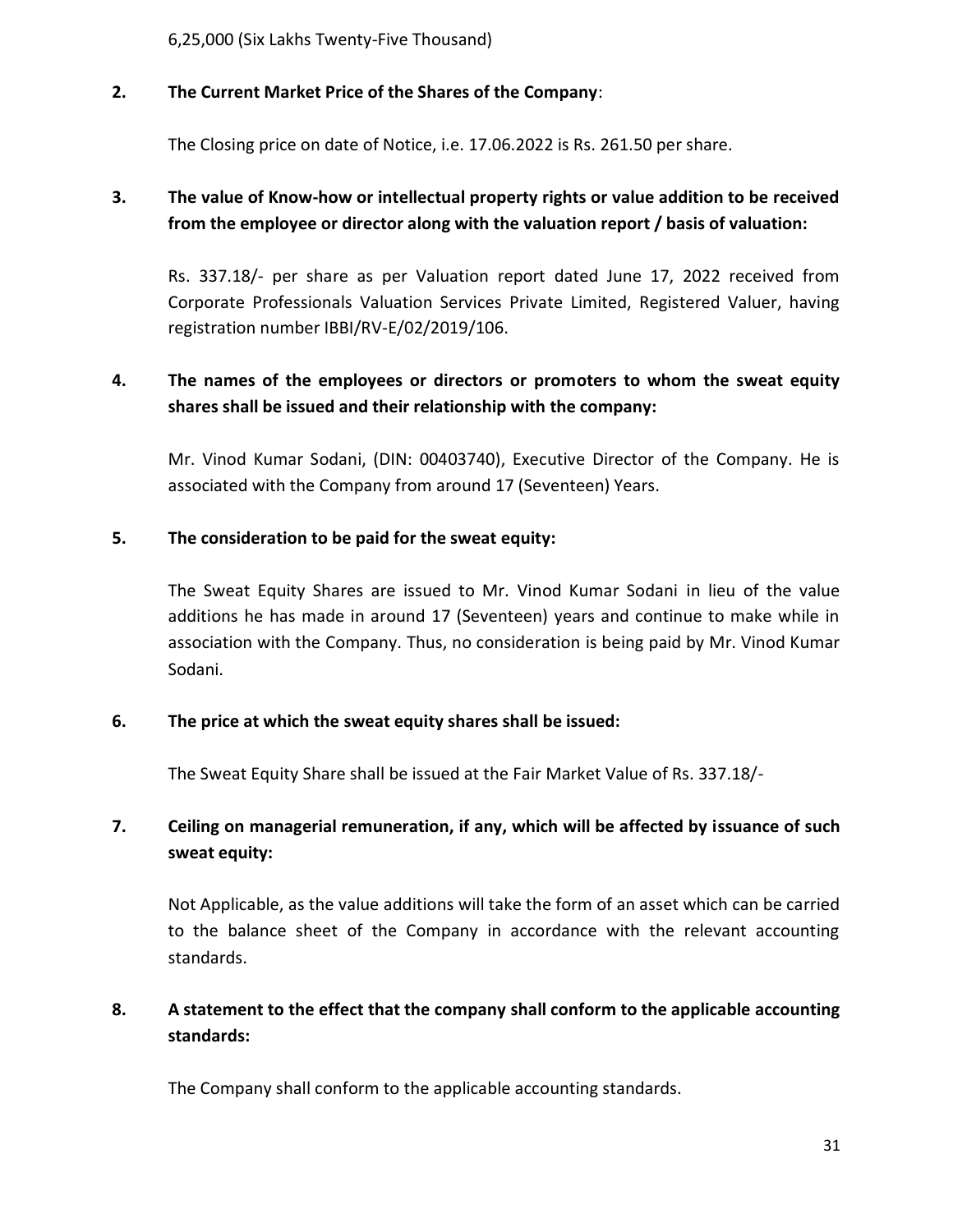6,25,000 (Six Lakhs Twenty-Five Thousand)

## **2. The Current Market Price of the Shares of the Company**:

The Closing price on date of Notice, i.e. 17.06.2022 is Rs. 261.50 per share.

# **3. The value of Know-how or intellectual property rights or value addition to be received from the employee or director along with the valuation report / basis of valuation:**

Rs. 337.18/- per share as per Valuation report dated June 17, 2022 received from Corporate Professionals Valuation Services Private Limited, Registered Valuer, having registration number IBBI/RV-E/02/2019/106.

# **4. The names of the employees or directors or promoters to whom the sweat equity shares shall be issued and their relationship with the company:**

Mr. Vinod Kumar Sodani, (DIN: 00403740), Executive Director of the Company. He is associated with the Company from around 17 (Seventeen) Years.

## **5. The consideration to be paid for the sweat equity:**

The Sweat Equity Shares are issued to Mr. Vinod Kumar Sodani in lieu of the value additions he has made in around 17 (Seventeen) years and continue to make while in association with the Company. Thus, no consideration is being paid by Mr. Vinod Kumar Sodani.

## **6. The price at which the sweat equity shares shall be issued:**

The Sweat Equity Share shall be issued at the Fair Market Value of Rs. 337.18/-

# **7. Ceiling on managerial remuneration, if any, which will be affected by issuance of such sweat equity:**

Not Applicable, as the value additions will take the form of an asset which can be carried to the balance sheet of the Company in accordance with the relevant accounting standards.

## **8. A statement to the effect that the company shall conform to the applicable accounting standards:**

The Company shall conform to the applicable accounting standards.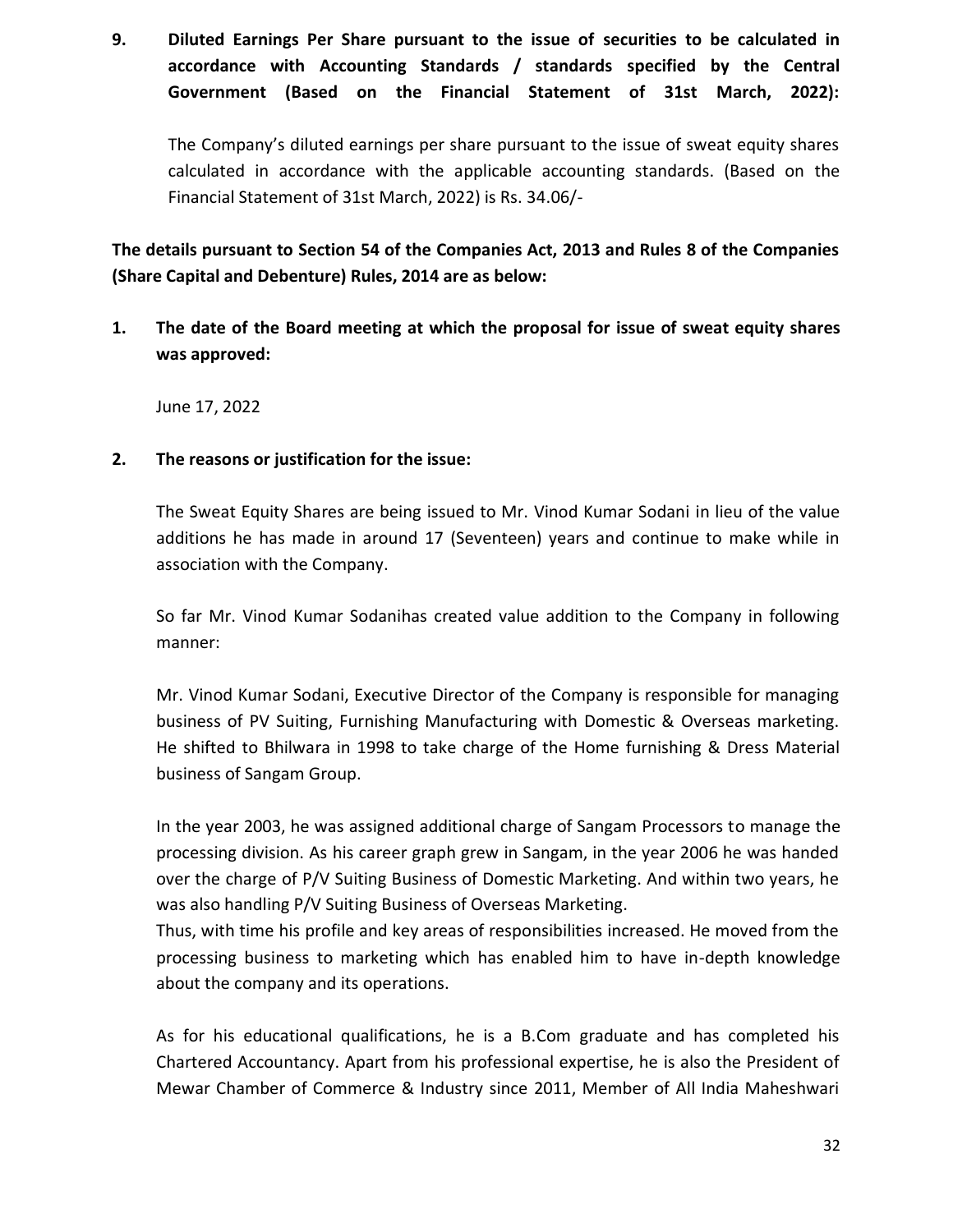**9. Diluted Earnings Per Share pursuant to the issue of securities to be calculated in accordance with Accounting Standards / standards specified by the Central Government (Based on the Financial Statement of 31st March, 2022):**

The Company's diluted earnings per share pursuant to the issue of sweat equity shares calculated in accordance with the applicable accounting standards. (Based on the Financial Statement of 31st March, 2022) is Rs. 34.06/-

**The details pursuant to Section 54 of the Companies Act, 2013 and Rules 8 of the Companies (Share Capital and Debenture) Rules, 2014 are as below:**

**1. The date of the Board meeting at which the proposal for issue of sweat equity shares was approved:**

June 17, 2022

#### **2. The reasons or justification for the issue:**

The Sweat Equity Shares are being issued to Mr. Vinod Kumar Sodani in lieu of the value additions he has made in around 17 (Seventeen) years and continue to make while in association with the Company.

So far Mr. Vinod Kumar Sodanihas created value addition to the Company in following manner:

Mr. Vinod Kumar Sodani, Executive Director of the Company is responsible for managing business of PV Suiting, Furnishing Manufacturing with Domestic & Overseas marketing. He shifted to Bhilwara in 1998 to take charge of the Home furnishing & Dress Material business of Sangam Group.

In the year 2003, he was assigned additional charge of Sangam Processors to manage the processing division. As his career graph grew in Sangam, in the year 2006 he was handed over the charge of P/V Suiting Business of Domestic Marketing. And within two years, he was also handling P/V Suiting Business of Overseas Marketing.

Thus, with time his profile and key areas of responsibilities increased. He moved from the processing business to marketing which has enabled him to have in-depth knowledge about the company and its operations.

As for his educational qualifications, he is a B.Com graduate and has completed his Chartered Accountancy. Apart from his professional expertise, he is also the President of Mewar Chamber of Commerce & Industry since 2011, Member of All India Maheshwari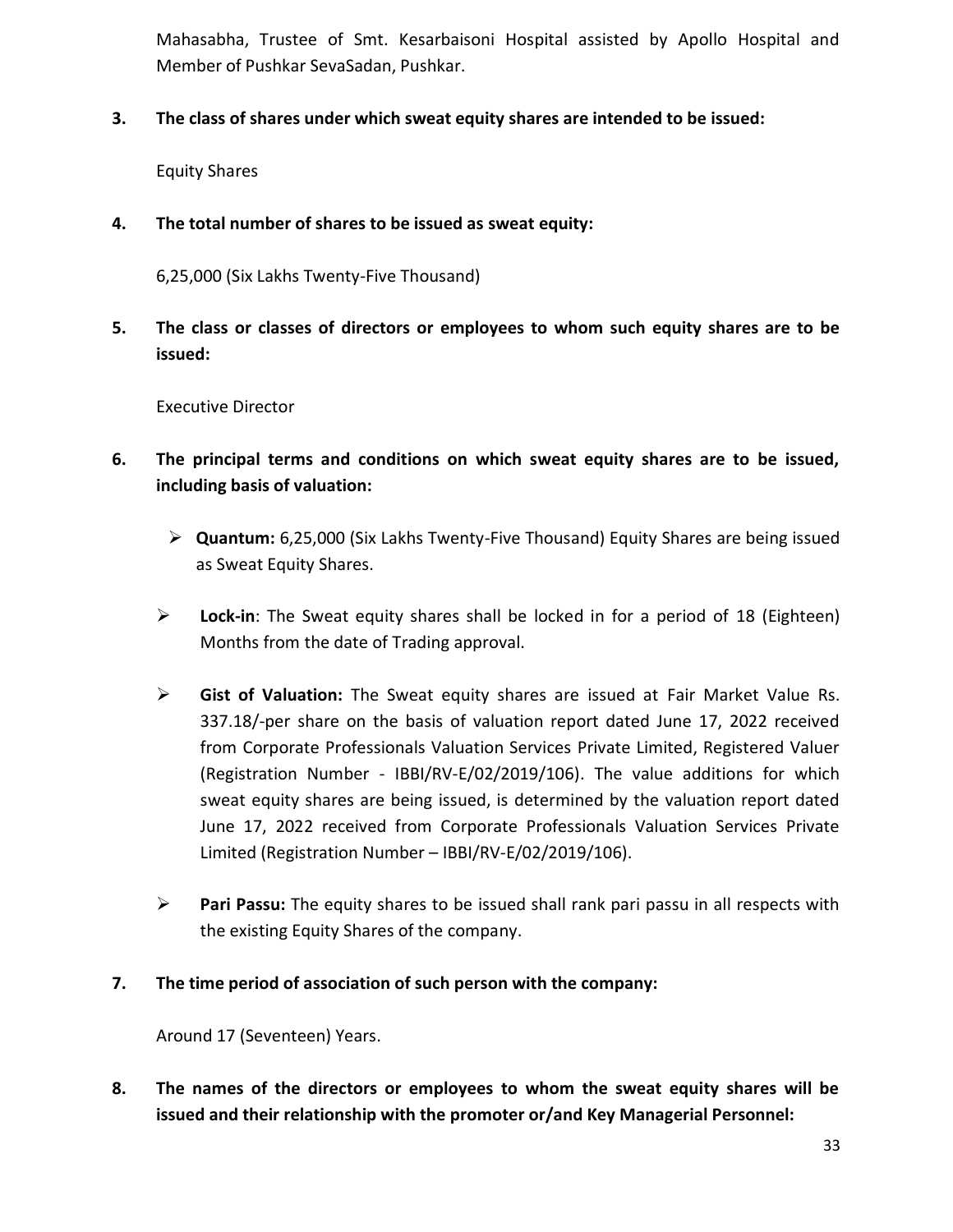Mahasabha, Trustee of Smt. Kesarbaisoni Hospital assisted by Apollo Hospital and Member of Pushkar SevaSadan, Pushkar.

**3. The class of shares under which sweat equity shares are intended to be issued:**

Equity Shares

**4. The total number of shares to be issued as sweat equity:**

6,25,000 (Six Lakhs Twenty-Five Thousand)

**5. The class or classes of directors or employees to whom such equity shares are to be issued:**

Executive Director

- **6. The principal terms and conditions on which sweat equity shares are to be issued, including basis of valuation:**
	- **Quantum:** 6,25,000 (Six Lakhs Twenty-Five Thousand) Equity Shares are being issued as Sweat Equity Shares.
	- **Lock-in**: The Sweat equity shares shall be locked in for a period of 18 (Eighteen) Months from the date of Trading approval.
	- **Gist of Valuation:** The Sweat equity shares are issued at Fair Market Value Rs. 337.18/-per share on the basis of valuation report dated June 17, 2022 received from Corporate Professionals Valuation Services Private Limited, Registered Valuer (Registration Number - IBBI/RV-E/02/2019/106). The value additions for which sweat equity shares are being issued, is determined by the valuation report dated June 17, 2022 received from Corporate Professionals Valuation Services Private Limited (Registration Number – IBBI/RV-E/02/2019/106).
	- **Pari Passu:** The equity shares to be issued shall rank pari passu in all respects with the existing Equity Shares of the company.
- **7. The time period of association of such person with the company:**

Around 17 (Seventeen) Years.

**8. The names of the directors or employees to whom the sweat equity shares will be issued and their relationship with the promoter or/and Key Managerial Personnel:**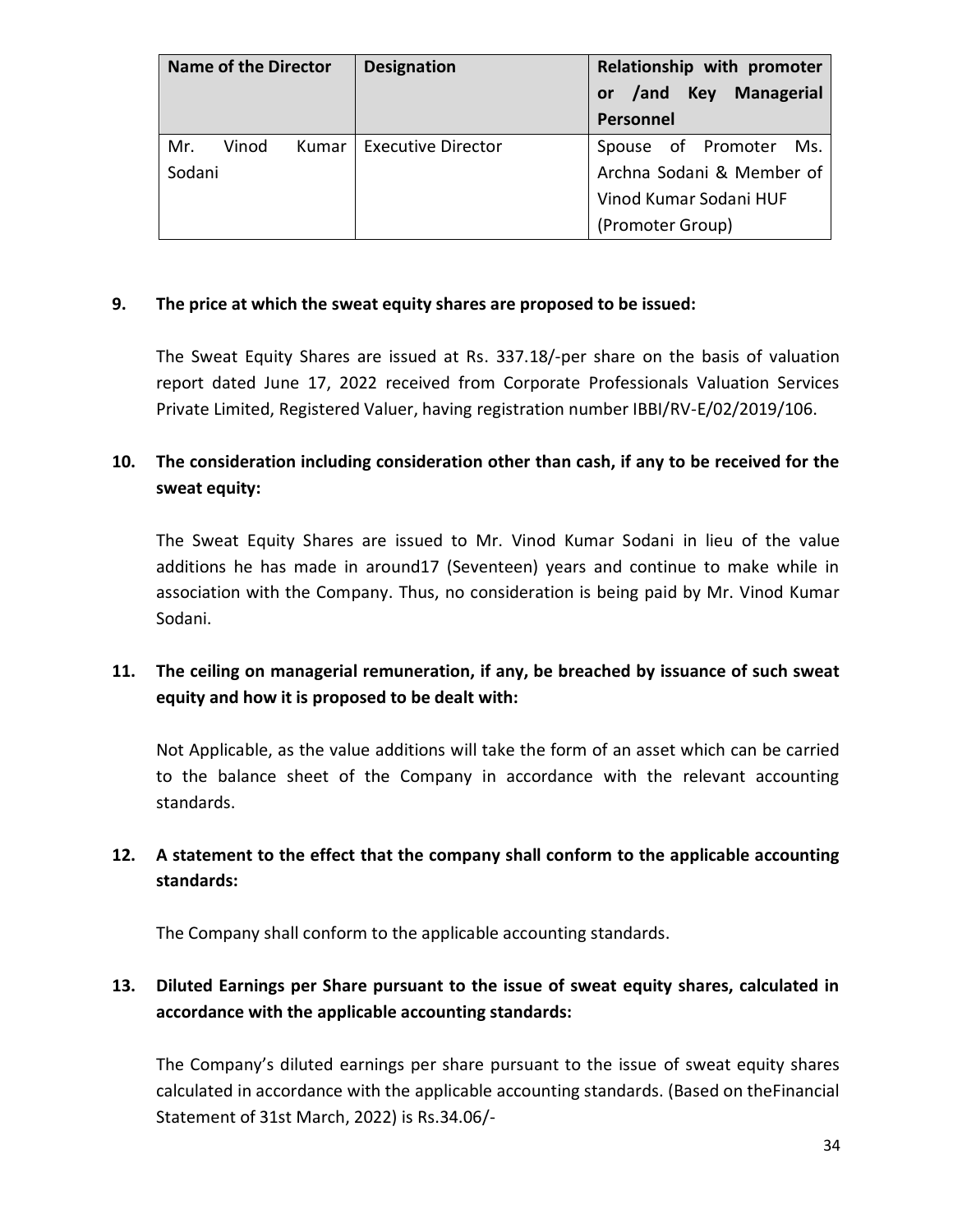| <b>Name of the Director</b>     | <b>Designation</b>        | Relationship with promoter<br>Key<br><b>Managerial</b><br>/and<br>or<br>Personnel |
|---------------------------------|---------------------------|-----------------------------------------------------------------------------------|
| Mr.<br>Vinod<br>Kumar<br>Sodani | <b>Executive Director</b> | Spouse of Promoter<br>Ms.<br>Archna Sodani & Member of<br>Vinod Kumar Sodani HUF  |
|                                 |                           | (Promoter Group)                                                                  |

#### **9. The price at which the sweat equity shares are proposed to be issued:**

The Sweat Equity Shares are issued at Rs. 337.18/-per share on the basis of valuation report dated June 17, 2022 received from Corporate Professionals Valuation Services Private Limited, Registered Valuer, having registration number IBBI/RV-E/02/2019/106.

# **10. The consideration including consideration other than cash, if any to be received for the sweat equity:**

The Sweat Equity Shares are issued to Mr. Vinod Kumar Sodani in lieu of the value additions he has made in around17 (Seventeen) years and continue to make while in association with the Company. Thus, no consideration is being paid by Mr. Vinod Kumar Sodani.

# **11. The ceiling on managerial remuneration, if any, be breached by issuance of such sweat equity and how it is proposed to be dealt with:**

Not Applicable, as the value additions will take the form of an asset which can be carried to the balance sheet of the Company in accordance with the relevant accounting standards.

# **12. A statement to the effect that the company shall conform to the applicable accounting standards:**

The Company shall conform to the applicable accounting standards.

# **13. Diluted Earnings per Share pursuant to the issue of sweat equity shares, calculated in accordance with the applicable accounting standards:**

The Company's diluted earnings per share pursuant to the issue of sweat equity shares calculated in accordance with the applicable accounting standards. (Based on theFinancial Statement of 31st March, 2022) is Rs.34.06/-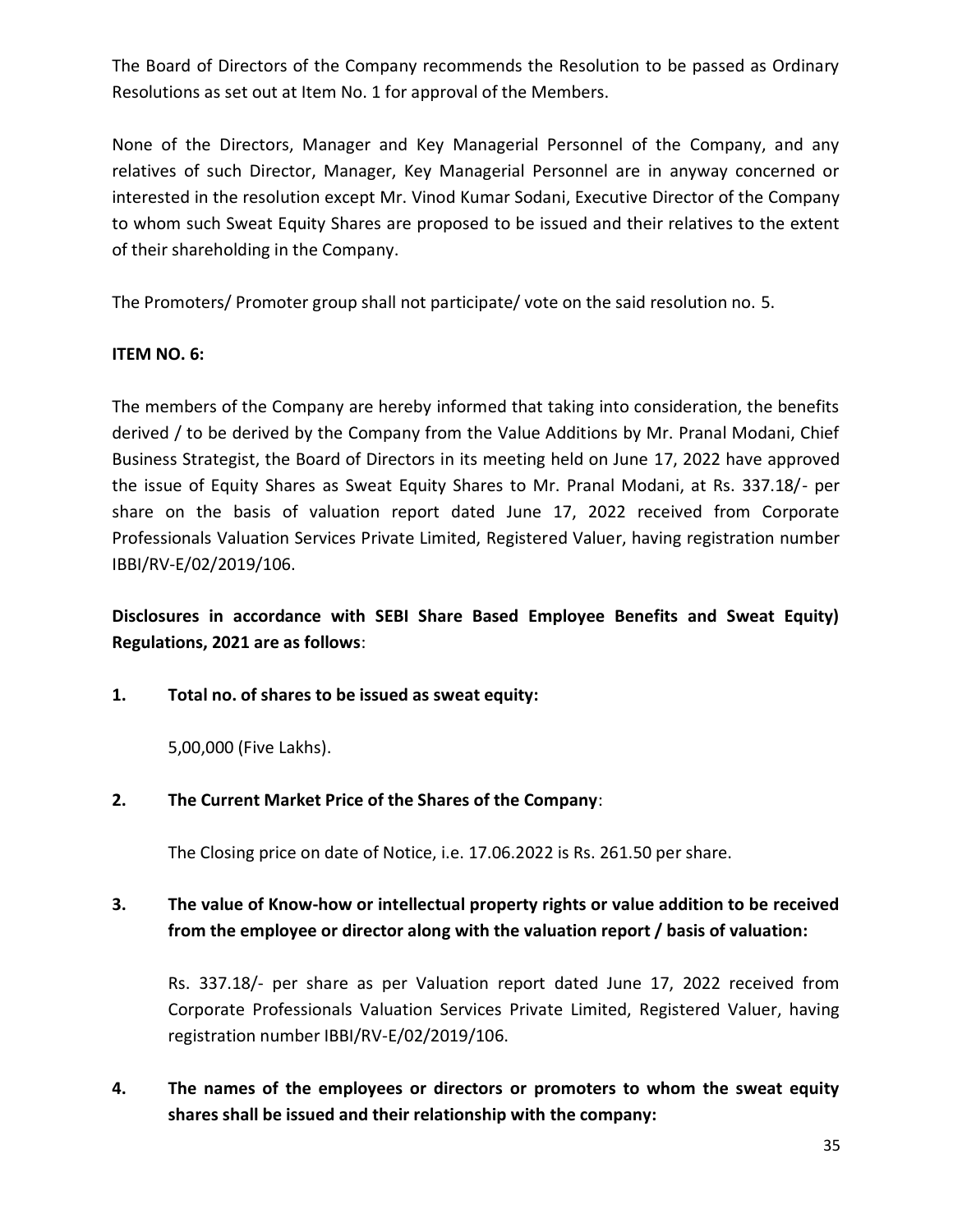The Board of Directors of the Company recommends the Resolution to be passed as Ordinary Resolutions as set out at Item No. 1 for approval of the Members.

None of the Directors, Manager and Key Managerial Personnel of the Company, and any relatives of such Director, Manager, Key Managerial Personnel are in anyway concerned or interested in the resolution except Mr. Vinod Kumar Sodani, Executive Director of the Company to whom such Sweat Equity Shares are proposed to be issued and their relatives to the extent of their shareholding in the Company.

The Promoters/ Promoter group shall not participate/ vote on the said resolution no. 5.

## **ITEM NO. 6:**

The members of the Company are hereby informed that taking into consideration, the benefits derived / to be derived by the Company from the Value Additions by Mr. Pranal Modani, Chief Business Strategist, the Board of Directors in its meeting held on June 17, 2022 have approved the issue of Equity Shares as Sweat Equity Shares to Mr. Pranal Modani, at Rs. 337.18/- per share on the basis of valuation report dated June 17, 2022 received from Corporate Professionals Valuation Services Private Limited, Registered Valuer, having registration number IBBI/RV-E/02/2019/106.

**Disclosures in accordance with SEBI Share Based Employee Benefits and Sweat Equity) Regulations, 2021 are as follows**:

**1. Total no. of shares to be issued as sweat equity:**

5,00,000 (Five Lakhs).

**2. The Current Market Price of the Shares of the Company**:

The Closing price on date of Notice, i.e. 17.06.2022 is Rs. 261.50 per share.

## **3. The value of Know-how or intellectual property rights or value addition to be received from the employee or director along with the valuation report / basis of valuation:**

Rs. 337.18/- per share as per Valuation report dated June 17, 2022 received from Corporate Professionals Valuation Services Private Limited, Registered Valuer, having registration number IBBI/RV-E/02/2019/106.

**4. The names of the employees or directors or promoters to whom the sweat equity shares shall be issued and their relationship with the company:**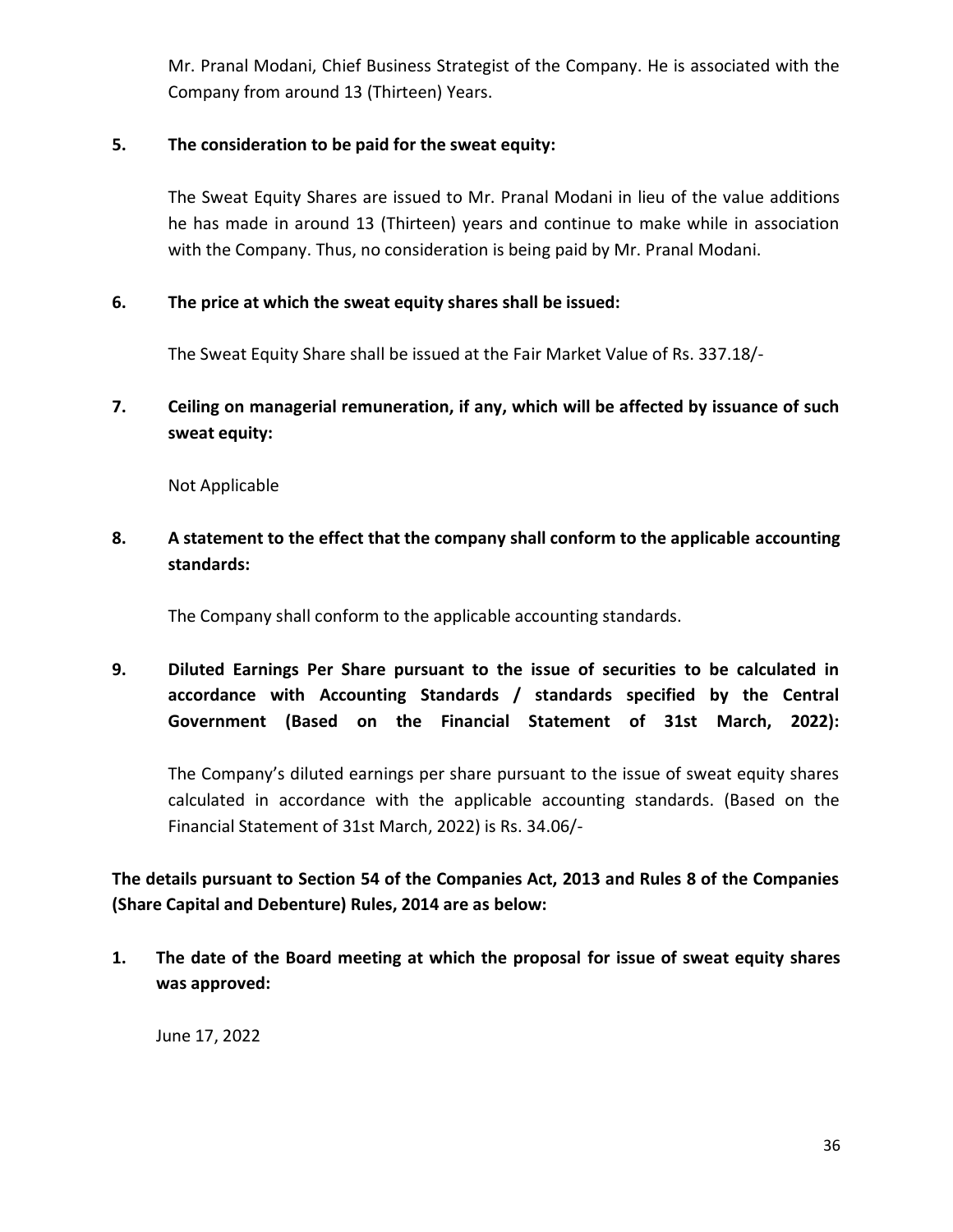Mr. Pranal Modani, Chief Business Strategist of the Company. He is associated with the Company from around 13 (Thirteen) Years.

## **5. The consideration to be paid for the sweat equity:**

The Sweat Equity Shares are issued to Mr. Pranal Modani in lieu of the value additions he has made in around 13 (Thirteen) years and continue to make while in association with the Company. Thus, no consideration is being paid by Mr. Pranal Modani.

#### **6. The price at which the sweat equity shares shall be issued:**

The Sweat Equity Share shall be issued at the Fair Market Value of Rs. 337.18/-

**7. Ceiling on managerial remuneration, if any, which will be affected by issuance of such sweat equity:**

Not Applicable

**8. A statement to the effect that the company shall conform to the applicable accounting standards:**

The Company shall conform to the applicable accounting standards.

**9. Diluted Earnings Per Share pursuant to the issue of securities to be calculated in accordance with Accounting Standards / standards specified by the Central Government (Based on the Financial Statement of 31st March, 2022):**

The Company's diluted earnings per share pursuant to the issue of sweat equity shares calculated in accordance with the applicable accounting standards. (Based on the Financial Statement of 31st March, 2022) is Rs. 34.06/-

**The details pursuant to Section 54 of the Companies Act, 2013 and Rules 8 of the Companies (Share Capital and Debenture) Rules, 2014 are as below:**

**1. The date of the Board meeting at which the proposal for issue of sweat equity shares was approved:**

June 17, 2022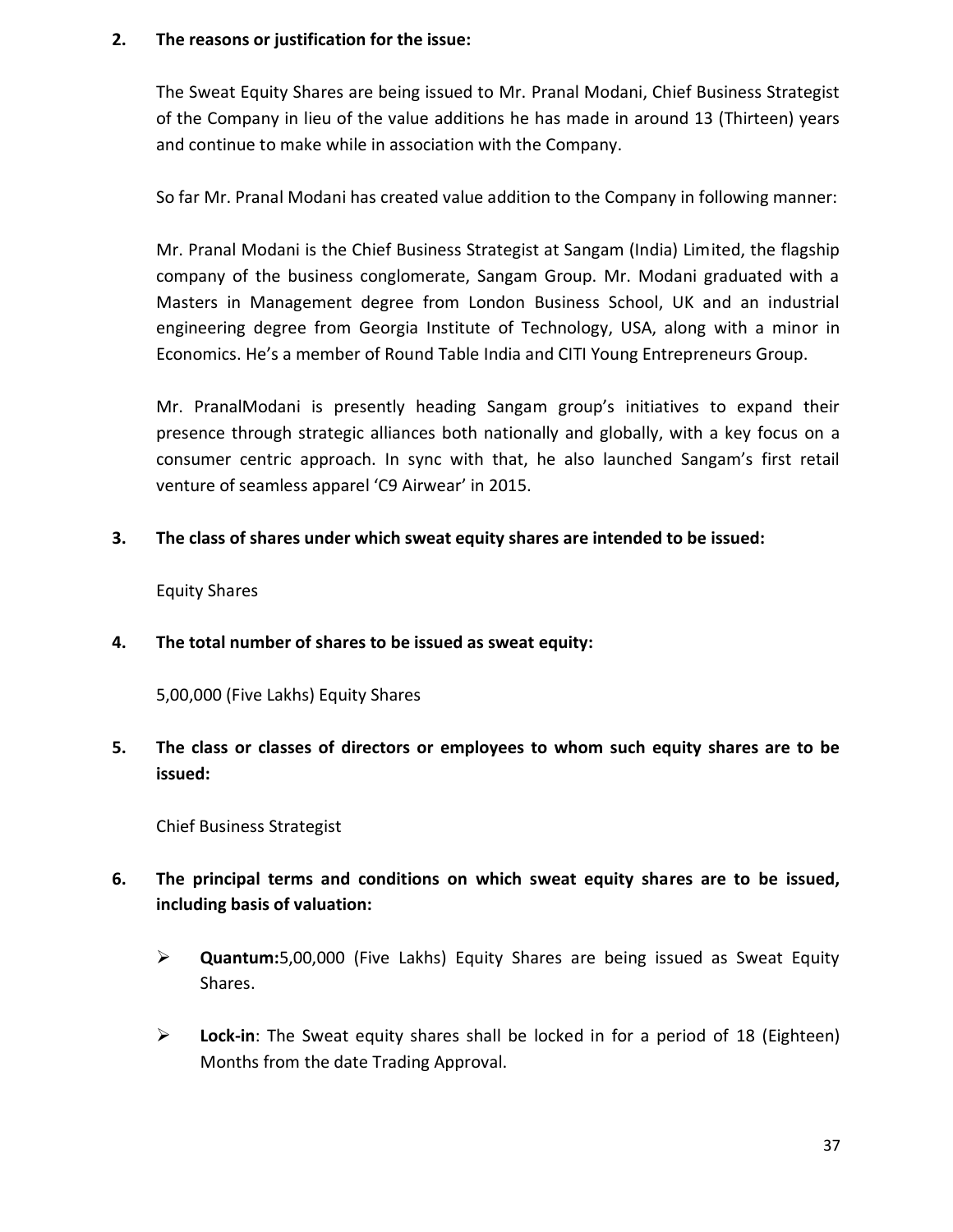#### **2. The reasons or justification for the issue:**

The Sweat Equity Shares are being issued to Mr. Pranal Modani, Chief Business Strategist of the Company in lieu of the value additions he has made in around 13 (Thirteen) years and continue to make while in association with the Company.

So far Mr. Pranal Modani has created value addition to the Company in following manner:

Mr. Pranal Modani is the Chief Business Strategist at Sangam (India) Limited, the flagship company of the business conglomerate, Sangam Group. Mr. Modani graduated with a Masters in Management degree from London Business School, UK and an industrial engineering degree from Georgia Institute of Technology, USA, along with a minor in Economics. He's a member of Round Table India and CITI Young Entrepreneurs Group.

Mr. PranalModani is presently heading Sangam group's initiatives to expand their presence through strategic alliances both nationally and globally, with a key focus on a consumer centric approach. In sync with that, he also launched Sangam's first retail venture of seamless apparel 'C9 Airwear' in 2015.

**3. The class of shares under which sweat equity shares are intended to be issued:**

Equity Shares

**4. The total number of shares to be issued as sweat equity:**

5,00,000 (Five Lakhs) Equity Shares

**5. The class or classes of directors or employees to whom such equity shares are to be issued:**

Chief Business Strategist

- **6. The principal terms and conditions on which sweat equity shares are to be issued, including basis of valuation:**
	- **Quantum:**5,00,000 (Five Lakhs) Equity Shares are being issued as Sweat Equity Shares.
	- **Lock-in**: The Sweat equity shares shall be locked in for a period of 18 (Eighteen) Months from the date Trading Approval.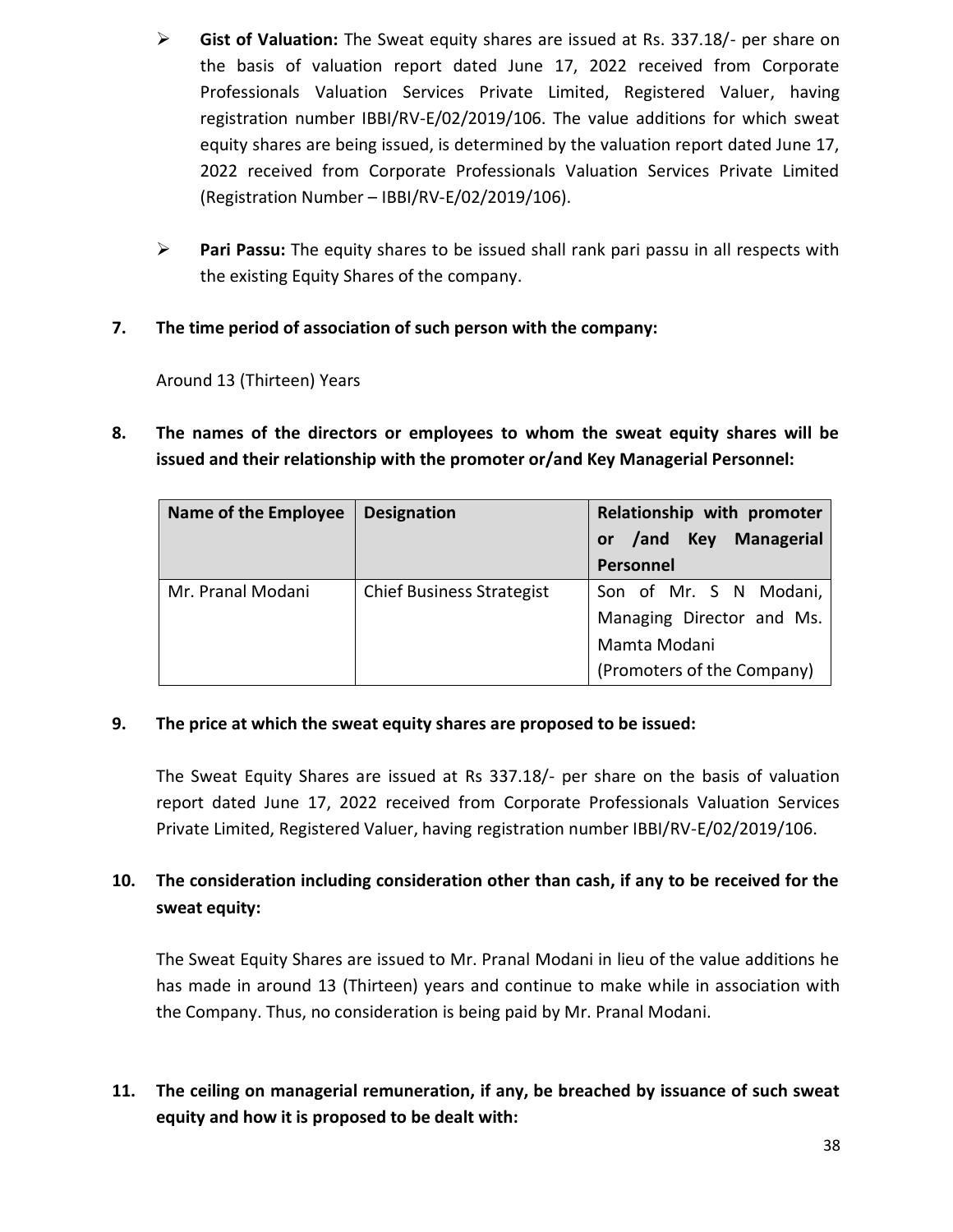- **Gist of Valuation:** The Sweat equity shares are issued at Rs. 337.18/- per share on the basis of valuation report dated June 17, 2022 received from Corporate Professionals Valuation Services Private Limited, Registered Valuer, having registration number IBBI/RV-E/02/2019/106. The value additions for which sweat equity shares are being issued, is determined by the valuation report dated June 17, 2022 received from Corporate Professionals Valuation Services Private Limited (Registration Number – IBBI/RV-E/02/2019/106).
- **Pari Passu:** The equity shares to be issued shall rank pari passu in all respects with the existing Equity Shares of the company.

## **7. The time period of association of such person with the company:**

Around 13 (Thirteen) Years

**8. The names of the directors or employees to whom the sweat equity shares will be issued and their relationship with the promoter or/and Key Managerial Personnel:**

| <b>Name of the Employee</b> | <b>Designation</b>               | Relationship with promoter |
|-----------------------------|----------------------------------|----------------------------|
|                             |                                  | or /and Key Managerial     |
|                             |                                  | Personnel                  |
| Mr. Pranal Modani           | <b>Chief Business Strategist</b> | Son of Mr. S N Modani,     |
|                             |                                  | Managing Director and Ms.  |
|                             |                                  | Mamta Modani               |
|                             |                                  | (Promoters of the Company) |

## **9. The price at which the sweat equity shares are proposed to be issued:**

The Sweat Equity Shares are issued at Rs 337.18/- per share on the basis of valuation report dated June 17, 2022 received from Corporate Professionals Valuation Services Private Limited, Registered Valuer, having registration number IBBI/RV-E/02/2019/106.

# **10. The consideration including consideration other than cash, if any to be received for the sweat equity:**

The Sweat Equity Shares are issued to Mr. Pranal Modani in lieu of the value additions he has made in around 13 (Thirteen) years and continue to make while in association with the Company. Thus, no consideration is being paid by Mr. Pranal Modani.

**11. The ceiling on managerial remuneration, if any, be breached by issuance of such sweat equity and how it is proposed to be dealt with:**